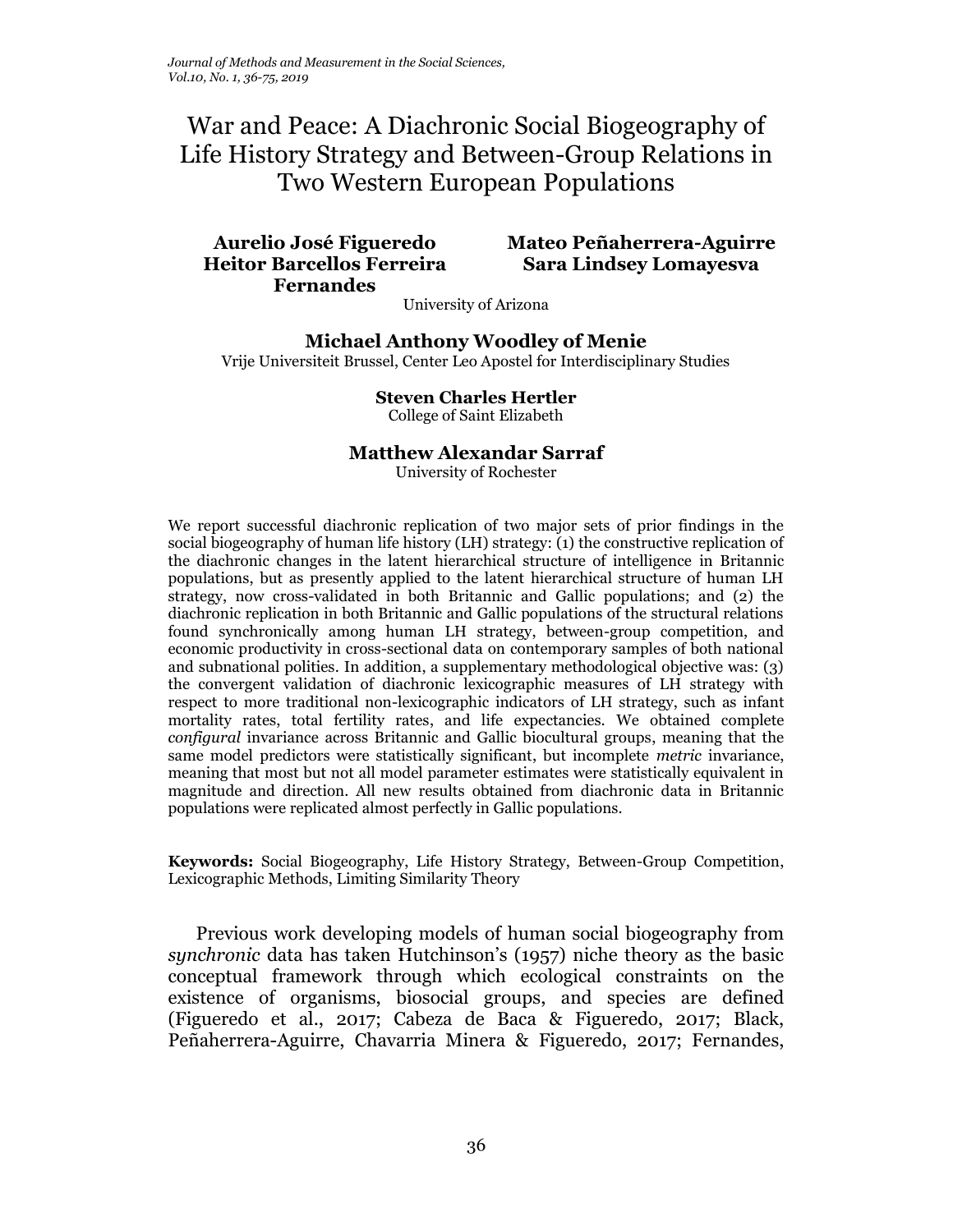# War and Peace: A Diachronic Social Biogeography of Life History Strategy and Between-Group Relations in Two Western European Populations

# **Heitor Barcellos Ferreira Fernandes**

## **Aurelio José Figueredo Mateo Peñaherrera-Aguirre Sara Lindsey Lomayesva**

University of Arizona

**Michael Anthony Woodley of Menie** Vrije Universiteit Brussel, Center Leo Apostel for Interdisciplinary Studies

#### **Steven Charles Hertler** College of Saint Elizabeth

## **Matthew Alexandar Sarraf**

University of Rochester

We report successful diachronic replication of two major sets of prior findings in the social biogeography of human life history (LH) strategy: (1) the constructive replication of the diachronic changes in the latent hierarchical structure of intelligence in Britannic populations, but as presently applied to the latent hierarchical structure of human LH strategy, now cross-validated in both Britannic and Gallic populations; and (2) the diachronic replication in both Britannic and Gallic populations of the structural relations found synchronically among human LH strategy, between-group competition, and economic productivity in cross-sectional data on contemporary samples of both national and subnational polities. In addition, a supplementary methodological objective was: (3) the convergent validation of diachronic lexicographic measures of LH strategy with respect to more traditional non-lexicographic indicators of LH strategy, such as infant mortality rates, total fertility rates, and life expectancies. We obtained complete *configural* invariance across Britannic and Gallic biocultural groups, meaning that the same model predictors were statistically significant, but incomplete *metric* invariance, meaning that most but not all model parameter estimates were statistically equivalent in magnitude and direction. All new results obtained from diachronic data in Britannic populations were replicated almost perfectly in Gallic populations.

**Keywords:** Social Biogeography, Life History Strategy, Between-Group Competition, Lexicographic Methods, Limiting Similarity Theory

Previous work developing models of human social biogeography from *synchronic* data has taken Hutchinson's (1957) niche theory as the basic conceptual framework through which ecological constraints on the existence of organisms, biosocial groups, and species are defined (Figueredo et al., 2017; Cabeza de Baca & Figueredo, 2017; Black, Peñaherrera-Aguirre, Chavarria Minera & Figueredo, 2017; Fernandes,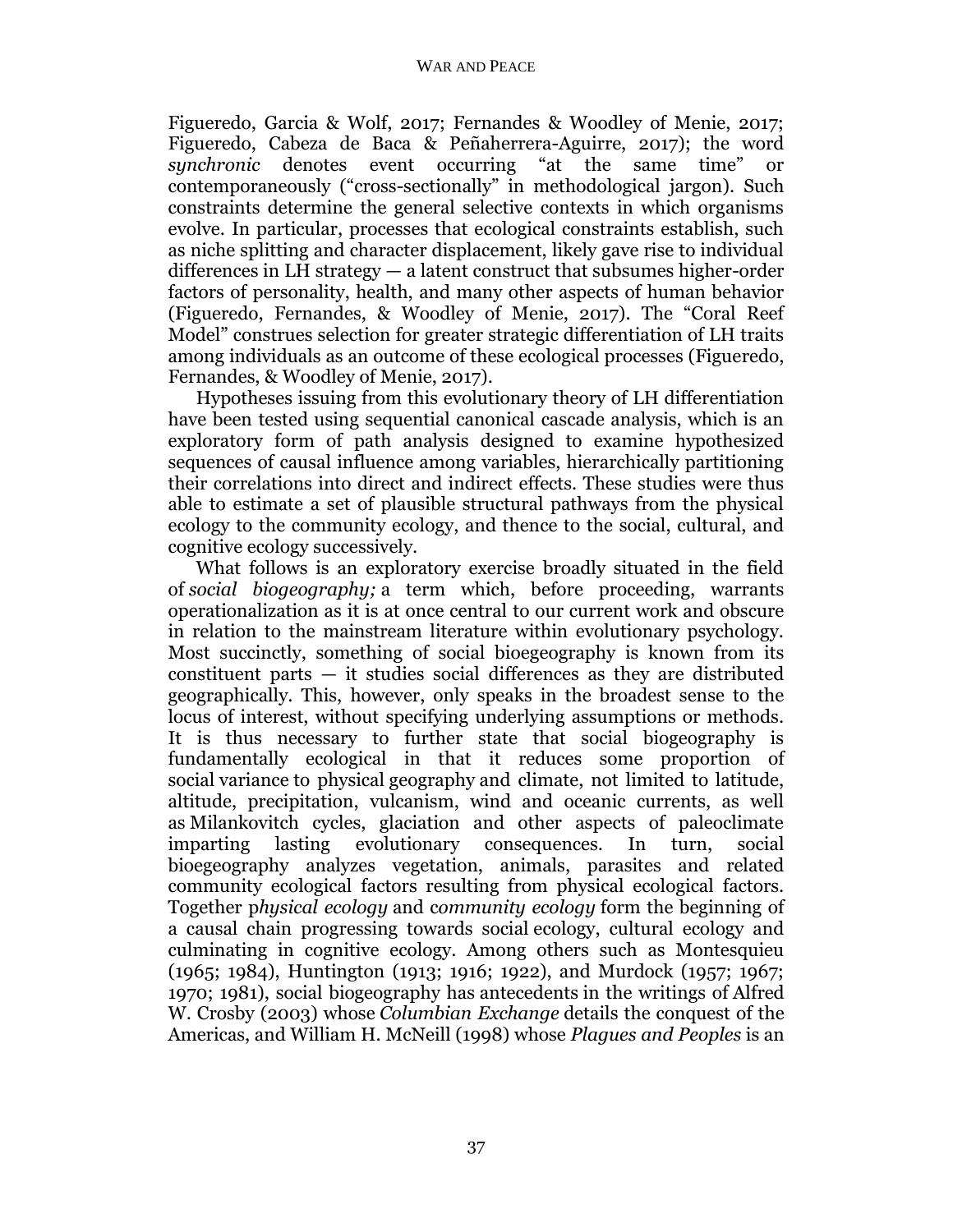Figueredo, Garcia & Wolf, 2017; Fernandes & Woodley of Menie, 2017; Figueredo, Cabeza de Baca & Peñaherrera-Aguirre, 2017); the word *synchronic* denotes event occurring "at the same time" or contemporaneously ("cross-sectionally" in methodological jargon). Such constraints determine the general selective contexts in which organisms evolve. In particular, processes that ecological constraints establish, such as niche splitting and character displacement, likely gave rise to individual differences in LH strategy — a latent construct that subsumes higher-order factors of personality, health, and many other aspects of human behavior (Figueredo, Fernandes, & Woodley of Menie, 2017). The "Coral Reef Model" construes selection for greater strategic differentiation of LH traits among individuals as an outcome of these ecological processes (Figueredo, Fernandes, & Woodley of Menie, 2017).

Hypotheses issuing from this evolutionary theory of LH differentiation have been tested using sequential canonical cascade analysis, which is an exploratory form of path analysis designed to examine hypothesized sequences of causal influence among variables, hierarchically partitioning their correlations into direct and indirect effects. These studies were thus able to estimate a set of plausible structural pathways from the physical ecology to the community ecology, and thence to the social, cultural, and cognitive ecology successively.

What follows is an exploratory exercise broadly situated in the field of *social biogeography;* a term which, before proceeding, warrants operationalization as it is at once central to our current work and obscure in relation to the mainstream literature within evolutionary psychology. Most succinctly, something of social bioegeography is known from its constituent parts  $-$  it studies social differences as they are distributed geographically. This, however, only speaks in the broadest sense to the locus of interest, without specifying underlying assumptions or methods. It is thus necessary to further state that social biogeography is fundamentally ecological in that it reduces some proportion of social variance to physical geography and climate, not limited to latitude, altitude, precipitation, vulcanism, wind and oceanic currents, as well as Milankovitch cycles, glaciation and other aspects of paleoclimate imparting lasting evolutionary consequences. In turn, social bioegeography analyzes vegetation, animals, parasites and related community ecological factors resulting from physical ecological factors. Together p*hysical ecology* and c*ommunity ecology* form the beginning of a causal chain progressing towards social ecology, cultural ecology and culminating in cognitive ecology. Among others such as Montesquieu (1965; 1984), Huntington (1913; 1916; 1922), and Murdock (1957; 1967; 1970; 1981), social biogeography has antecedents in the writings of Alfred W. Crosby (2003) whose *Columbian Exchange* details the conquest of the Americas, and William H. McNeill (1998) whose *Plagues and Peoples* is an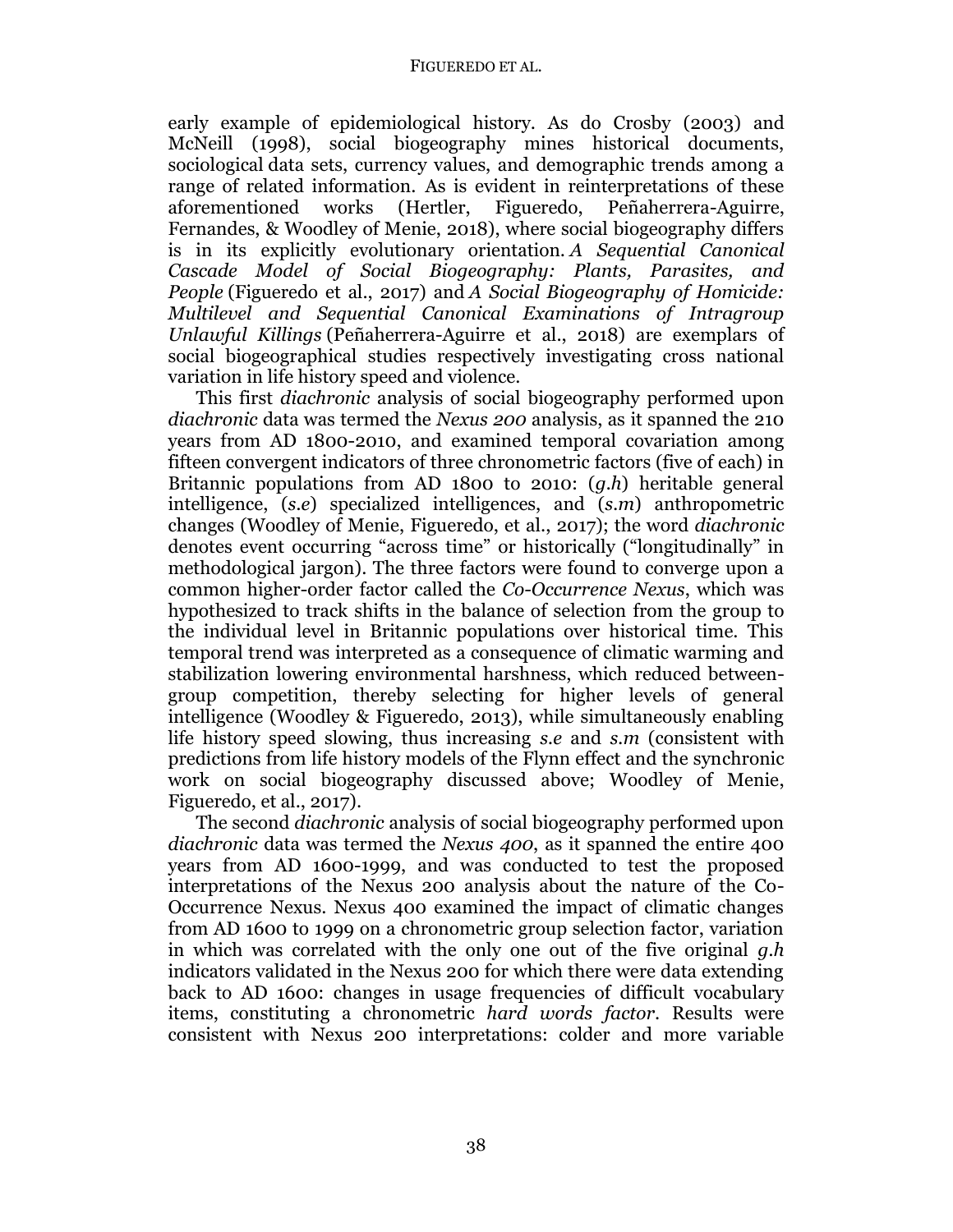early example of epidemiological history. As do Crosby (2003) and McNeill (1998), social biogeography mines historical documents, sociological data sets, currency values, and demographic trends among a range of related information. As is evident in reinterpretations of these aforementioned works (Hertler, Figueredo, Peñaherrera-Aguirre, Fernandes, & Woodley of Menie, 2018), where social biogeography differs is in its explicitly evolutionary orientation. *A Sequential Canonical Cascade Model of Social Biogeography: Plants, Parasites, and People* (Figueredo et al., 2017) and *A Social Biogeography of Homicide: Multilevel and Sequential Canonical Examinations of Intragroup Unlawful Killings* (Peñaherrera-Aguirre et al., 2018) are exemplars of social biogeographical studies respectively investigating cross national variation in life history speed and violence.

This first *diachronic* analysis of social biogeography performed upon *diachronic* data was termed the *Nexus 200* analysis, as it spanned the 210 years from AD 1800-2010, and examined temporal covariation among fifteen convergent indicators of three chronometric factors (five of each) in Britannic populations from AD 1800 to 2010: (*g.h*) heritable general intelligence, (*s.e*) specialized intelligences, and (*s.m*) anthropometric changes (Woodley of Menie, Figueredo, et al., 2017); the word *diachronic* denotes event occurring "across time" or historically ("longitudinally" in methodological jargon). The three factors were found to converge upon a common higher-order factor called the *Co-Occurrence Nexus*, which was hypothesized to track shifts in the balance of selection from the group to the individual level in Britannic populations over historical time. This temporal trend was interpreted as a consequence of climatic warming and stabilization lowering environmental harshness, which reduced betweengroup competition, thereby selecting for higher levels of general intelligence (Woodley & Figueredo, 2013), while simultaneously enabling life history speed slowing, thus increasing *s.e* and *s.m* (consistent with predictions from life history models of the Flynn effect and the synchronic work on social biogeography discussed above; Woodley of Menie, Figueredo, et al., 2017).

The second *diachronic* analysis of social biogeography performed upon *diachronic* data was termed the *Nexus 400*, as it spanned the entire 400 years from AD 1600-1999, and was conducted to test the proposed interpretations of the Nexus 200 analysis about the nature of the Co-Occurrence Nexus. Nexus 400 examined the impact of climatic changes from AD 1600 to 1999 on a chronometric group selection factor, variation in which was correlated with the only one out of the five original *g.h* indicators validated in the Nexus 200 for which there were data extending back to AD 1600: changes in usage frequencies of difficult vocabulary items, constituting a chronometric *hard words factor*. Results were consistent with Nexus 200 interpretations: colder and more variable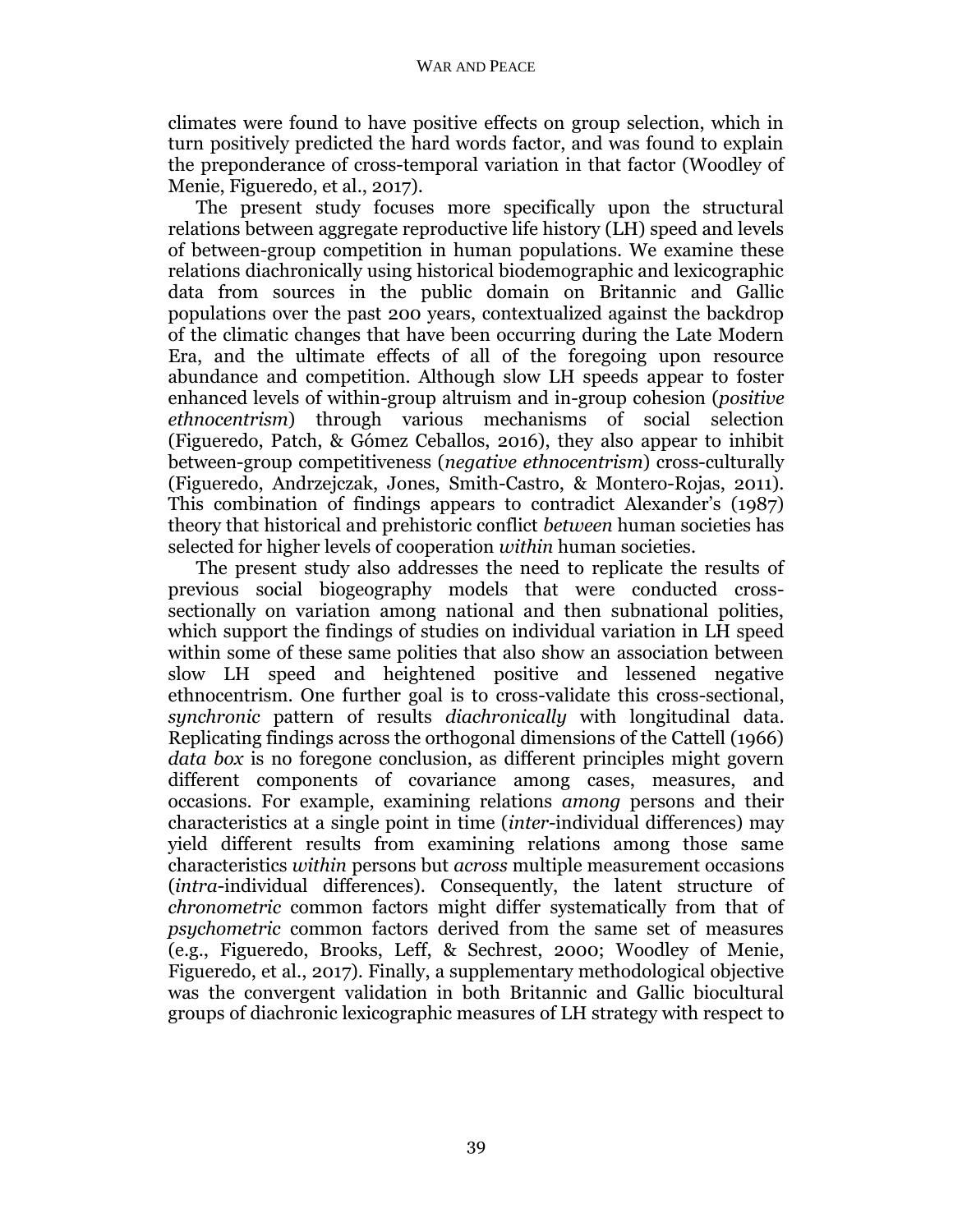climates were found to have positive effects on group selection, which in turn positively predicted the hard words factor, and was found to explain the preponderance of cross-temporal variation in that factor (Woodley of Menie, Figueredo, et al., 2017).

The present study focuses more specifically upon the structural relations between aggregate reproductive life history (LH) speed and levels of between-group competition in human populations. We examine these relations diachronically using historical biodemographic and lexicographic data from sources in the public domain on Britannic and Gallic populations over the past 200 years, contextualized against the backdrop of the climatic changes that have been occurring during the Late Modern Era, and the ultimate effects of all of the foregoing upon resource abundance and competition. Although slow LH speeds appear to foster enhanced levels of within-group altruism and in-group cohesion (*positive ethnocentrism*) through various mechanisms of social selection (Figueredo, Patch, & Gómez Ceballos, 2016), they also appear to inhibit between-group competitiveness (*negative ethnocentrism*) cross-culturally (Figueredo, Andrzejczak, Jones, Smith-Castro, & Montero-Rojas, 2011). This combination of findings appears to contradict Alexander's (1987) theory that historical and prehistoric conflict *between* human societies has selected for higher levels of cooperation *within* human societies.

The present study also addresses the need to replicate the results of previous social biogeography models that were conducted crosssectionally on variation among national and then subnational polities, which support the findings of studies on individual variation in LH speed within some of these same polities that also show an association between slow LH speed and heightened positive and lessened negative ethnocentrism. One further goal is to cross-validate this cross-sectional, *synchronic* pattern of results *diachronically* with longitudinal data. Replicating findings across the orthogonal dimensions of the Cattell (1966) *data box* is no foregone conclusion, as different principles might govern different components of covariance among cases, measures, and occasions. For example, examining relations *among* persons and their characteristics at a single point in time (*inter*-individual differences) may yield different results from examining relations among those same characteristics *within* persons but *across* multiple measurement occasions (*intra*-individual differences). Consequently, the latent structure of *chronometric* common factors might differ systematically from that of *psychometric* common factors derived from the same set of measures (e.g., Figueredo, Brooks, Leff, & Sechrest, 2000; Woodley of Menie, Figueredo, et al., 2017). Finally, a supplementary methodological objective was the convergent validation in both Britannic and Gallic biocultural groups of diachronic lexicographic measures of LH strategy with respect to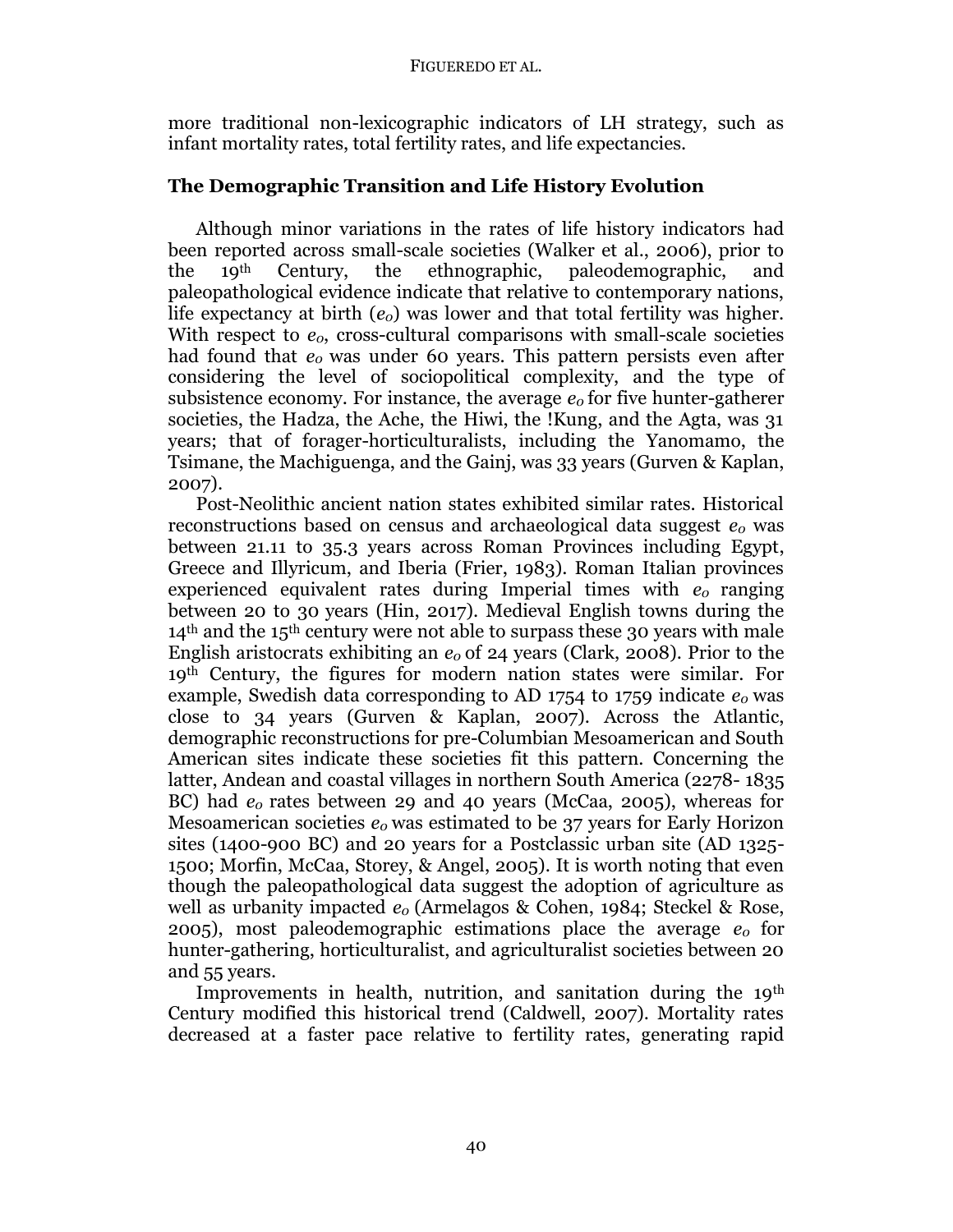more traditional non-lexicographic indicators of LH strategy, such as infant mortality rates, total fertility rates, and life expectancies.

# **The Demographic Transition and Life History Evolution**

Although minor variations in the rates of life history indicators had been reported across small-scale societies (Walker et al., 2006), prior to the 19th Century, the ethnographic, paleodemographic, and paleopathological evidence indicate that relative to contemporary nations, life expectancy at birth (*e0*) was lower and that total fertility was higher. With respect to  $e_0$ , cross-cultural comparisons with small-scale societies had found that *e0* was under 60 years. This pattern persists even after considering the level of sociopolitical complexity, and the type of subsistence economy. For instance, the average *e0* for five hunter-gatherer societies, the Hadza, the Ache, the Hiwi, the !Kung, and the Agta, was 31 years; that of forager-horticulturalists, including the Yanomamo, the Tsimane, the Machiguenga, and the Gainj, was 33 years (Gurven & Kaplan, 2007).

Post-Neolithic ancient nation states exhibited similar rates. Historical reconstructions based on census and archaeological data suggest *e<sup>0</sup>* was between 21.11 to 35.3 years across Roman Provinces including Egypt, Greece and Illyricum, and Iberia (Frier, 1983). Roman Italian provinces experienced equivalent rates during Imperial times with *e0* ranging between 20 to 30 years (Hin, 2017). Medieval English towns during the  $14<sup>th</sup>$  and the 15<sup>th</sup> century were not able to surpass these 30 years with male English aristocrats exhibiting an *e0* of 24 years (Clark, 2008). Prior to the 19th Century, the figures for modern nation states were similar. For example, Swedish data corresponding to AD 1754 to 1759 indicate  $e_0$  was close to 34 years (Gurven & Kaplan, 2007). Across the Atlantic, demographic reconstructions for pre-Columbian Mesoamerican and South American sites indicate these societies fit this pattern. Concerning the latter, Andean and coastal villages in northern South America (2278- 1835 BC) had *e0* rates between 29 and 40 years (McCaa, 2005), whereas for Mesoamerican societies *e0* was estimated to be 37 years for Early Horizon sites (1400-900 BC) and 20 years for a Postclassic urban site (AD 1325- 1500; Morfin, McCaa, Storey, & Angel, 2005). It is worth noting that even though the paleopathological data suggest the adoption of agriculture as well as urbanity impacted *e0* (Armelagos & Cohen, 1984; Steckel & Rose, 2005), most paleodemographic estimations place the average *e0* for hunter-gathering, horticulturalist, and agriculturalist societies between 20 and 55 years.

Improvements in health, nutrition, and sanitation during the 19<sup>th</sup> Century modified this historical trend (Caldwell, 2007). Mortality rates decreased at a faster pace relative to fertility rates, generating rapid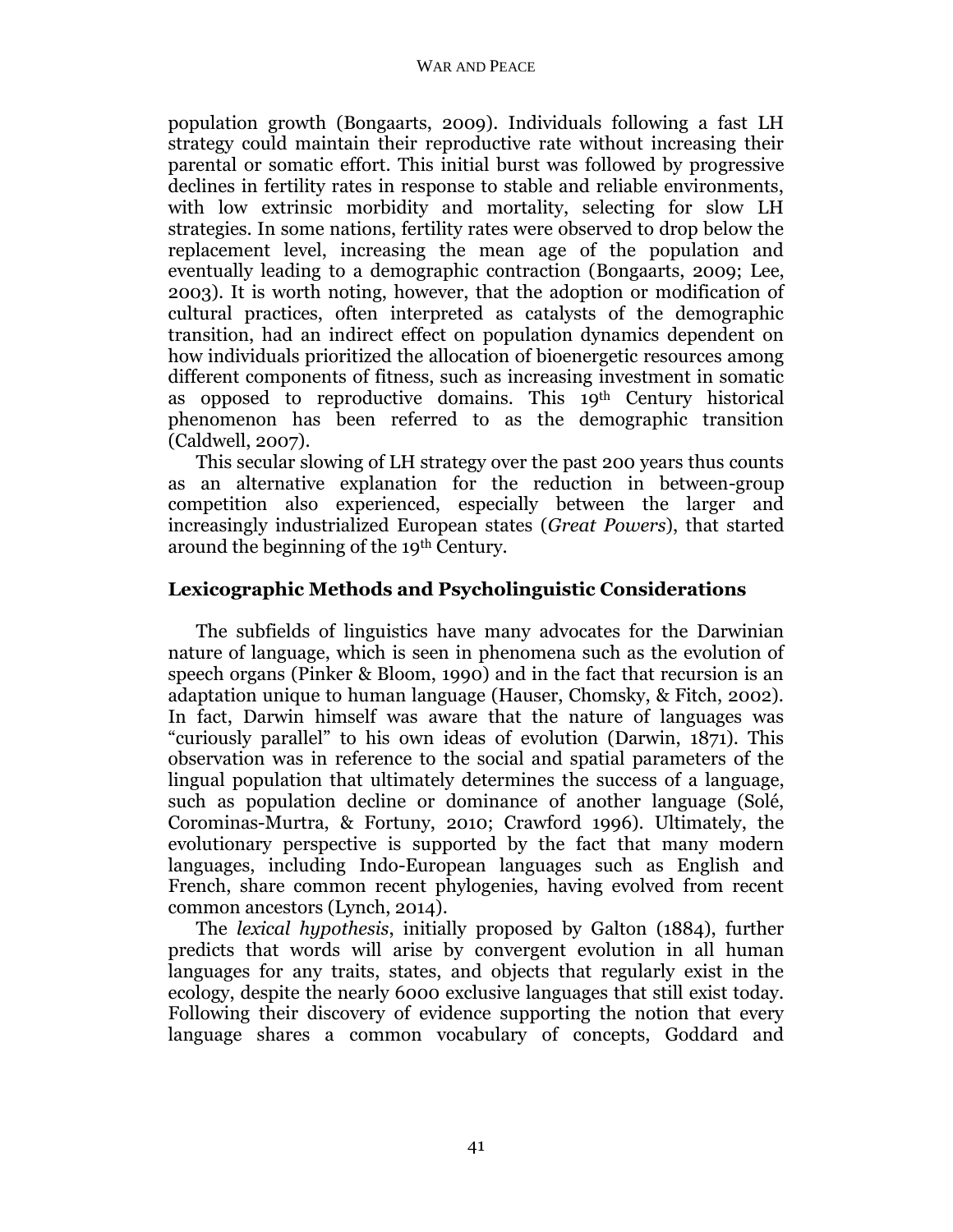population growth (Bongaarts, 2009). Individuals following a fast LH strategy could maintain their reproductive rate without increasing their parental or somatic effort. This initial burst was followed by progressive declines in fertility rates in response to stable and reliable environments, with low extrinsic morbidity and mortality, selecting for slow LH strategies. In some nations, fertility rates were observed to drop below the replacement level, increasing the mean age of the population and eventually leading to a demographic contraction (Bongaarts, 2009; Lee, 2003). It is worth noting, however, that the adoption or modification of cultural practices, often interpreted as catalysts of the demographic transition, had an indirect effect on population dynamics dependent on how individuals prioritized the allocation of bioenergetic resources among different components of fitness, such as increasing investment in somatic as opposed to reproductive domains. This 19th Century historical phenomenon has been referred to as the demographic transition (Caldwell, 2007).

This secular slowing of LH strategy over the past 200 years thus counts as an alternative explanation for the reduction in between-group competition also experienced, especially between the larger and increasingly industrialized European states (*Great Powers*), that started around the beginning of the 19th Century.

# **Lexicographic Methods and Psycholinguistic Considerations**

The subfields of linguistics have many advocates for the Darwinian nature of language, which is seen in phenomena such as the evolution of speech organs (Pinker & Bloom, 1990) and in the fact that recursion is an adaptation unique to human language (Hauser, Chomsky, & Fitch, 2002). In fact, Darwin himself was aware that the nature of languages was "curiously parallel" to his own ideas of evolution (Darwin, 1871). This observation was in reference to the social and spatial parameters of the lingual population that ultimately determines the success of a language, such as population decline or dominance of another language (Solé, Corominas-Murtra, & Fortuny, 2010; Crawford 1996). Ultimately, the evolutionary perspective is supported by the fact that many modern languages, including Indo-European languages such as English and French, share common recent phylogenies, having evolved from recent common ancestors (Lynch, 2014).

The *lexical hypothesis*, initially proposed by Galton (1884), further predicts that words will arise by convergent evolution in all human languages for any traits, states, and objects that regularly exist in the ecology, despite the nearly 6000 exclusive languages that still exist today. Following their discovery of evidence supporting the notion that every language shares a common vocabulary of concepts, Goddard and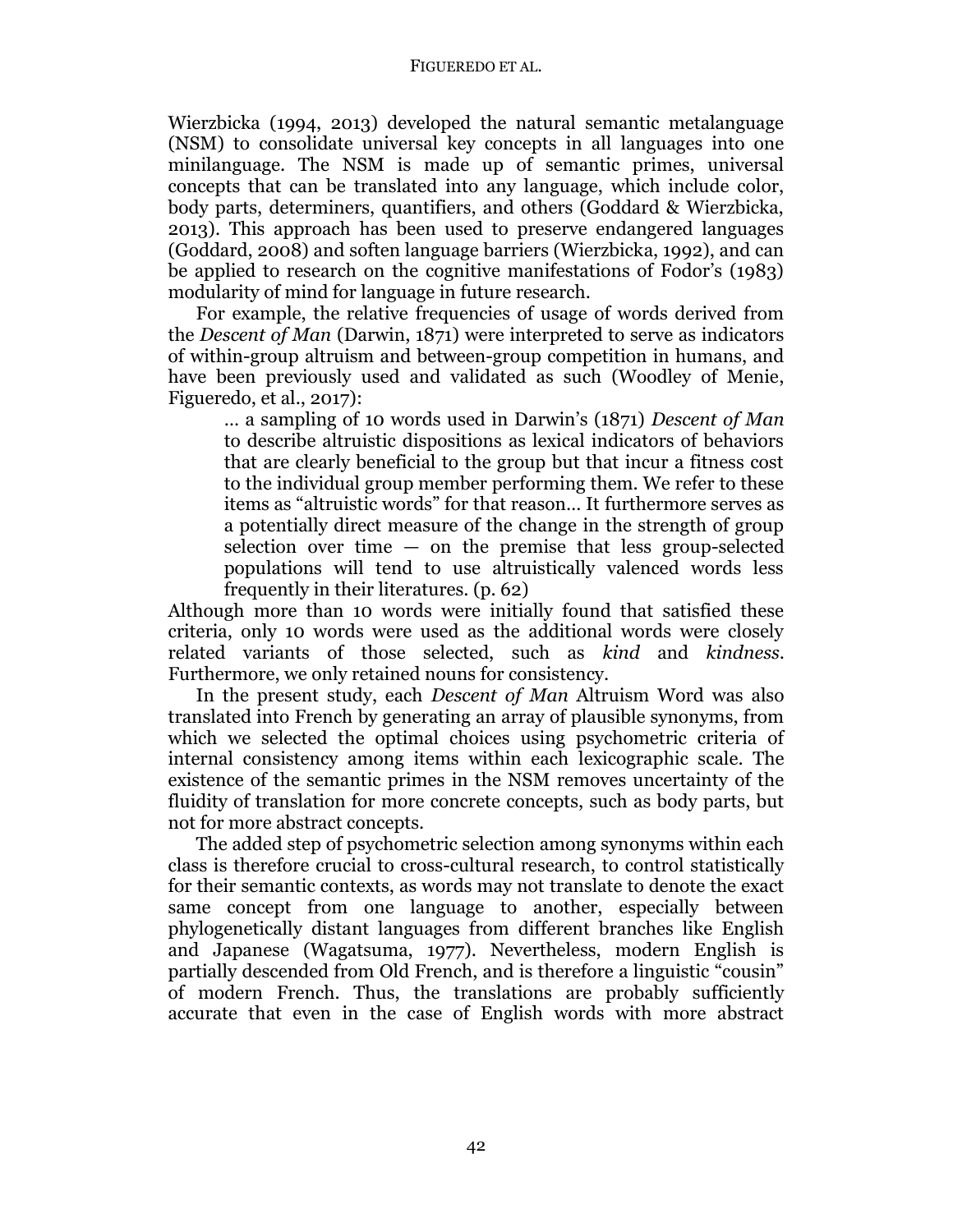Wierzbicka (1994, 2013) developed the natural semantic metalanguage (NSM) to consolidate universal key concepts in all languages into one minilanguage. The NSM is made up of semantic primes, universal concepts that can be translated into any language, which include color, body parts, determiners, quantifiers, and others (Goddard & Wierzbicka, 2013). This approach has been used to preserve endangered languages (Goddard, 2008) and soften language barriers (Wierzbicka, 1992), and can be applied to research on the cognitive manifestations of Fodor's (1983) modularity of mind for language in future research.

For example, the relative frequencies of usage of words derived from the *Descent of Man* (Darwin, 1871) were interpreted to serve as indicators of within-group altruism and between-group competition in humans, and have been previously used and validated as such (Woodley of Menie, Figueredo, et al., 2017):

… a sampling of 10 words used in Darwin's (1871) *Descent of Man* to describe altruistic dispositions as lexical indicators of behaviors that are clearly beneficial to the group but that incur a fitness cost to the individual group member performing them. We refer to these items as "altruistic words" for that reason… It furthermore serves as a potentially direct measure of the change in the strength of group selection over time  $-$  on the premise that less group-selected populations will tend to use altruistically valenced words less frequently in their literatures. (p. 62)

Although more than 10 words were initially found that satisfied these criteria, only 10 words were used as the additional words were closely related variants of those selected, such as *kind* and *kindness*. Furthermore, we only retained nouns for consistency.

In the present study, each *Descent of Man* Altruism Word was also translated into French by generating an array of plausible synonyms, from which we selected the optimal choices using psychometric criteria of internal consistency among items within each lexicographic scale. The existence of the semantic primes in the NSM removes uncertainty of the fluidity of translation for more concrete concepts, such as body parts, but not for more abstract concepts.

The added step of psychometric selection among synonyms within each class is therefore crucial to cross-cultural research, to control statistically for their semantic contexts, as words may not translate to denote the exact same concept from one language to another, especially between phylogenetically distant languages from different branches like English and Japanese (Wagatsuma, 1977). Nevertheless, modern English is partially descended from Old French, and is therefore a linguistic "cousin" of modern French. Thus, the translations are probably sufficiently accurate that even in the case of English words with more abstract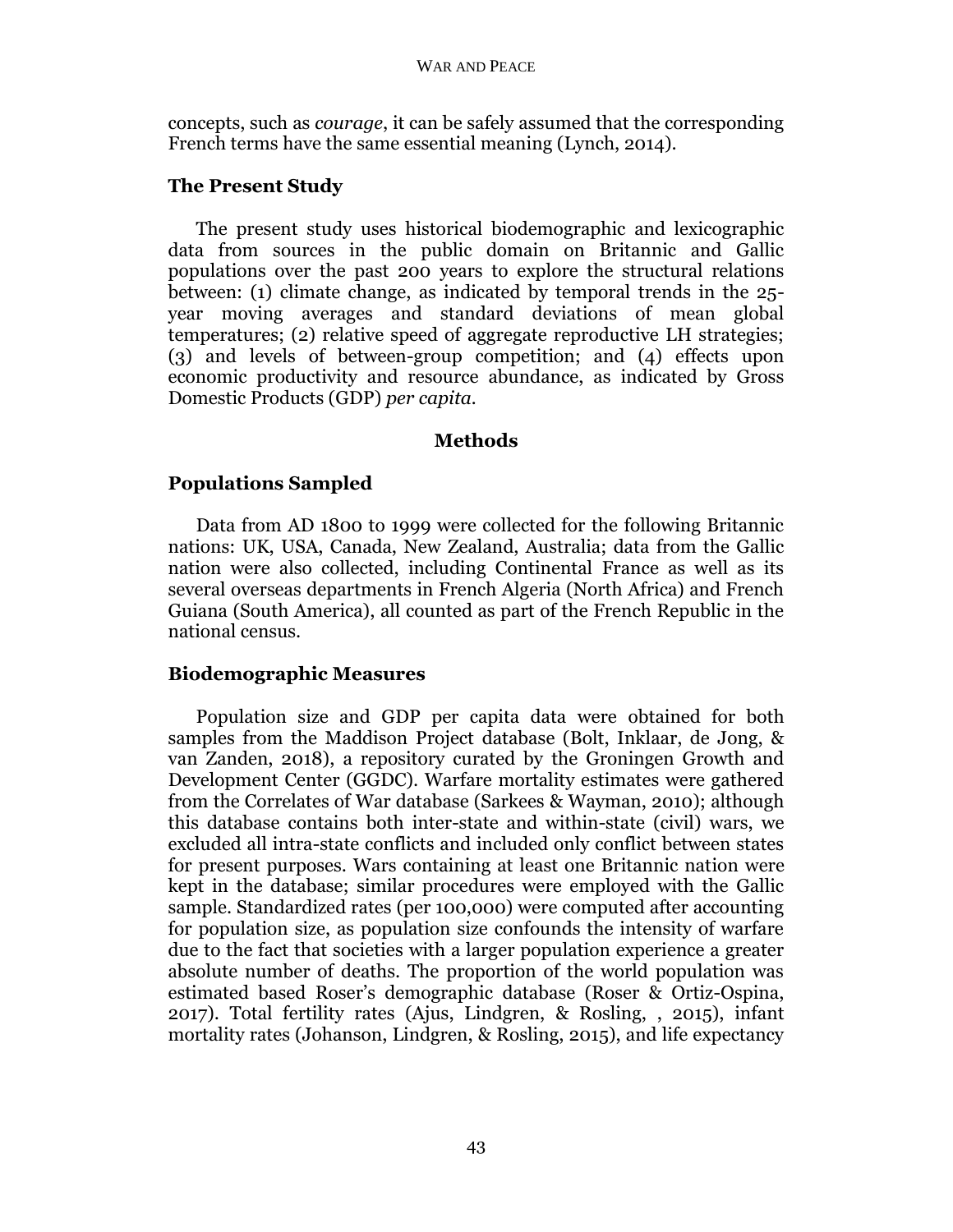concepts, such as *courage*, it can be safely assumed that the corresponding French terms have the same essential meaning (Lynch, 2014).

## **The Present Study**

The present study uses historical biodemographic and lexicographic data from sources in the public domain on Britannic and Gallic populations over the past 200 years to explore the structural relations between: (1) climate change, as indicated by temporal trends in the 25 year moving averages and standard deviations of mean global temperatures; (2) relative speed of aggregate reproductive LH strategies; (3) and levels of between-group competition; and (4) effects upon economic productivity and resource abundance, as indicated by Gross Domestic Products (GDP) *per capita.*

## **Methods**

# **Populations Sampled**

Data from AD 1800 to 1999 were collected for the following Britannic nations: UK, USA, Canada, New Zealand, Australia; data from the Gallic nation were also collected, including Continental France as well as its several overseas departments in French Algeria (North Africa) and French Guiana (South America), all counted as part of the French Republic in the national census.

## **Biodemographic Measures**

Population size and GDP per capita data were obtained for both samples from the Maddison Project database (Bolt, Inklaar, de Jong, & van Zanden, 2018), a repository curated by the Groningen Growth and Development Center (GGDC). Warfare mortality estimates were gathered from the Correlates of War database (Sarkees & Wayman, 2010); although this database contains both inter-state and within-state (civil) wars, we excluded all intra-state conflicts and included only conflict between states for present purposes. Wars containing at least one Britannic nation were kept in the database; similar procedures were employed with the Gallic sample. Standardized rates (per 100,000) were computed after accounting for population size, as population size confounds the intensity of warfare due to the fact that societies with a larger population experience a greater absolute number of deaths. The proportion of the world population was estimated based Roser's demographic database (Roser & Ortiz-Ospina, 2017). Total fertility rates (Ajus, Lindgren, & Rosling, , 2015), infant mortality rates (Johanson, Lindgren, & Rosling, 2015), and life expectancy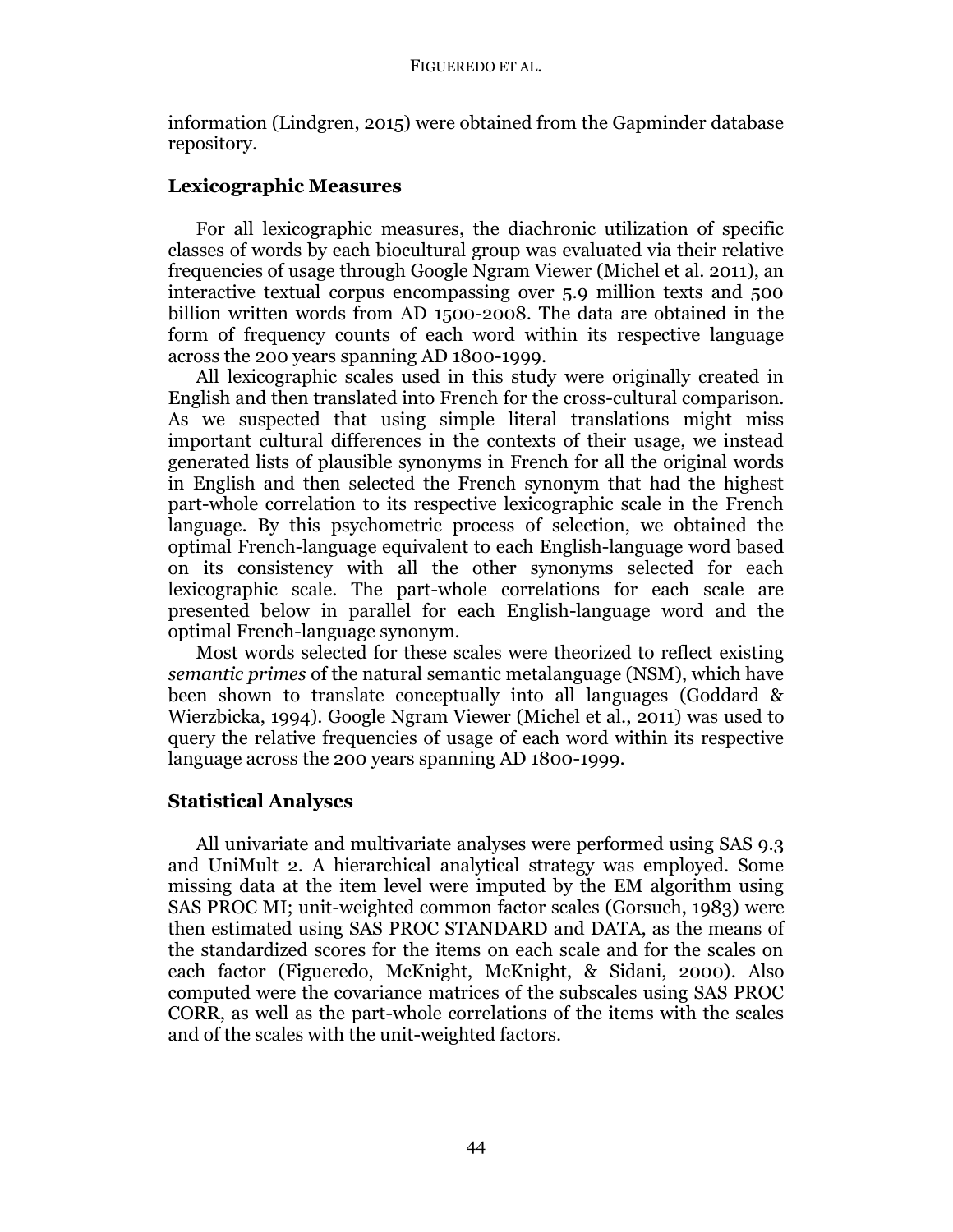information (Lindgren, 2015) were obtained from the Gapminder database repository.

## **Lexicographic Measures**

For all lexicographic measures, the diachronic utilization of specific classes of words by each biocultural group was evaluated via their relative frequencies of usage through Google Ngram Viewer (Michel et al. 2011), an interactive textual corpus encompassing over 5.9 million texts and 500 billion written words from AD 1500-2008. The data are obtained in the form of frequency counts of each word within its respective language across the 200 years spanning AD 1800-1999.

All lexicographic scales used in this study were originally created in English and then translated into French for the cross-cultural comparison. As we suspected that using simple literal translations might miss important cultural differences in the contexts of their usage, we instead generated lists of plausible synonyms in French for all the original words in English and then selected the French synonym that had the highest part-whole correlation to its respective lexicographic scale in the French language. By this psychometric process of selection, we obtained the optimal French-language equivalent to each English-language word based on its consistency with all the other synonyms selected for each lexicographic scale. The part-whole correlations for each scale are presented below in parallel for each English-language word and the optimal French-language synonym.

Most words selected for these scales were theorized to reflect existing *semantic primes* of the natural semantic metalanguage (NSM), which have been shown to translate conceptually into all languages (Goddard & Wierzbicka, 1994). Google Ngram Viewer (Michel et al., 2011) was used to query the relative frequencies of usage of each word within its respective language across the 200 years spanning AD 1800-1999.

## **Statistical Analyses**

All univariate and multivariate analyses were performed using SAS 9.3 and UniMult 2. A hierarchical analytical strategy was employed. Some missing data at the item level were imputed by the EM algorithm using SAS PROC MI; unit-weighted common factor scales (Gorsuch, 1983) were then estimated using SAS PROC STANDARD and DATA, as the means of the standardized scores for the items on each scale and for the scales on each factor (Figueredo, McKnight, McKnight, & Sidani, 2000). Also computed were the covariance matrices of the subscales using SAS PROC CORR, as well as the part-whole correlations of the items with the scales and of the scales with the unit-weighted factors.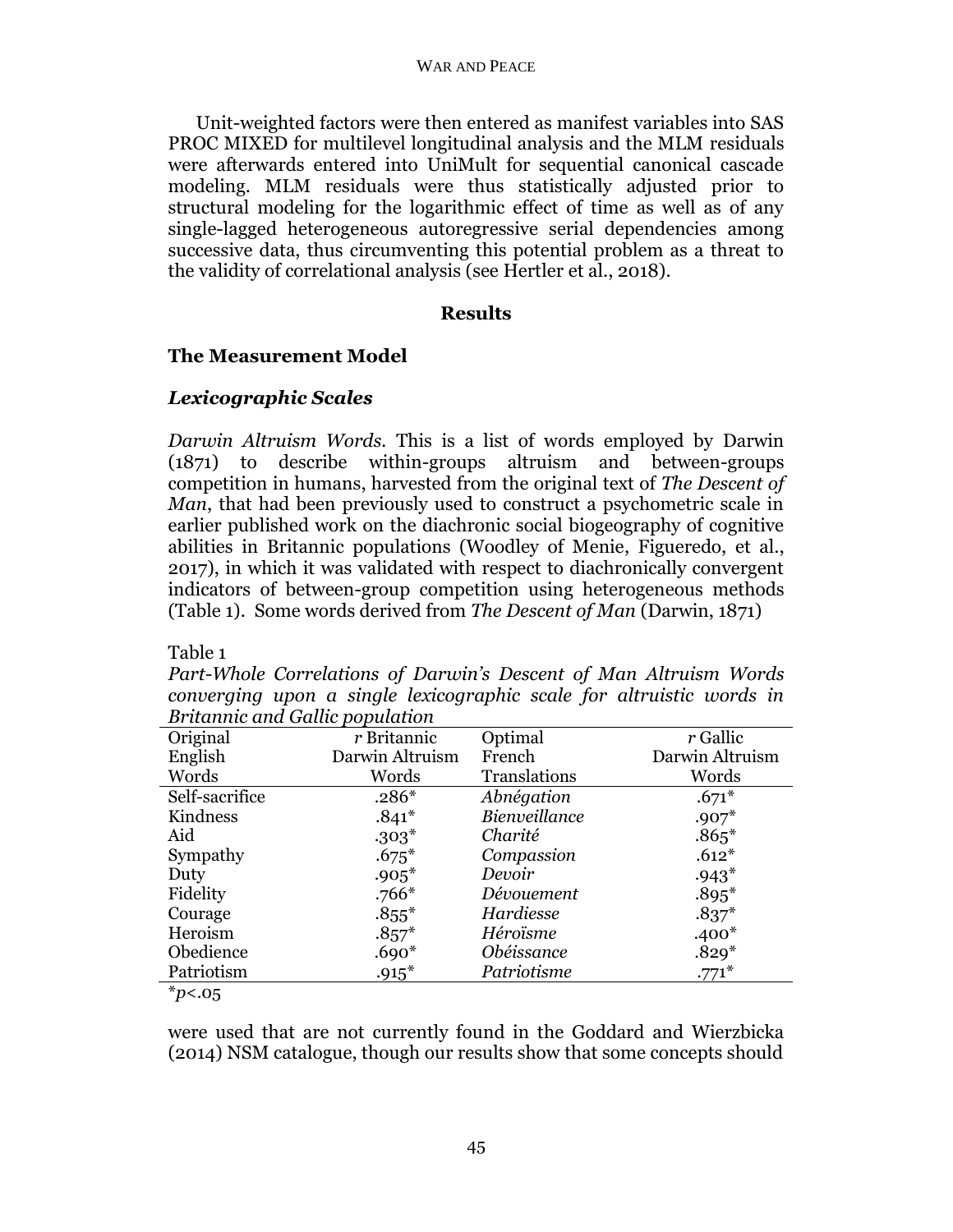Unit-weighted factors were then entered as manifest variables into SAS PROC MIXED for multilevel longitudinal analysis and the MLM residuals were afterwards entered into UniMult for sequential canonical cascade modeling. MLM residuals were thus statistically adjusted prior to structural modeling for the logarithmic effect of time as well as of any single-lagged heterogeneous autoregressive serial dependencies among successive data, thus circumventing this potential problem as a threat to the validity of correlational analysis (see Hertler et al., 2018).

## **Results**

# **The Measurement Model**

# *Lexicographic Scales*

*Darwin Altruism Words.* This is a list of words employed by Darwin (1871) to describe within-groups altruism and between-groups competition in humans, harvested from the original text of *The Descent of Man*, that had been previously used to construct a psychometric scale in earlier published work on the diachronic social biogeography of cognitive abilities in Britannic populations (Woodley of Menie, Figueredo, et al., 2017), in which it was validated with respect to diachronically convergent indicators of between-group competition using heterogeneous methods (Table 1). Some words derived from *The Descent of Man* (Darwin, 1871)

Table 1

*Part-Whole Correlations of Darwin's Descent of Man Altruism Words converging upon a single lexicographic scale for altruistic words in Britannic and Gallic population* 

| Original                                                | $r$ Britannic   | Optimal       | r Gallic        |
|---------------------------------------------------------|-----------------|---------------|-----------------|
| English                                                 | Darwin Altruism | French        | Darwin Altruism |
| Words                                                   | Words           | Translations  | Words           |
| Self-sacrifice                                          | $.286*$         | Abnégation    | $.671*$         |
| Kindness                                                | $.841*$         | Bienveillance | $.907*$         |
| Aid                                                     | $.303*$         | Charité       | $.865*$         |
| Sympathy                                                | $.675*$         | Compassion    | $.612*$         |
| Duty                                                    | $.905*$         | Devoir        | $.943*$         |
| Fidelity                                                | $.766*$         | Dévouement    | $.895*$         |
| Courage                                                 | $.855*$         | Hardiesse     | $.837*$         |
| Heroism                                                 | $.857*$         | Héroïsme      | $.400*$         |
| Obedience                                               | $.690*$         | Obéissance    | $.829*$         |
| Patriotism                                              | $.915*$         | Patriotisme   | $.771*$         |
| $\frac{M}{2}$ $\frac{M}{2}$ $\frac{M}{2}$ $\frac{M}{2}$ |                 |               |                 |

<sup>\*</sup>*p*<.05

were used that are not currently found in the Goddard and Wierzbicka (2014) NSM catalogue, though our results show that some concepts should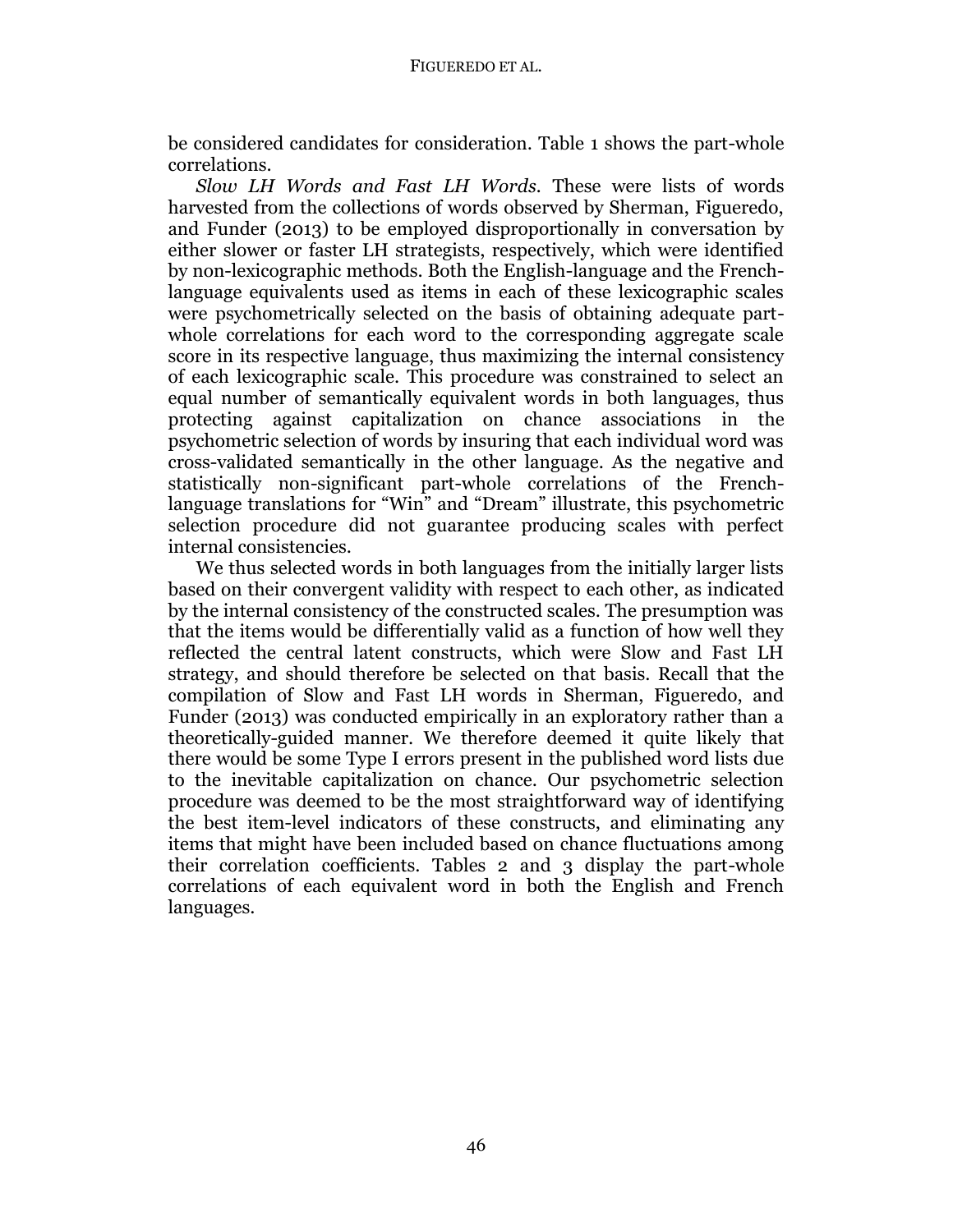be considered candidates for consideration. Table 1 shows the part-whole correlations.

*Slow LH Words and Fast LH Words.* These were lists of words harvested from the collections of words observed by Sherman, Figueredo, and Funder (2013) to be employed disproportionally in conversation by either slower or faster LH strategists, respectively, which were identified by non-lexicographic methods. Both the English-language and the Frenchlanguage equivalents used as items in each of these lexicographic scales were psychometrically selected on the basis of obtaining adequate partwhole correlations for each word to the corresponding aggregate scale score in its respective language, thus maximizing the internal consistency of each lexicographic scale. This procedure was constrained to select an equal number of semantically equivalent words in both languages, thus protecting against capitalization on chance associations in the psychometric selection of words by insuring that each individual word was cross-validated semantically in the other language. As the negative and statistically non-significant part-whole correlations of the Frenchlanguage translations for "Win" and "Dream" illustrate, this psychometric selection procedure did not guarantee producing scales with perfect internal consistencies.

We thus selected words in both languages from the initially larger lists based on their convergent validity with respect to each other, as indicated by the internal consistency of the constructed scales. The presumption was that the items would be differentially valid as a function of how well they reflected the central latent constructs, which were Slow and Fast LH strategy, and should therefore be selected on that basis. Recall that the compilation of Slow and Fast LH words in Sherman, Figueredo, and Funder (2013) was conducted empirically in an exploratory rather than a theoretically-guided manner. We therefore deemed it quite likely that there would be some Type I errors present in the published word lists due to the inevitable capitalization on chance. Our psychometric selection procedure was deemed to be the most straightforward way of identifying the best item-level indicators of these constructs, and eliminating any items that might have been included based on chance fluctuations among their correlation coefficients. Tables 2 and 3 display the part-whole correlations of each equivalent word in both the English and French languages.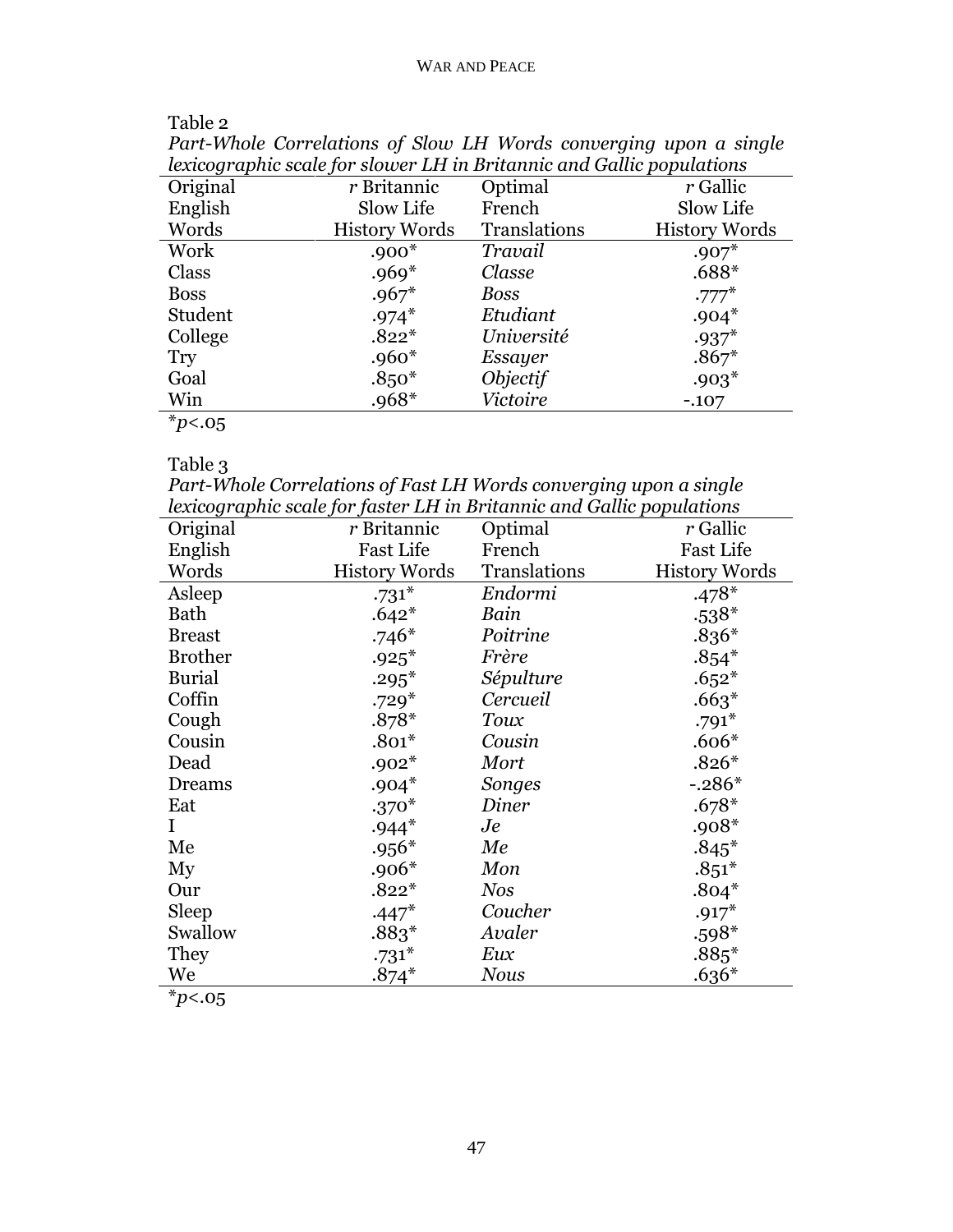| lexicographic scale for slower LH in Britannic and Gallic populations |                      |              |                      |  |
|-----------------------------------------------------------------------|----------------------|--------------|----------------------|--|
| Original                                                              | $r$ Britannic        | Optimal      | r Gallic             |  |
| English                                                               | Slow Life            | French       | Slow Life            |  |
| Words                                                                 | <b>History Words</b> | Translations | <b>History Words</b> |  |
| Work                                                                  | $.900*$              | Travail      | $.907*$              |  |
| Class                                                                 | $.969*$              | Classe       | $.688*$              |  |
| <b>Boss</b>                                                           | $.967*$              | Boss         | $.777*$              |  |
| Student                                                               | $.974*$              | Etudiant     | $.904*$              |  |
| College                                                               | $.822*$              | Université   | $.937*$              |  |
| <b>Try</b>                                                            | $.960*$              | Essayer      | $.867*$              |  |
| Goal                                                                  | $.850*$              | Objectif     | $.903*$              |  |
| Win                                                                   | $.968*$              | Victoire     | $-.107$              |  |
| $*n$ $\sim$ $\sim$                                                    |                      |              |                      |  |

Table 2

*Part-Whole Correlations of Slow LH Words converging upon a single* 

\**p*<.05

# Table 3

*Part-Whole Correlations of Fast LH Words converging upon a single lexicographic scale for faster LH in Britannic and Gallic populations*

| Original       | r Britannic          | Optimal      | r Gallic             |
|----------------|----------------------|--------------|----------------------|
| English        | <b>Fast Life</b>     | French       | <b>Fast Life</b>     |
| Words          | <b>History Words</b> | Translations | <b>History Words</b> |
| Asleep         | $.731*$              | Endormi      | $.478*$              |
| Bath           | $.642*$              | Bain         | $.538*$              |
| <b>Breast</b>  | $.746*$              | Poitrine     | $.836*$              |
| <b>Brother</b> | $.925*$              | Frère        | $.854*$              |
| <b>Burial</b>  | $.295*$              | Sépulture    | $.652*$              |
| Coffin         | $.729*$              | Cercueil     | $.663*$              |
| Cough          | $.878*$              | Toux         | $.791*$              |
| Cousin         | $.801*$              | Cousin       | $.606*$              |
| Dead           | $.902*$              | Mort         | $.826*$              |
| Dreams         | $.904*$              | Songes       | $-.286*$             |
| Eat            | $.370*$              | Diner        | $.678*$              |
| $\bf{I}$       | $.944*$              | Je           | $.908*$              |
| Me             | $.956*$              | Me           | $.845*$              |
| My             | $.906*$              | Mon          | $.851*$              |
| Our            | $.822*$              | <b>Nos</b>   | $.804*$              |
| Sleep          | $.447*$              | Coucher      | $.917*$              |
| Swallow        | $.883*$              | Avaler       | $.598*$              |
| They           | $.731*$              | Eux          | $.885*$              |
| We             | $.874*$              | <b>Nous</b>  | $.636*$              |
| $\mathbf{v}$   |                      |              |                      |

\**p*<.05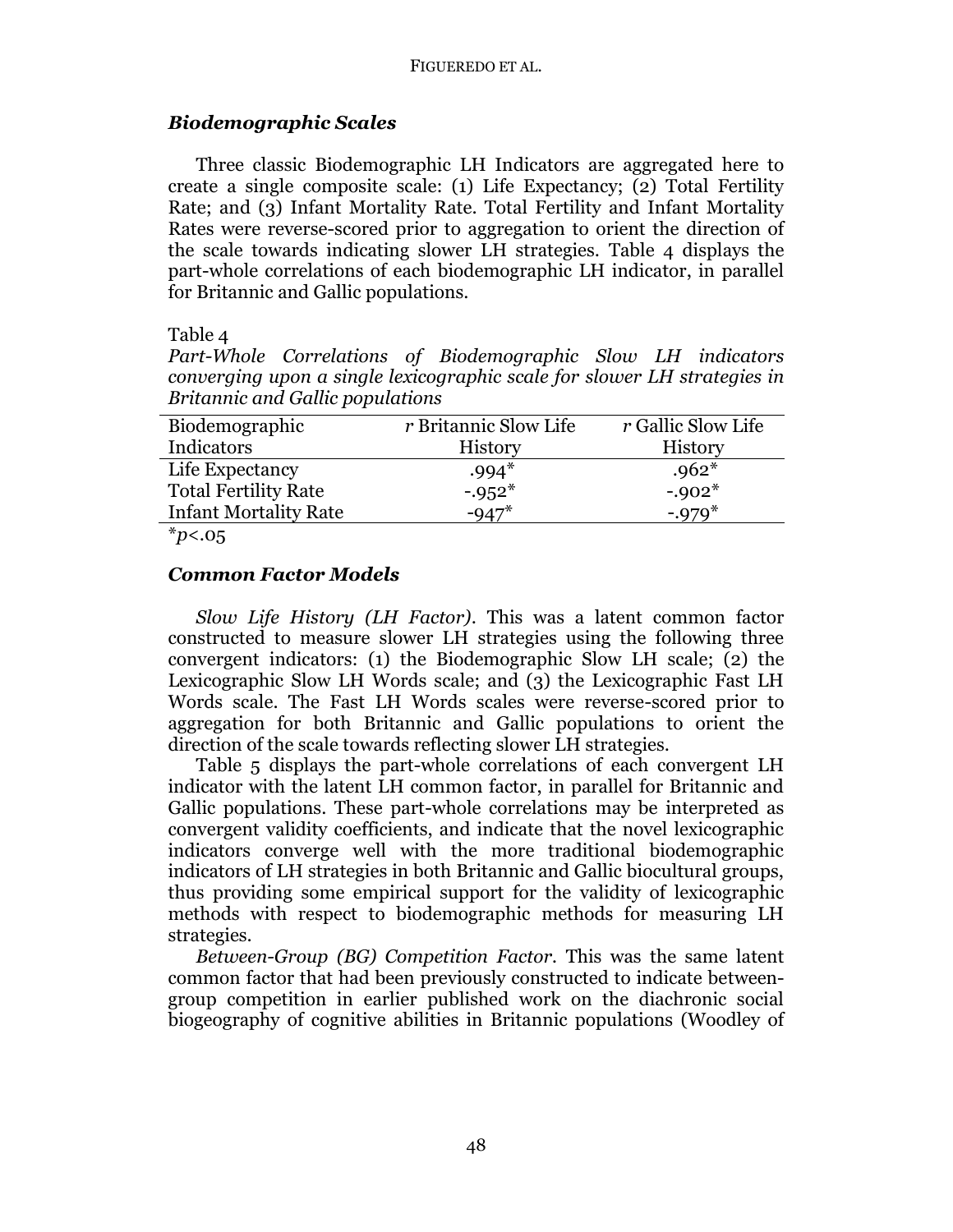## *Biodemographic Scales*

Three classic Biodemographic LH Indicators are aggregated here to create a single composite scale: (1) Life Expectancy; (2) Total Fertility Rate; and (3) Infant Mortality Rate. Total Fertility and Infant Mortality Rates were reverse-scored prior to aggregation to orient the direction of the scale towards indicating slower LH strategies. Table 4 displays the part-whole correlations of each biodemographic LH indicator, in parallel for Britannic and Gallic populations.

### Table 4

*Part-Whole Correlations of Biodemographic Slow LH indicators converging upon a single lexicographic scale for slower LH strategies in Britannic and Gallic populations*

| Biodemographic                           | <i>r</i> Britannic Slow Life | r Gallic Slow Life |
|------------------------------------------|------------------------------|--------------------|
| Indicators                               | History                      | History            |
| Life Expectancy                          | $.994*$                      | $.962*$            |
| <b>Total Fertility Rate</b>              | $-0.952*$                    | $-0.02*$           |
| <b>Infant Mortality Rate</b>             | $-947*$                      | $-.979*$           |
| $\mathcal{M}$ . The set of $\mathcal{M}$ |                              |                    |

\**p*<.05

## *Common Factor Models*

*Slow Life History (LH Factor)*. This was a latent common factor constructed to measure slower LH strategies using the following three convergent indicators: (1) the Biodemographic Slow LH scale; (2) the Lexicographic Slow LH Words scale; and (3) the Lexicographic Fast LH Words scale. The Fast LH Words scales were reverse-scored prior to aggregation for both Britannic and Gallic populations to orient the direction of the scale towards reflecting slower LH strategies.

Table 5 displays the part-whole correlations of each convergent LH indicator with the latent LH common factor, in parallel for Britannic and Gallic populations. These part-whole correlations may be interpreted as convergent validity coefficients, and indicate that the novel lexicographic indicators converge well with the more traditional biodemographic indicators of LH strategies in both Britannic and Gallic biocultural groups, thus providing some empirical support for the validity of lexicographic methods with respect to biodemographic methods for measuring LH strategies.

*Between-Group (BG) Competition Factor.* This was the same latent common factor that had been previously constructed to indicate betweengroup competition in earlier published work on the diachronic social biogeography of cognitive abilities in Britannic populations (Woodley of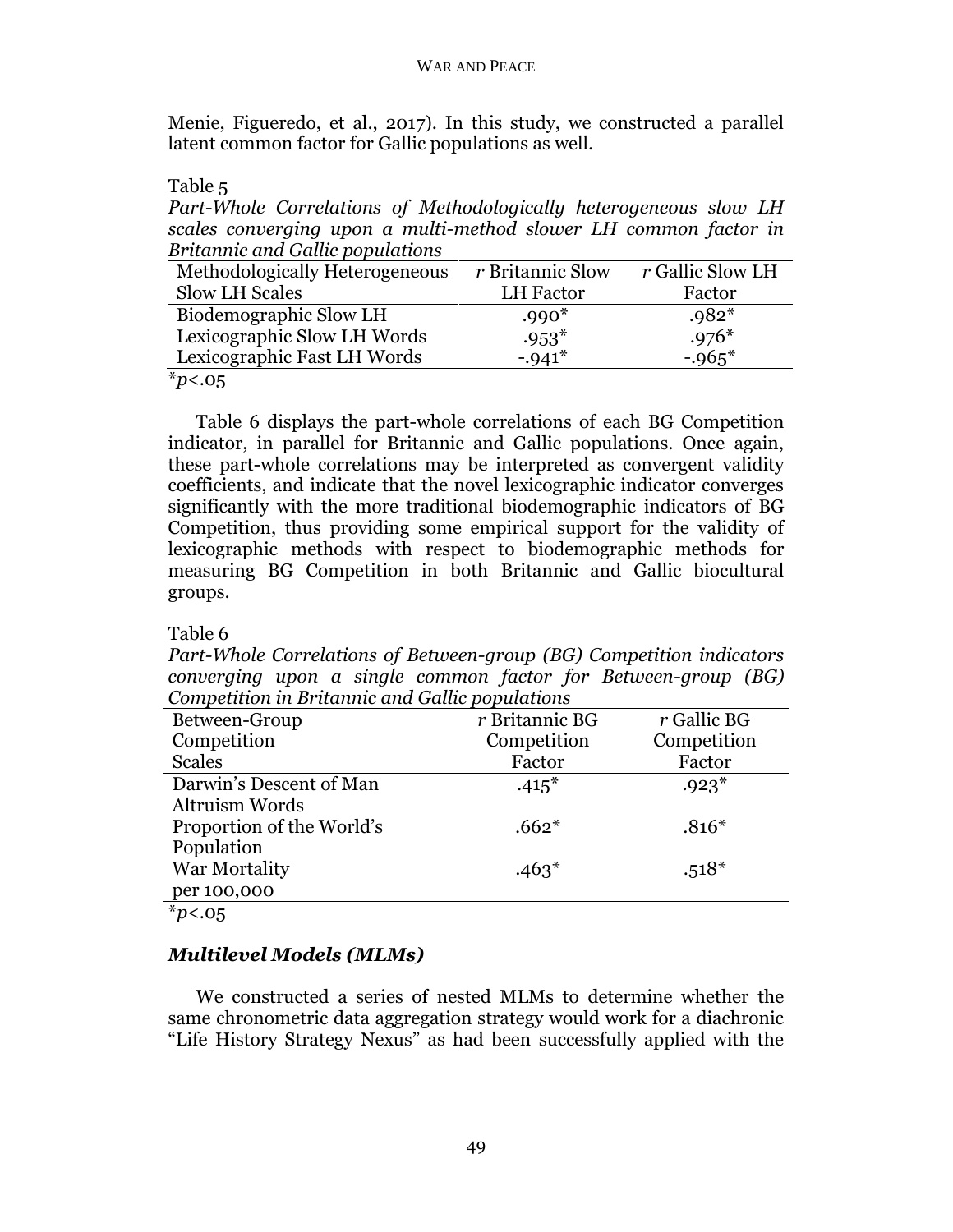Menie, Figueredo, et al., 2017). In this study, we constructed a parallel latent common factor for Gallic populations as well.

Table 5

*Part-Whole Correlations of Methodologically heterogeneous slow LH scales converging upon a multi-method slower LH common factor in Britannic and Gallic populations* 

| r Britannic Slow | r Gallic Slow LH |
|------------------|------------------|
| LH Factor        | Factor           |
| $.990*$          | $.982*$          |
| $.953*$          | $.976*$          |
| $-.941*$         | $-0.965*$        |
|                  |                  |

\**p*<.05

Table 6 displays the part-whole correlations of each BG Competition indicator, in parallel for Britannic and Gallic populations. Once again, these part-whole correlations may be interpreted as convergent validity coefficients, and indicate that the novel lexicographic indicator converges significantly with the more traditional biodemographic indicators of BG Competition, thus providing some empirical support for the validity of lexicographic methods with respect to biodemographic methods for measuring BG Competition in both Britannic and Gallic biocultural groups.

## Table 6

*Part-Whole Correlations of Between-group (BG) Competition indicators converging upon a single common factor for Between-group (BG) Competition in Britannic and Gallic populations*

| Between-Group             | $r$ Britannic BG | $r$ Gallic BG |
|---------------------------|------------------|---------------|
| Competition               | Competition      | Competition   |
| <b>Scales</b>             | Factor           | Factor        |
| Darwin's Descent of Man   | $.415*$          | $.923*$       |
| Altruism Words            |                  |               |
| Proportion of the World's | $.662*$          | $.816*$       |
| Population                |                  |               |
| War Mortality             | $.463*$          | $.518*$       |
| per 100,000               |                  |               |
| $*_{p<.05}$               |                  |               |

## *Multilevel Models (MLMs)*

We constructed a series of nested MLMs to determine whether the same chronometric data aggregation strategy would work for a diachronic "Life History Strategy Nexus" as had been successfully applied with the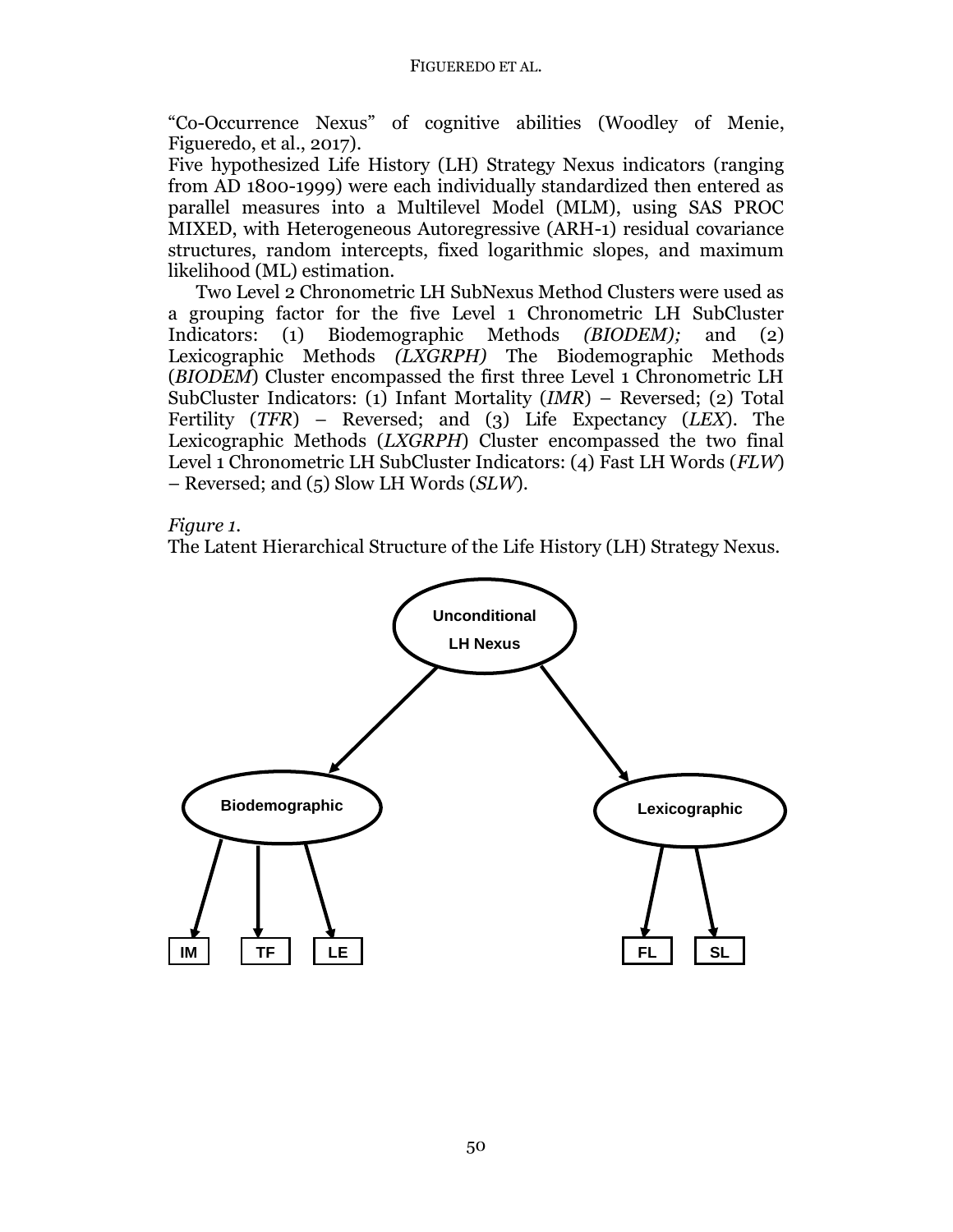"Co-Occurrence Nexus" of cognitive abilities (Woodley of Menie, Figueredo, et al., 2017).

Five hypothesized Life History (LH) Strategy Nexus indicators (ranging from AD 1800-1999) were each individually standardized then entered as parallel measures into a Multilevel Model (MLM), using SAS PROC MIXED, with Heterogeneous Autoregressive (ARH-1) residual covariance structures, random intercepts, fixed logarithmic slopes, and maximum likelihood (ML) estimation.

Two Level 2 Chronometric LH SubNexus Method Clusters were used as a grouping factor for the five Level 1 Chronometric LH SubCluster Indicators: (1) Biodemographic Methods *(BIODEM);* and (2) Lexicographic Methods *(LXGRPH)* The Biodemographic Methods (*BIODEM*) Cluster encompassed the first three Level 1 Chronometric LH SubCluster Indicators: (1) Infant Mortality (*IMR*) – Reversed; (2) Total Fertility (*TFR*) – Reversed; and (3) Life Expectancy (*LEX*). The Lexicographic Methods (*LXGRPH*) Cluster encompassed the two final Level 1 Chronometric LH SubCluster Indicators: (4) Fast LH Words (*FLW*) – Reversed; and (5) Slow LH Words (*SLW*).

*Figure 1.*

The Latent Hierarchical Structure of the Life History (LH) Strategy Nexus.

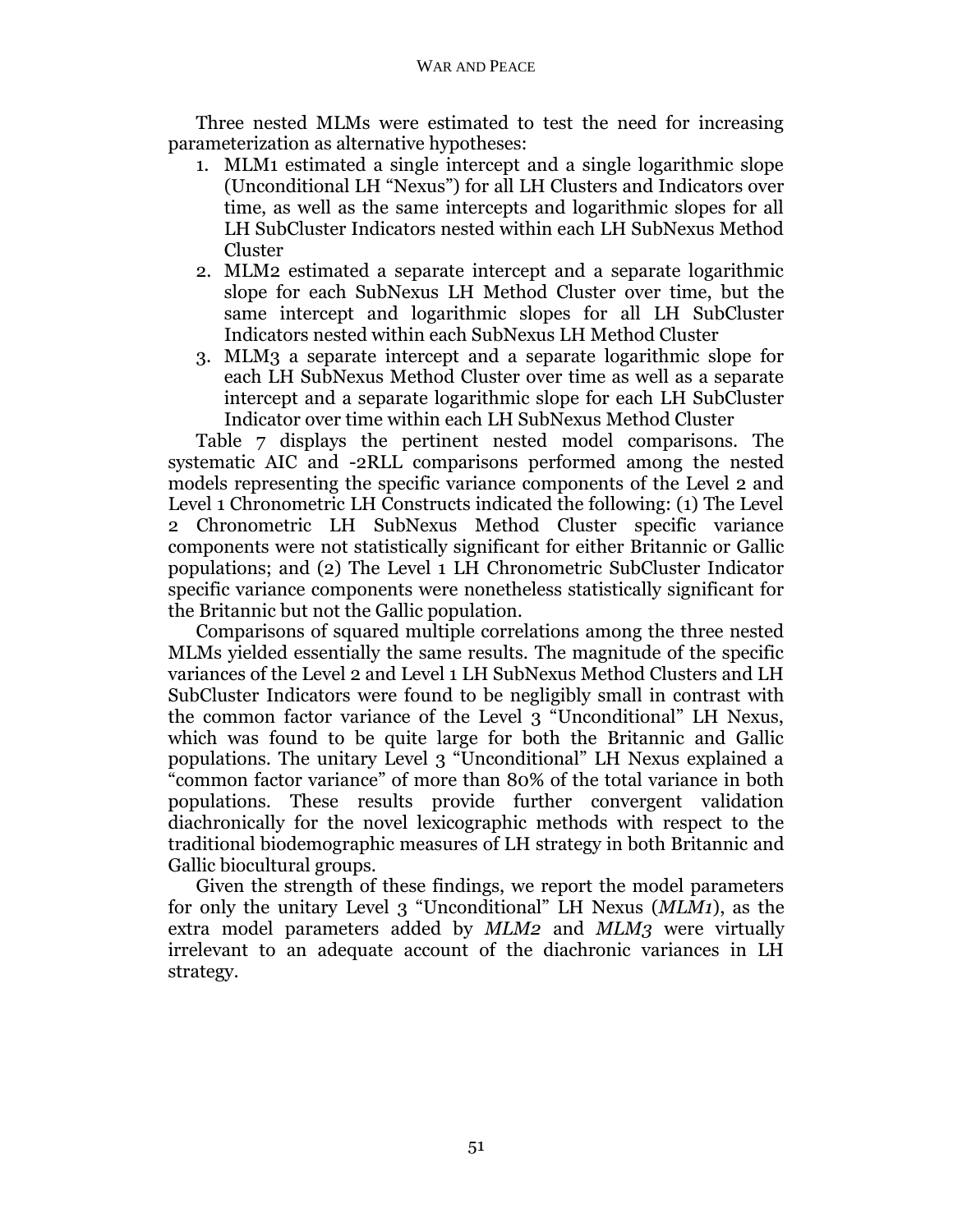Three nested MLMs were estimated to test the need for increasing parameterization as alternative hypotheses:

- 1. MLM1 estimated a single intercept and a single logarithmic slope (Unconditional LH "Nexus") for all LH Clusters and Indicators over time, as well as the same intercepts and logarithmic slopes for all LH SubCluster Indicators nested within each LH SubNexus Method Cluster
- 2. MLM2 estimated a separate intercept and a separate logarithmic slope for each SubNexus LH Method Cluster over time, but the same intercept and logarithmic slopes for all LH SubCluster Indicators nested within each SubNexus LH Method Cluster
- 3. MLM3 a separate intercept and a separate logarithmic slope for each LH SubNexus Method Cluster over time as well as a separate intercept and a separate logarithmic slope for each LH SubCluster Indicator over time within each LH SubNexus Method Cluster

Table 7 displays the pertinent nested model comparisons. The systematic AIC and -2RLL comparisons performed among the nested models representing the specific variance components of the Level 2 and Level 1 Chronometric LH Constructs indicated the following: (1) The Level 2 Chronometric LH SubNexus Method Cluster specific variance components were not statistically significant for either Britannic or Gallic populations; and (2) The Level 1 LH Chronometric SubCluster Indicator specific variance components were nonetheless statistically significant for the Britannic but not the Gallic population.

Comparisons of squared multiple correlations among the three nested MLMs yielded essentially the same results. The magnitude of the specific variances of the Level 2 and Level 1 LH SubNexus Method Clusters and LH SubCluster Indicators were found to be negligibly small in contrast with the common factor variance of the Level 3 "Unconditional" LH Nexus, which was found to be quite large for both the Britannic and Gallic populations. The unitary Level 3 "Unconditional" LH Nexus explained a "common factor variance" of more than 80% of the total variance in both populations. These results provide further convergent validation diachronically for the novel lexicographic methods with respect to the traditional biodemographic measures of LH strategy in both Britannic and Gallic biocultural groups.

Given the strength of these findings, we report the model parameters for only the unitary Level 3 "Unconditional" LH Nexus (*MLM1*), as the extra model parameters added by *MLM2* and *MLM3* were virtually irrelevant to an adequate account of the diachronic variances in LH strategy.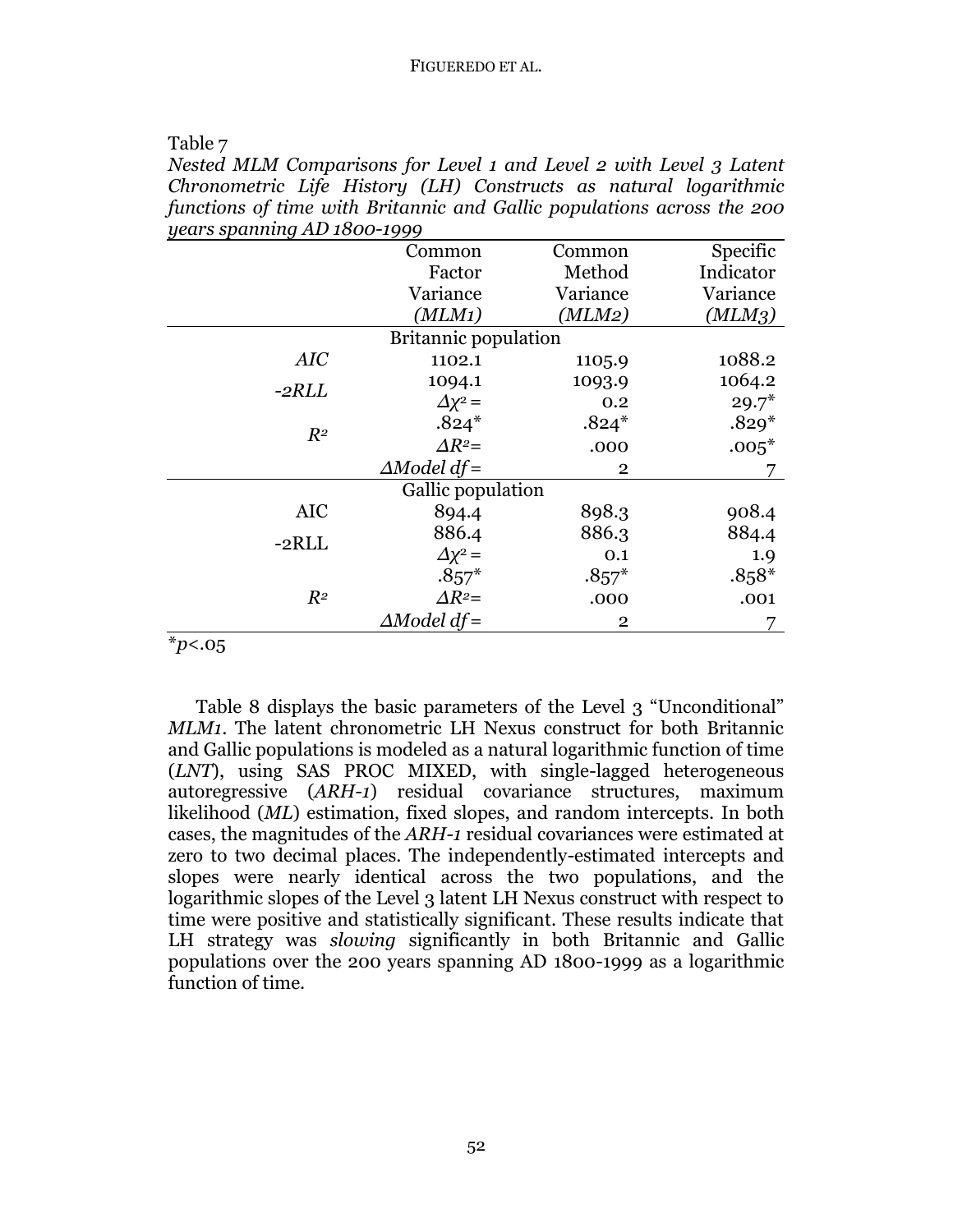Table 7

*Nested MLM Comparisons for Level 1 and Level 2 with Level 3 Latent Chronometric Life History (LH) Constructs as natural logarithmic functions of time with Britannic and Gallic populations across the 200 years spanning AD 1800-1999*

| $90u$ spanning the 1000 1999 |                             |                |           |  |
|------------------------------|-----------------------------|----------------|-----------|--|
|                              | Common                      | Common         | Specific  |  |
|                              | Factor                      | Method         | Indicator |  |
|                              | Variance                    | Variance       | Variance  |  |
|                              | (MLM1)                      | (MLM2)         | (MLM3)    |  |
|                              | <b>Britannic population</b> |                |           |  |
| AIC                          | 1102.1                      | 1105.9         | 1088.2    |  |
| $-2RLL$                      | 1094.1                      | 1093.9         | 1064.2    |  |
|                              | $\Delta x^2 =$              | 0.2            | $29.7*$   |  |
| $R^2$                        | $.824*$                     | $.824*$        | $.829*$   |  |
|                              | $\Delta R^2$ =              | .000           | $.005*$   |  |
|                              | $\triangle Model df =$      | $\overline{2}$ |           |  |
| Gallic population            |                             |                |           |  |
| <b>AIC</b>                   | 894.4                       | 898.3          | 908.4     |  |
| $-2RLL$                      | 886.4                       | 886.3          | 884.4     |  |
|                              | $\Delta x^2 =$              | 0.1            | 1.9       |  |
|                              | $.857*$                     | $.857*$        | $.858*$   |  |
| $R^2$                        | $\Delta R^2$ =              | .000           | .001      |  |
|                              | $\triangle Model df =$      | $\overline{2}$ |           |  |

\**p*<.05

Table 8 displays the basic parameters of the Level 3 "Unconditional" *MLM1*. The latent chronometric LH Nexus construct for both Britannic and Gallic populations is modeled as a natural logarithmic function of time (*LNT*), using SAS PROC MIXED, with single-lagged heterogeneous autoregressive (*ARH-1*) residual covariance structures, maximum likelihood (*ML*) estimation, fixed slopes, and random intercepts. In both cases, the magnitudes of the *ARH-1* residual covariances were estimated at zero to two decimal places. The independently-estimated intercepts and slopes were nearly identical across the two populations, and the logarithmic slopes of the Level 3 latent LH Nexus construct with respect to time were positive and statistically significant. These results indicate that LH strategy was *slowing* significantly in both Britannic and Gallic populations over the 200 years spanning AD 1800-1999 as a logarithmic function of time.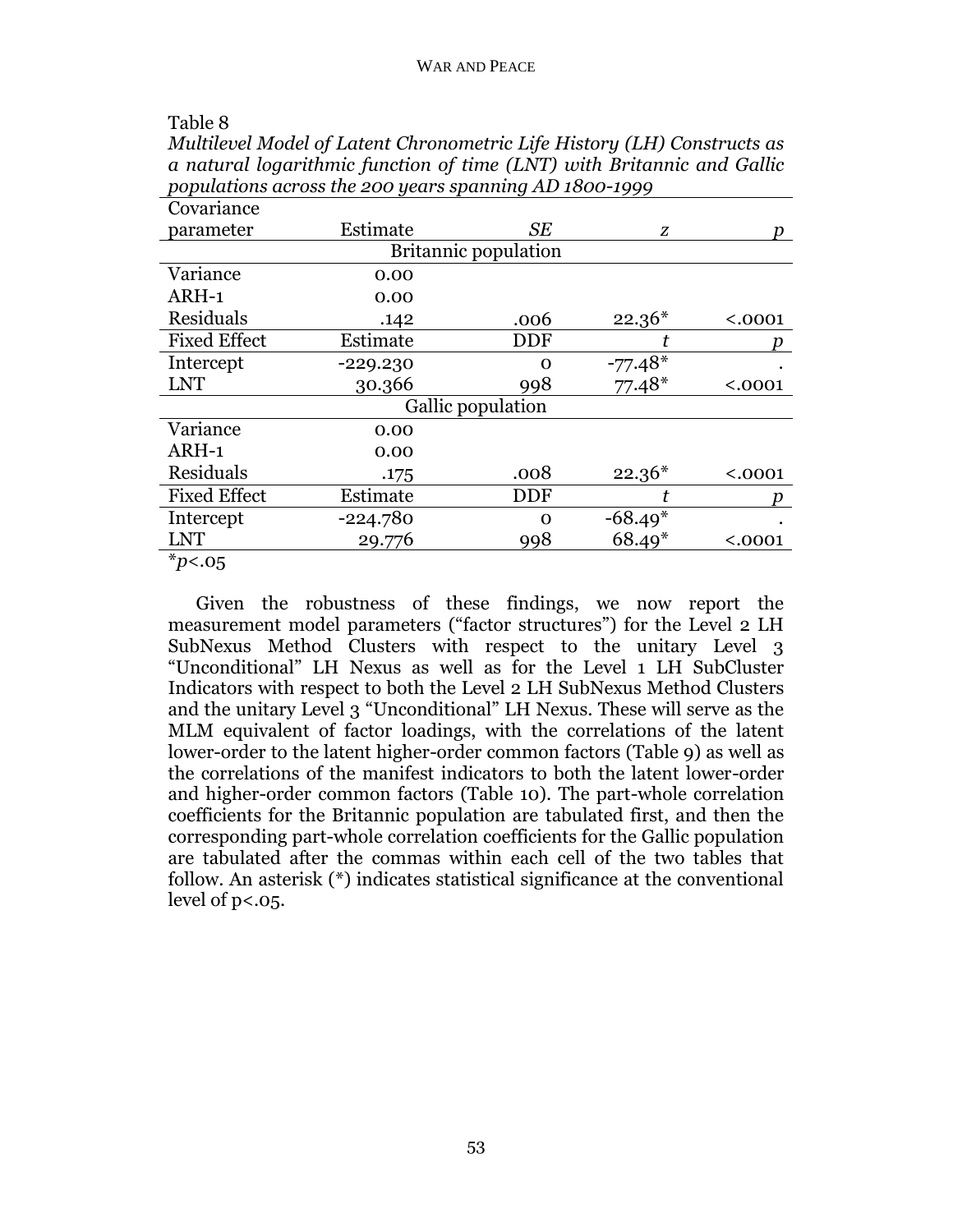| a naturat togal think function of time (1211) with Britannic and Same |                   |                             |           |         |  |  |
|-----------------------------------------------------------------------|-------------------|-----------------------------|-----------|---------|--|--|
| populations across the 200 years spanning AD 1800-1999                |                   |                             |           |         |  |  |
| Covariance                                                            |                   |                             |           |         |  |  |
| parameter                                                             | Estimate          | SЕ                          | Z         |         |  |  |
|                                                                       |                   | <b>Britannic population</b> |           |         |  |  |
| Variance                                                              | 0.00              |                             |           |         |  |  |
| ARH-1                                                                 | 0.00              |                             |           |         |  |  |
| Residuals                                                             | .142              | .006                        | $22.36*$  | < .0001 |  |  |
| <b>Fixed Effect</b>                                                   | Estimate          | DDF                         |           |         |  |  |
| Intercept                                                             | $-229.230$        | 0                           | $-77.48*$ |         |  |  |
| <b>LNT</b>                                                            | 30.366            | 998                         | $77.48*$  | < .0001 |  |  |
|                                                                       | Gallic population |                             |           |         |  |  |
| Variance                                                              | 0.00              |                             |           |         |  |  |
| ARH-1                                                                 | 0.00              |                             |           |         |  |  |
| Residuals                                                             | .175              | .008                        | $22.36*$  | < .0001 |  |  |
| <b>Fixed Effect</b>                                                   | Estimate          | DDF                         |           |         |  |  |
| Intercept                                                             | $-224.780$        | 0                           | $-68.49*$ |         |  |  |
| <b>LNT</b>                                                            | 29.776            | 998                         | $68.49*$  | < .0001 |  |  |
| $*_{p<.05}$                                                           |                   |                             |           |         |  |  |

Given the robustness of these findings, we now report the measurement model parameters ("factor structures") for the Level 2 LH SubNexus Method Clusters with respect to the unitary Level 3 "Unconditional" LH Nexus as well as for the Level 1 LH SubCluster Indicators with respect to both the Level 2 LH SubNexus Method Clusters and the unitary Level 3 "Unconditional" LH Nexus. These will serve as the MLM equivalent of factor loadings, with the correlations of the latent lower-order to the latent higher-order common factors (Table 9) as well as the correlations of the manifest indicators to both the latent lower-order and higher-order common factors (Table 10). The part-whole correlation coefficients for the Britannic population are tabulated first, and then the corresponding part-whole correlation coefficients for the Gallic population are tabulated after the commas within each cell of the two tables that follow. An asterisk (\*) indicates statistical significance at the conventional level of p<.05.

### Table 8

*Multilevel Model of Latent Chronometric Life History (LH) Constructs as a natural logarithmic function of time (LNT) with Britannic and Gallic*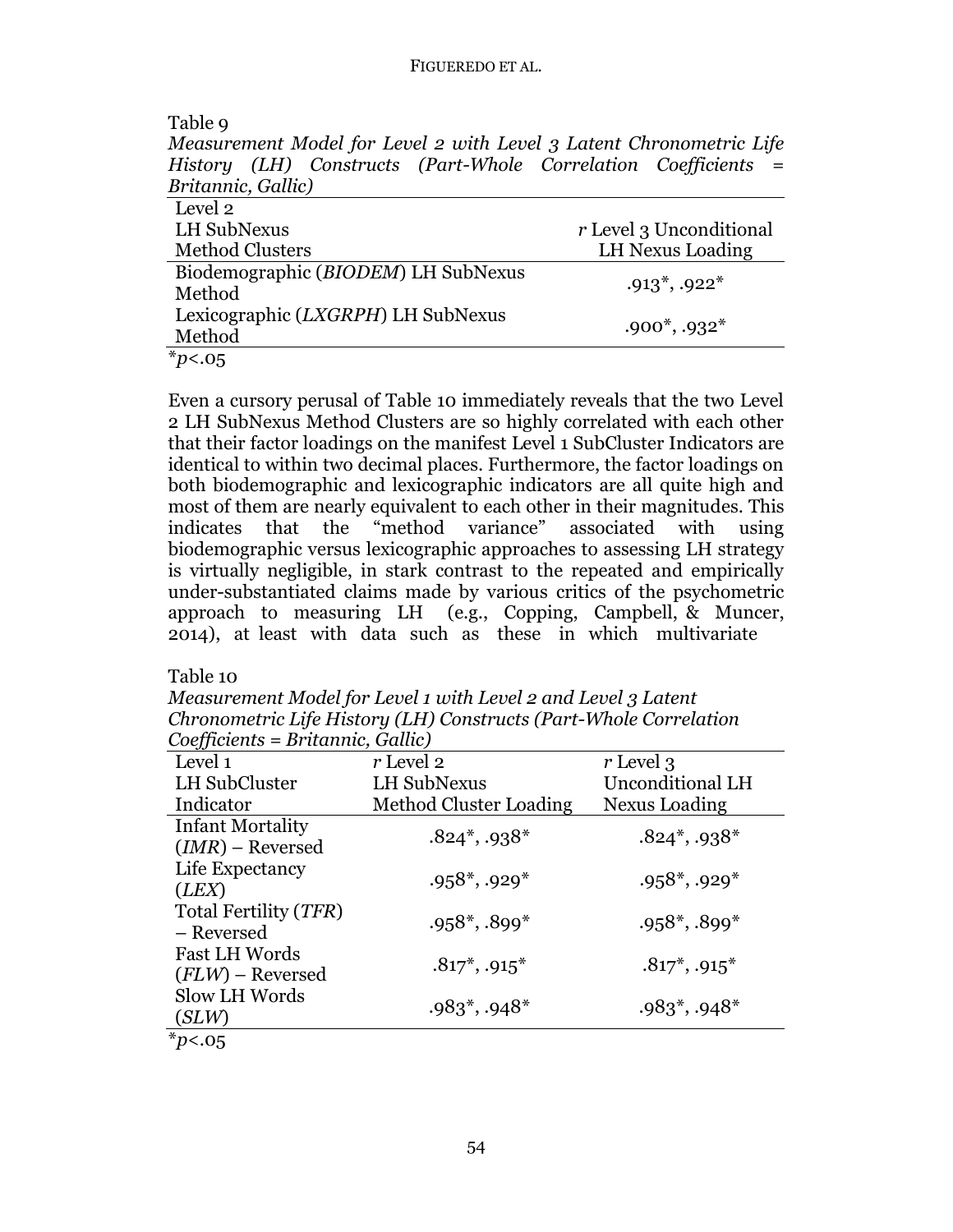#### FIGUEREDO ET AL.

| Table 9                                                             |                         |
|---------------------------------------------------------------------|-------------------------|
| Measurement Model for Level 2 with Level 3 Latent Chronometric Life |                         |
| History (LH) Constructs (Part-Whole Correlation Coefficients =      |                         |
| Britannic, Gallic)                                                  |                         |
| Level 2                                                             |                         |
| <b>LH SubNexus</b>                                                  | r Level 3 Unconditional |
| <b>Method Clusters</b>                                              | LH Nexus Loading        |
| Biodemographic (BIODEM) LH SubNexus                                 |                         |
| Method                                                              | $.913^*$ , $.922^*$     |
| Lexicographic ( <i>LXGRPH</i> ) LH SubNexus                         |                         |
| Method                                                              | $.900^*$ , $.932^*$     |
| $*_{p<.05}$                                                         |                         |

Even a cursory perusal of Table 10 immediately reveals that the two Level 2 LH SubNexus Method Clusters are so highly correlated with each other that their factor loadings on the manifest Level 1 SubCluster Indicators are identical to within two decimal places. Furthermore, the factor loadings on both biodemographic and lexicographic indicators are all quite high and most of them are nearly equivalent to each other in their magnitudes. This indicates that the "method variance" associated with using biodemographic versus lexicographic approaches to assessing LH strategy is virtually negligible, in stark contrast to the repeated and empirically under-substantiated claims made by various critics of the psychometric approach to measuring LH (e.g., Copping, Campbell, & Muncer, 2014), at least with data such as these in which multivariate

Table 10

*Measurement Model for Level 1 with Level 2 and Level 3 Latent Chronometric Life History (LH) Constructs (Part-Whole Correlation Coefficients = Britannic, Gallic)*

| Level 1                 | $r$ Level 2                  | r Level 3               |
|-------------------------|------------------------------|-------------------------|
| LH SubCluster           | <b>LH SubNexus</b>           | <b>Unconditional LH</b> |
| Indicator               | Method Cluster Loading       | Nexus Loading           |
| <b>Infant Mortality</b> |                              |                         |
| $(IMR)$ – Reversed      | $.824^*$ , $.938^*$          | $.824^*$ , .938*        |
| Life Expectancy         |                              |                         |
| (LEX)                   | $.958^*$ , .929 <sup>*</sup> | $.958^*$ , $.929^*$     |
| Total Fertility (TFR)   |                              |                         |
| – Reversed              | $.958^*$ , $.899^*$          | $.958^*$ , $.899^*$     |
| <b>Fast LH Words</b>    |                              |                         |
| $(FLW)$ – Reversed      | $.817^*$ , $.915^*$          | $.817^*$ , $.915^*$     |
| Slow LH Words           |                              |                         |
| (SLW)                   | $.983^*$ , $.948^*$          | $.983^*$ , $.948^*$     |
| $*_{p<.05}$             |                              |                         |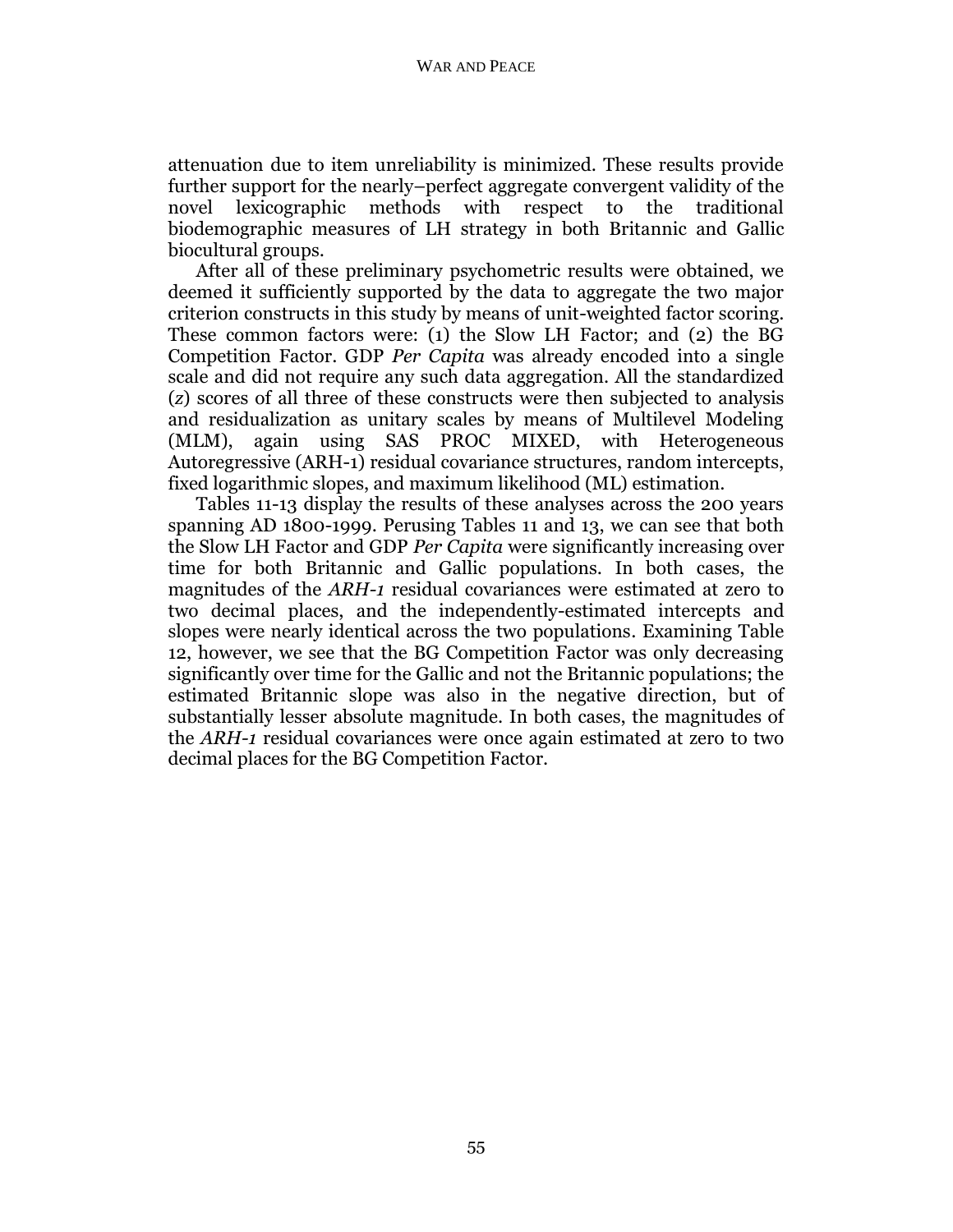attenuation due to item unreliability is minimized. These results provide further support for the nearly–perfect aggregate convergent validity of the novel lexicographic methods with respect to the traditional biodemographic measures of LH strategy in both Britannic and Gallic biocultural groups.

After all of these preliminary psychometric results were obtained, we deemed it sufficiently supported by the data to aggregate the two major criterion constructs in this study by means of unit-weighted factor scoring. These common factors were: (1) the Slow LH Factor; and (2) the BG Competition Factor. GDP *Per Capita* was already encoded into a single scale and did not require any such data aggregation. All the standardized (*z*) scores of all three of these constructs were then subjected to analysis and residualization as unitary scales by means of Multilevel Modeling (MLM), again using SAS PROC MIXED, with Heterogeneous Autoregressive (ARH-1) residual covariance structures, random intercepts, fixed logarithmic slopes, and maximum likelihood (ML) estimation.

Tables 11-13 display the results of these analyses across the 200 years spanning AD 1800-1999. Perusing Tables 11 and 13, we can see that both the Slow LH Factor and GDP *Per Capita* were significantly increasing over time for both Britannic and Gallic populations. In both cases, the magnitudes of the *ARH-1* residual covariances were estimated at zero to two decimal places, and the independently-estimated intercepts and slopes were nearly identical across the two populations. Examining Table 12, however, we see that the BG Competition Factor was only decreasing significantly over time for the Gallic and not the Britannic populations; the estimated Britannic slope was also in the negative direction, but of substantially lesser absolute magnitude. In both cases, the magnitudes of the *ARH-1* residual covariances were once again estimated at zero to two decimal places for the BG Competition Factor.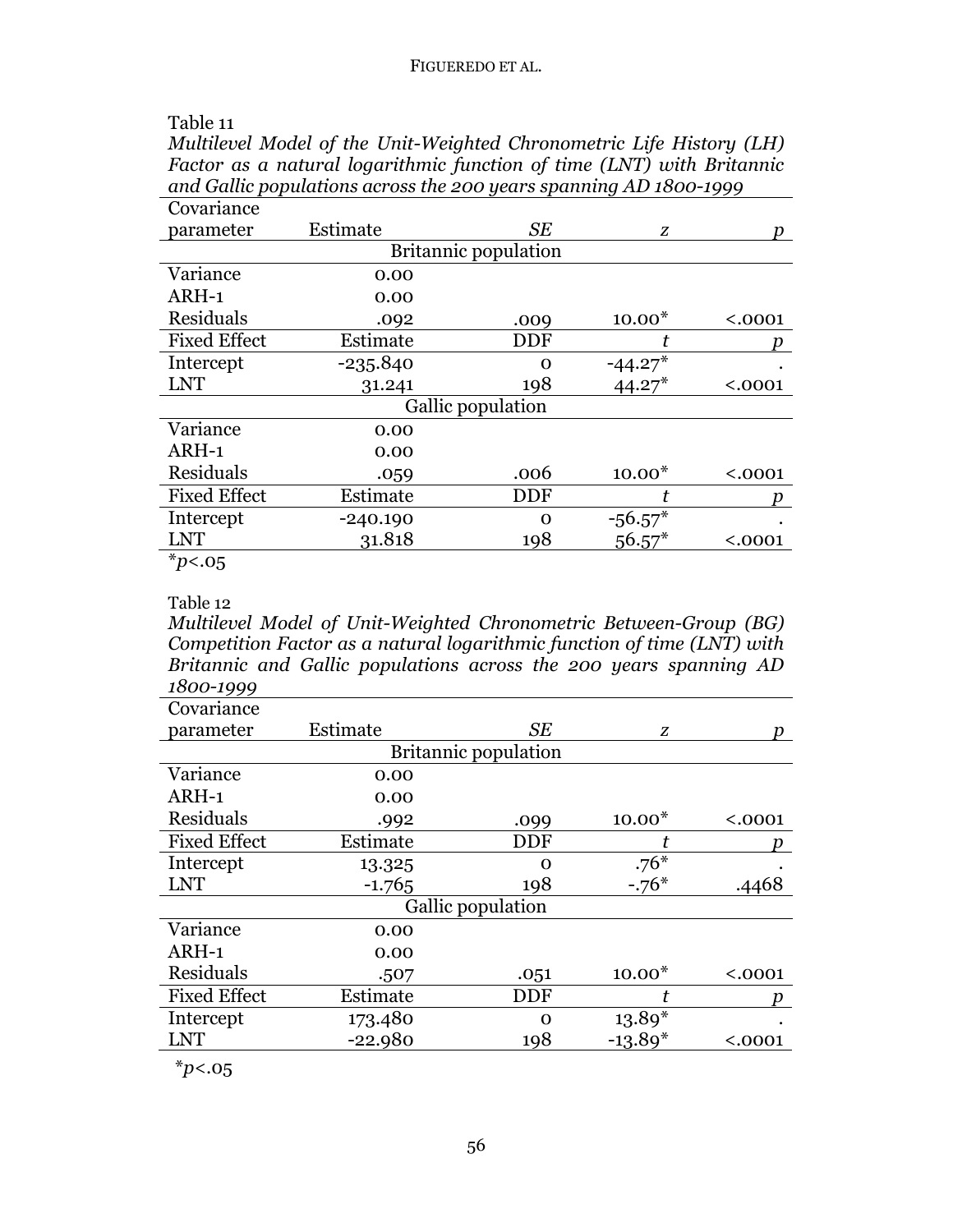| Table 11 |
|----------|
|----------|

*Multilevel Model of the Unit-Weighted Chronometric Life History (LH) Factor as a natural logarithmic function of time (LNT) with Britannic and Gallic populations across the 200 years spanning AD 1800-1999*

| Covariance          |                   |                             |           |         |  |  |
|---------------------|-------------------|-----------------------------|-----------|---------|--|--|
| parameter           | Estimate          | <b>SE</b>                   | Z         |         |  |  |
|                     |                   | <b>Britannic population</b> |           |         |  |  |
| Variance            | 0.00              |                             |           |         |  |  |
| ARH-1               | 0.00              |                             |           |         |  |  |
| Residuals           | .092              | .009                        | $10.00*$  | < .0001 |  |  |
| <b>Fixed Effect</b> | Estimate          | <b>DDF</b>                  |           |         |  |  |
| Intercept           | $-235.840$        | Ω                           | $-44.27*$ |         |  |  |
| <b>LNT</b>          | 31.241            | 198                         | $44.27*$  | < .0001 |  |  |
|                     | Gallic population |                             |           |         |  |  |
| Variance            | 0.00              |                             |           |         |  |  |
| ARH-1               | 0.00              |                             |           |         |  |  |
| Residuals           | .059              | .006                        | $10.00*$  | < .0001 |  |  |
| <b>Fixed Effect</b> | Estimate          | <b>DDF</b>                  |           |         |  |  |
| Intercept           | $-240.190$        | ∩                           | $-56.57*$ |         |  |  |
| LNT                 | 31.818            | 198                         | $56.57*$  | $.0001$ |  |  |
| $*_{p<.05}$         |                   |                             |           |         |  |  |

Table 12 *Multilevel Model of Unit-Weighted Chronometric Between-Group (BG) Competition Factor as a natural logarithmic function of time (LNT) with Britannic and Gallic populations across the 200 years spanning AD 1800-1999*

| Estimate                    | <b>SE</b> | Z                 | n       |  |  |
|-----------------------------|-----------|-------------------|---------|--|--|
| <b>Britannic population</b> |           |                   |         |  |  |
| 0.00                        |           |                   |         |  |  |
| 0.00                        |           |                   |         |  |  |
| .992                        | .099      | $10.00*$          | < .0001 |  |  |
| Estimate                    | DDF       |                   |         |  |  |
| 13.325                      | റ         | $.76*$            |         |  |  |
| $-1.765$                    | 198       | $-.76*$           | .4468   |  |  |
|                             |           |                   |         |  |  |
| 0.00                        |           |                   |         |  |  |
| 0.00                        |           |                   |         |  |  |
| .507                        | .051      | $10.00*$          | < .0001 |  |  |
| Estimate                    | DDF       | t                 |         |  |  |
| 173.480                     | 0         | $13.89*$          |         |  |  |
| $-22.980$                   | 198       | $-13.89*$         | < .0001 |  |  |
|                             |           | Gallic population |         |  |  |

\**p*<.05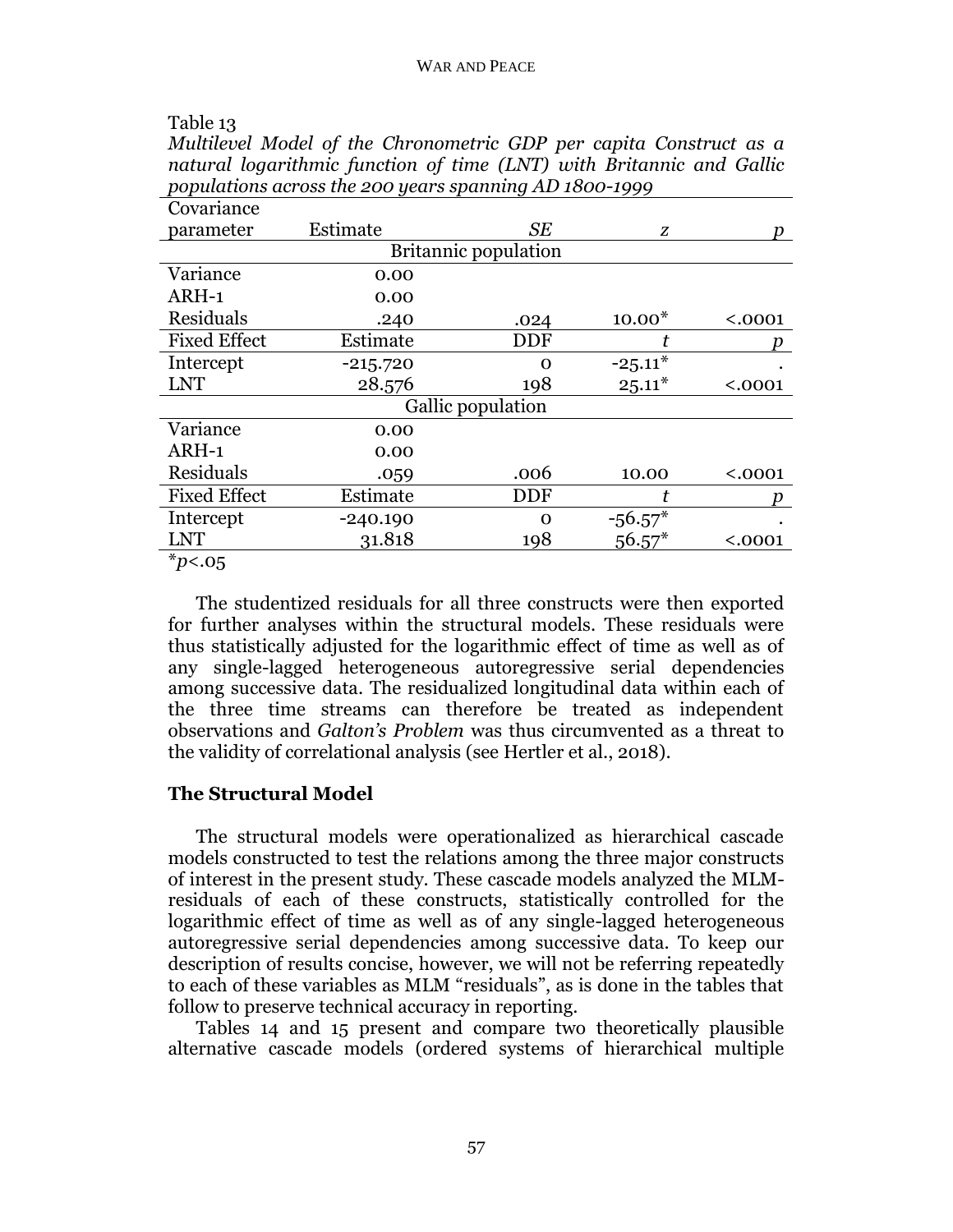*Multilevel Model of the Chronometric GDP per capita Construct as a*

| natural logarithmic function of time (LNT) with Britannic and Gallic |            |                   |           |         |
|----------------------------------------------------------------------|------------|-------------------|-----------|---------|
| populations across the 200 years spanning AD 1800-1999               |            |                   |           |         |
| Covariance                                                           |            |                   |           |         |
| parameter                                                            | Estimate   | SЕ                | Z         |         |
| <b>Britannic population</b>                                          |            |                   |           |         |
| Variance                                                             | 0.00       |                   |           |         |
| ARH-1                                                                | 0.00       |                   |           |         |
| Residuals                                                            | .240       | .024              | $10.00*$  | < .0001 |
| <b>Fixed Effect</b>                                                  | Estimate   | DDF               |           |         |
| Intercept                                                            | $-215.720$ | Ω                 | $-25.11*$ |         |
| <b>LNT</b>                                                           | 28.576     | 198               | $25.11*$  | < .0001 |
|                                                                      |            | Gallic population |           |         |
| Variance                                                             | 0.00       |                   |           |         |
| ARH-1                                                                | 0.00       |                   |           |         |
| Residuals                                                            | .059       | .006              | 10.00     | < .0001 |
| <b>Fixed Effect</b>                                                  | Estimate   | DDF               | t         |         |
| Intercept                                                            | $-240.190$ | $\Omega$          | $-56.57*$ |         |
| <b>LNT</b>                                                           | 31.818     | 198               | $56.57*$  | < .0001 |
| $*_{p<.05}$                                                          |            |                   |           |         |

The studentized residuals for all three constructs were then exported for further analyses within the structural models. These residuals were thus statistically adjusted for the logarithmic effect of time as well as of any single-lagged heterogeneous autoregressive serial dependencies among successive data. The residualized longitudinal data within each of the three time streams can therefore be treated as independent observations and *Galton's Problem* was thus circumvented as a threat to the validity of correlational analysis (see Hertler et al., 2018).

## **The Structural Model**

Table 13

The structural models were operationalized as hierarchical cascade models constructed to test the relations among the three major constructs of interest in the present study. These cascade models analyzed the MLMresiduals of each of these constructs, statistically controlled for the logarithmic effect of time as well as of any single-lagged heterogeneous autoregressive serial dependencies among successive data. To keep our description of results concise, however, we will not be referring repeatedly to each of these variables as MLM "residuals", as is done in the tables that follow to preserve technical accuracy in reporting.

Tables 14 and 15 present and compare two theoretically plausible alternative cascade models (ordered systems of hierarchical multiple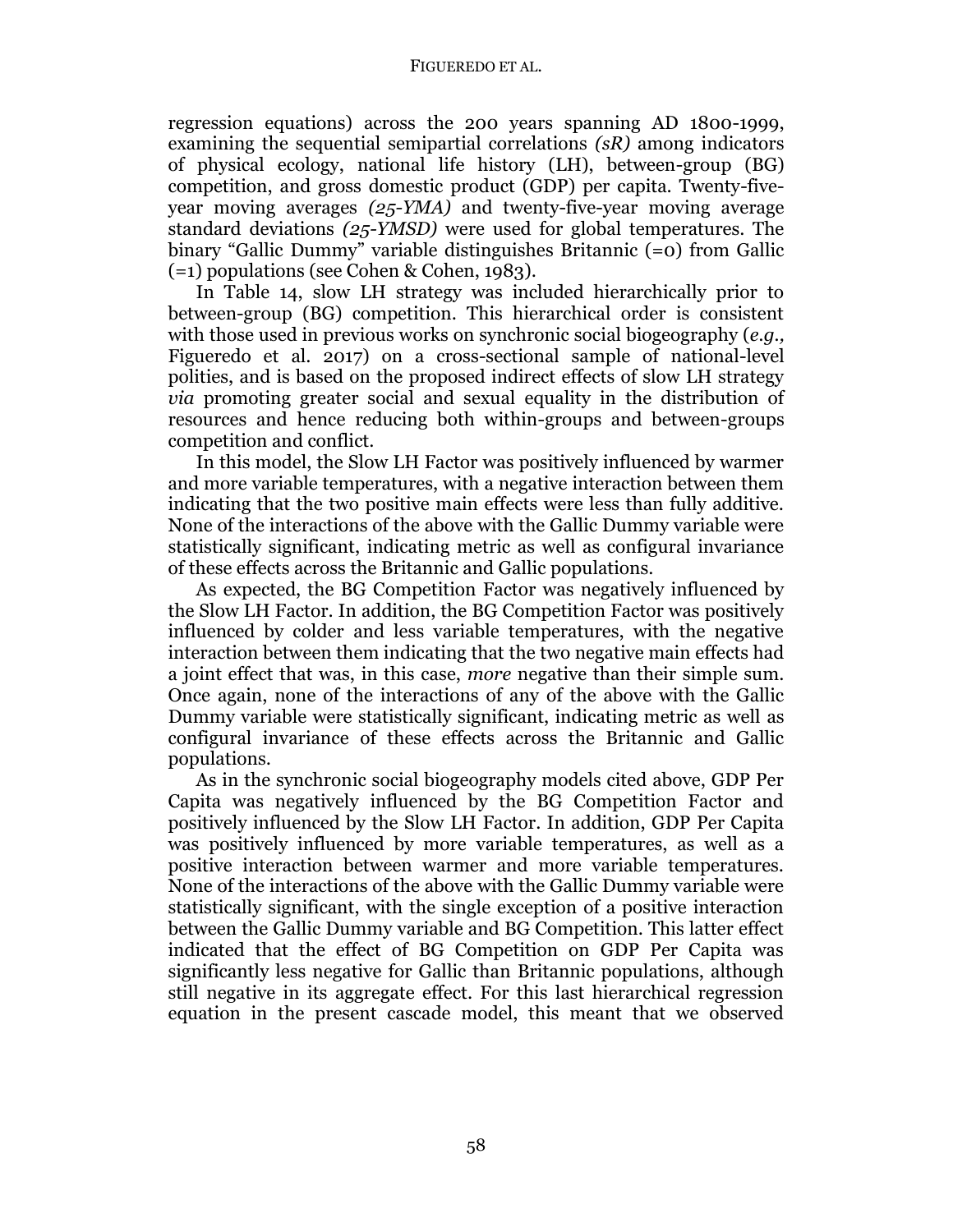#### FIGUEREDO ET AL.

regression equations) across the 200 years spanning AD 1800-1999, examining the sequential semipartial correlations *(sR)* among indicators of physical ecology, national life history (LH), between-group (BG) competition, and gross domestic product (GDP) per capita. Twenty-fiveyear moving averages *(25-YMA)* and twenty-five-year moving average standard deviations *(25-YMSD)* were used for global temperatures. The binary "Gallic Dummy" variable distinguishes Britannic (=0) from Gallic (=1) populations (see Cohen & Cohen, 1983).

In Table 14, slow LH strategy was included hierarchically prior to between-group (BG) competition. This hierarchical order is consistent with those used in previous works on synchronic social biogeography (*e.g.,*  Figueredo et al. 2017) on a cross-sectional sample of national-level polities, and is based on the proposed indirect effects of slow LH strategy *via* promoting greater social and sexual equality in the distribution of resources and hence reducing both within-groups and between-groups competition and conflict.

In this model, the Slow LH Factor was positively influenced by warmer and more variable temperatures, with a negative interaction between them indicating that the two positive main effects were less than fully additive. None of the interactions of the above with the Gallic Dummy variable were statistically significant, indicating metric as well as configural invariance of these effects across the Britannic and Gallic populations.

As expected, the BG Competition Factor was negatively influenced by the Slow LH Factor. In addition, the BG Competition Factor was positively influenced by colder and less variable temperatures, with the negative interaction between them indicating that the two negative main effects had a joint effect that was, in this case, *more* negative than their simple sum. Once again, none of the interactions of any of the above with the Gallic Dummy variable were statistically significant, indicating metric as well as configural invariance of these effects across the Britannic and Gallic populations.

As in the synchronic social biogeography models cited above, GDP Per Capita was negatively influenced by the BG Competition Factor and positively influenced by the Slow LH Factor. In addition, GDP Per Capita was positively influenced by more variable temperatures, as well as a positive interaction between warmer and more variable temperatures. None of the interactions of the above with the Gallic Dummy variable were statistically significant, with the single exception of a positive interaction between the Gallic Dummy variable and BG Competition. This latter effect indicated that the effect of BG Competition on GDP Per Capita was significantly less negative for Gallic than Britannic populations, although still negative in its aggregate effect. For this last hierarchical regression equation in the present cascade model, this meant that we observed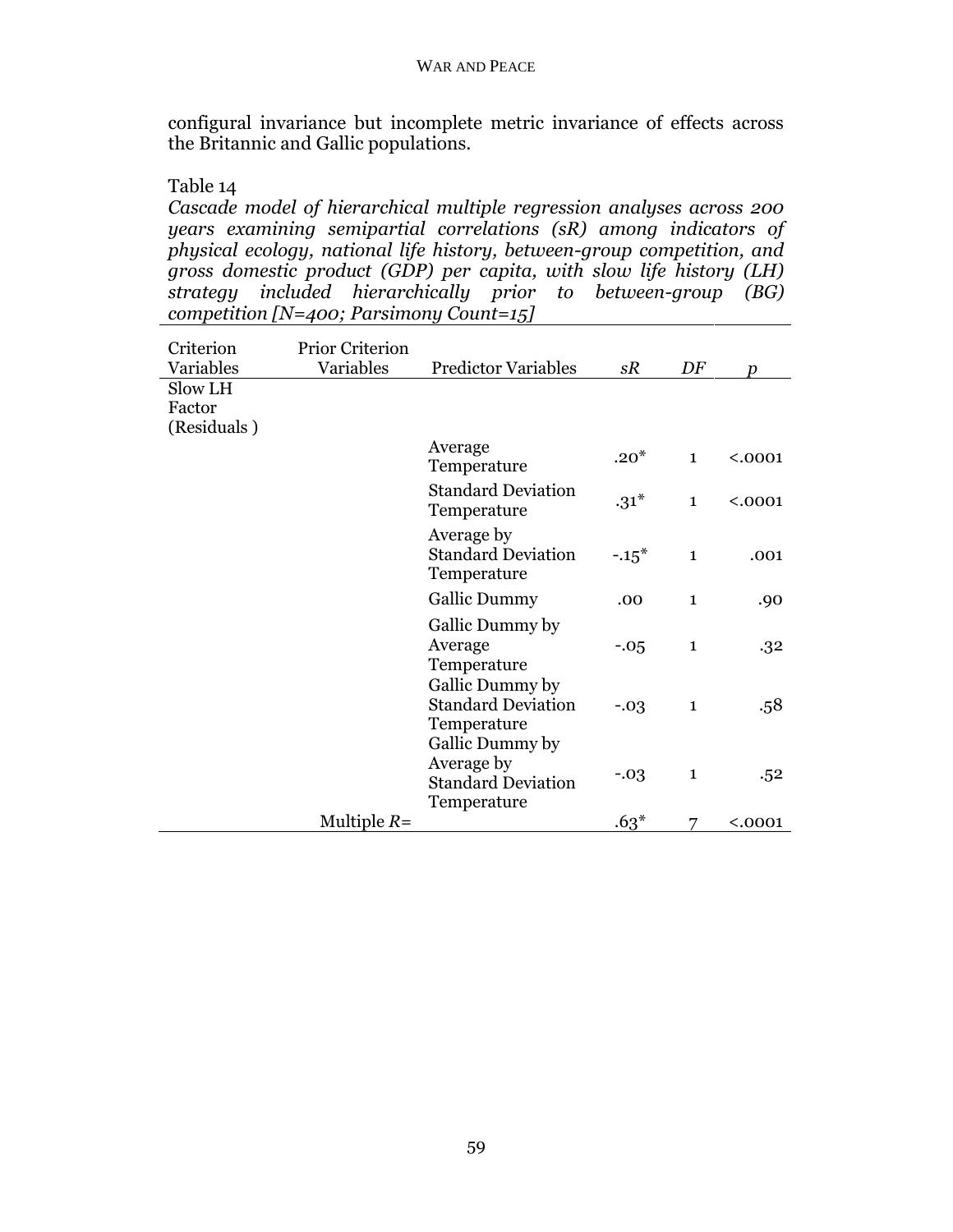configural invariance but incomplete metric invariance of effects across the Britannic and Gallic populations.

Table 14

*Cascade model of hierarchical multiple regression analyses across 200 years examining semipartial correlations (sR) among indicators of physical ecology, national life history, between-group competition, and gross domestic product (GDP) per capita, with slow life history (LH) strategy included hierarchically prior to between-group (BG) competition [N=400; Parsimony Count=15]*

| Criterion<br>Variables           | <b>Prior Criterion</b><br>Variables | <b>Predictor Variables</b>                                                | sR      | DF           | $\boldsymbol{v}$ |
|----------------------------------|-------------------------------------|---------------------------------------------------------------------------|---------|--------------|------------------|
| Slow LH<br>Factor<br>(Residuals) |                                     |                                                                           |         |              |                  |
|                                  |                                     | Average<br>Temperature                                                    | $.20*$  | $\mathbf{1}$ | < .0001          |
|                                  |                                     | <b>Standard Deviation</b><br>Temperature                                  | $.31*$  | $\mathbf{1}$ | < .0001          |
|                                  |                                     | Average by<br><b>Standard Deviation</b><br>Temperature                    | $-.15*$ | $\mathbf{1}$ | .001             |
|                                  |                                     | <b>Gallic Dummy</b>                                                       | .00     | $\mathbf{1}$ | .90              |
|                                  |                                     | Gallic Dummy by<br>Average<br>Temperature                                 | $-.05$  | $\mathbf{1}$ | .32              |
|                                  |                                     | Gallic Dummy by<br><b>Standard Deviation</b><br>Temperature               | $-.03$  | $\mathbf{1}$ | .58              |
|                                  |                                     | Gallic Dummy by<br>Average by<br><b>Standard Deviation</b><br>Temperature | $-.03$  | $\mathbf{1}$ | .52              |
|                                  | Multiple $R=$                       |                                                                           | $.63*$  |              | < .0001          |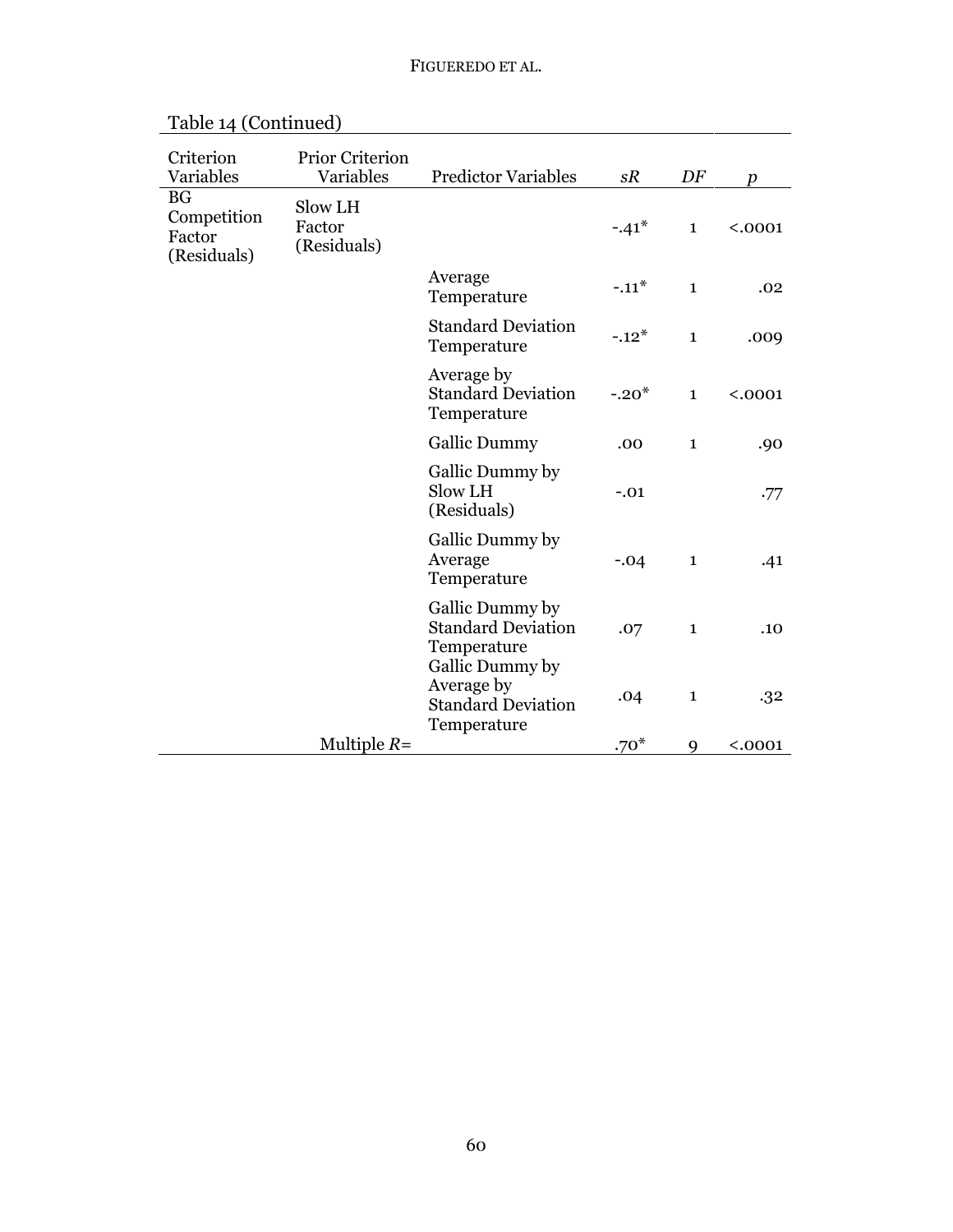| Criterion<br>Variables                            | <b>Prior Criterion</b><br>Variables | <b>Predictor Variables</b>                                                | sR      | DF           | $\boldsymbol{v}$ |
|---------------------------------------------------|-------------------------------------|---------------------------------------------------------------------------|---------|--------------|------------------|
| <b>BG</b><br>Competition<br>Factor<br>(Residuals) | Slow LH<br>Factor<br>(Residuals)    |                                                                           | $-.41*$ | $\mathbf{1}$ | < .0001          |
|                                                   |                                     | Average<br>Temperature                                                    | $-.11*$ | $\mathbf{1}$ | .02              |
|                                                   |                                     | <b>Standard Deviation</b><br>Temperature                                  | $-.12*$ | $\mathbf{1}$ | .009             |
|                                                   |                                     | Average by<br><b>Standard Deviation</b><br>Temperature                    | $-.20*$ | $\mathbf{1}$ | < .0001          |
|                                                   |                                     | <b>Gallic Dummy</b>                                                       | .00     | $\mathbf{1}$ | .90              |
|                                                   |                                     | Gallic Dummy by<br>Slow LH<br>(Residuals)                                 | $-.01$  |              | .77              |
|                                                   |                                     | Gallic Dummy by<br>Average<br>Temperature                                 | $-.04$  | $\mathbf{1}$ | .41              |
|                                                   |                                     | Gallic Dummy by<br><b>Standard Deviation</b><br>Temperature               | .07     | $\mathbf{1}$ | .10              |
|                                                   |                                     | Gallic Dummy by<br>Average by<br><b>Standard Deviation</b><br>Temperature | .04     | $\mathbf{1}$ | .32              |
|                                                   | Multiple $R=$                       |                                                                           | $.70*$  | 9            | < .0001          |

Table 14 (Continued)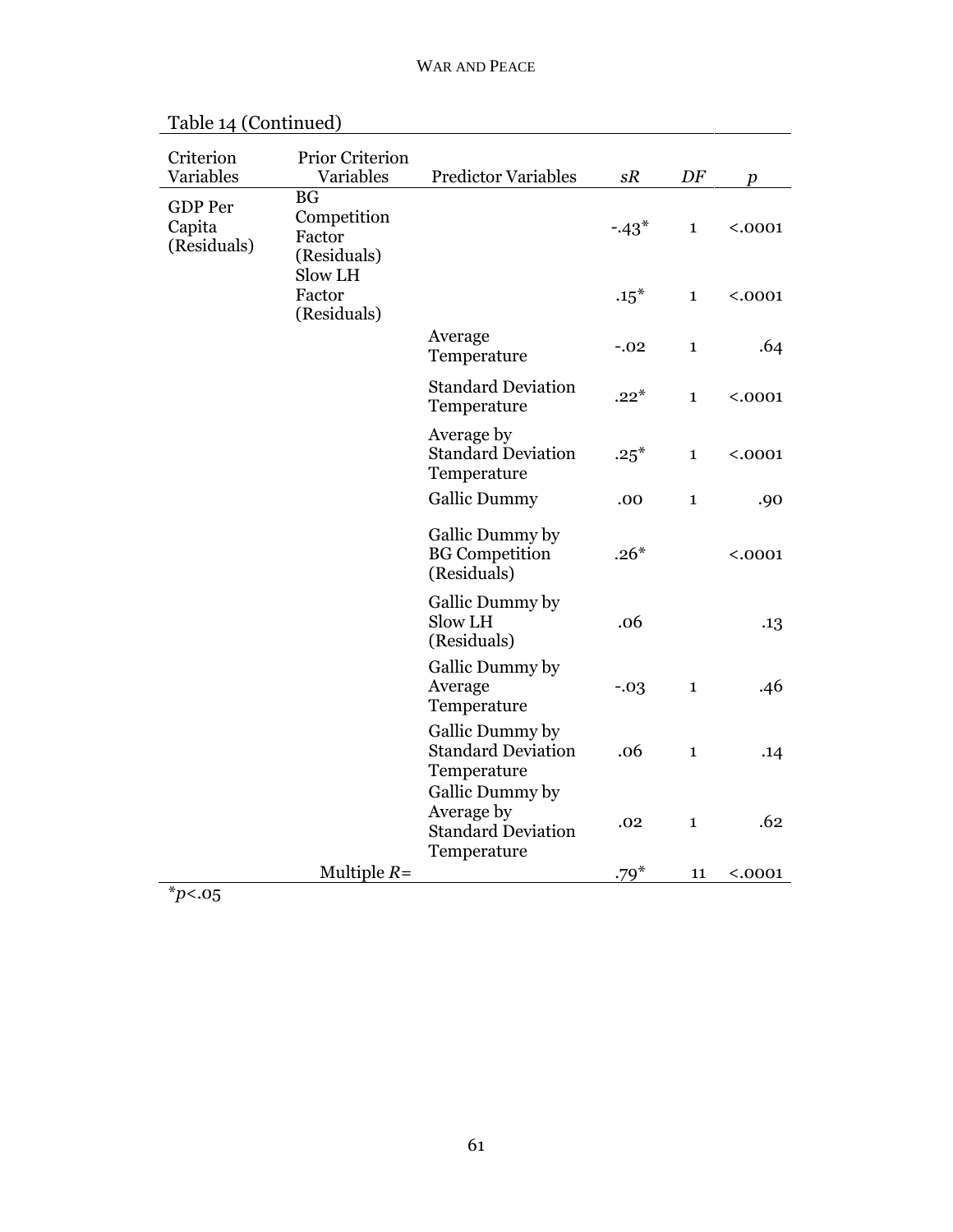| Criterion<br>Variables                  | <b>Prior Criterion</b><br>Variables                          | <b>Predictor Variables</b>                                                | sR     | DF           | $\boldsymbol{p}$ |
|-----------------------------------------|--------------------------------------------------------------|---------------------------------------------------------------------------|--------|--------------|------------------|
| <b>GDP</b> Per<br>Capita<br>(Residuals) | <b>BG</b><br>Competition<br>Factor<br>(Residuals)<br>Slow LH |                                                                           | $-43*$ | $\mathbf{1}$ | < .0001          |
|                                         | Factor<br>(Residuals)                                        |                                                                           | $.15*$ | $\mathbf{1}$ | < .0001          |
|                                         |                                                              | Average<br>Temperature                                                    | $-.02$ | $\mathbf{1}$ | .64              |
|                                         |                                                              | <b>Standard Deviation</b><br>Temperature                                  | $.22*$ | $\mathbf{1}$ | < .0001          |
|                                         |                                                              | Average by<br><b>Standard Deviation</b><br>Temperature                    | $.25*$ | $\mathbf{1}$ | < .0001          |
|                                         |                                                              | <b>Gallic Dummy</b>                                                       | .00    | $\mathbf{1}$ | .90              |
|                                         |                                                              | Gallic Dummy by<br><b>BG</b> Competition<br>(Residuals)                   | $.26*$ |              | < .0001          |
|                                         |                                                              | Gallic Dummy by<br>Slow LH<br>(Residuals)                                 | .06    |              | .13              |
|                                         |                                                              | Gallic Dummy by<br>Average<br>Temperature                                 | $-.03$ | $\mathbf{1}$ | .46              |
|                                         |                                                              | Gallic Dummy by<br><b>Standard Deviation</b><br>Temperature               | .06    | $\mathbf{1}$ | .14              |
|                                         |                                                              | Gallic Dummy by<br>Average by<br><b>Standard Deviation</b><br>Temperature | .02    | $\mathbf{1}$ | .62              |
|                                         | Multiple $R=$                                                |                                                                           | $.79*$ | 11           | < .0001          |

| Table 14 (Continued) |  |
|----------------------|--|
|----------------------|--|

\**p*<.05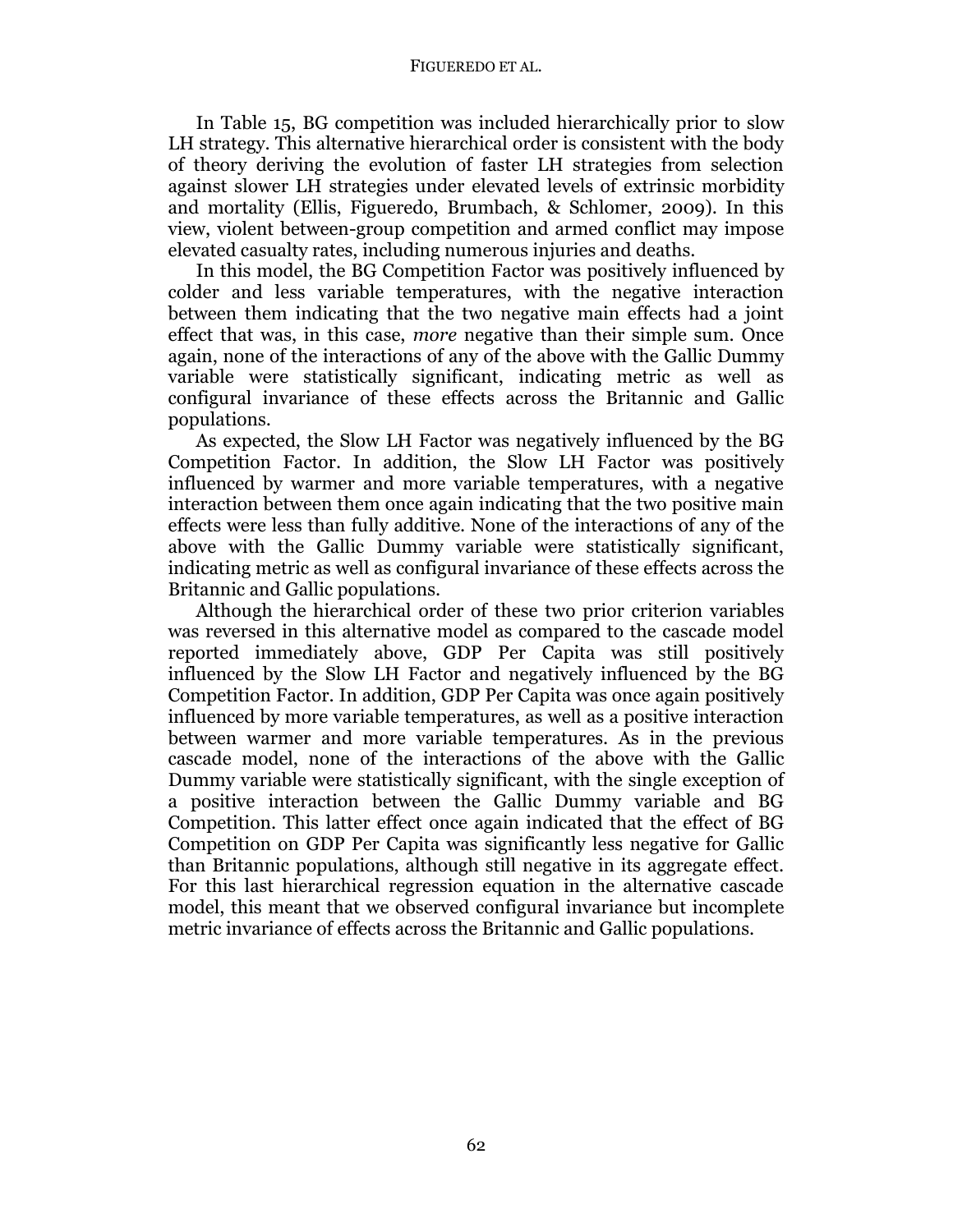#### FIGUEREDO ET AL.

In Table 15, BG competition was included hierarchically prior to slow LH strategy. This alternative hierarchical order is consistent with the body of theory deriving the evolution of faster LH strategies from selection against slower LH strategies under elevated levels of extrinsic morbidity and mortality (Ellis, Figueredo, Brumbach, & Schlomer, 2009). In this view, violent between-group competition and armed conflict may impose elevated casualty rates, including numerous injuries and deaths.

In this model, the BG Competition Factor was positively influenced by colder and less variable temperatures, with the negative interaction between them indicating that the two negative main effects had a joint effect that was, in this case, *more* negative than their simple sum. Once again, none of the interactions of any of the above with the Gallic Dummy variable were statistically significant, indicating metric as well as configural invariance of these effects across the Britannic and Gallic populations.

As expected, the Slow LH Factor was negatively influenced by the BG Competition Factor. In addition, the Slow LH Factor was positively influenced by warmer and more variable temperatures, with a negative interaction between them once again indicating that the two positive main effects were less than fully additive. None of the interactions of any of the above with the Gallic Dummy variable were statistically significant, indicating metric as well as configural invariance of these effects across the Britannic and Gallic populations.

Although the hierarchical order of these two prior criterion variables was reversed in this alternative model as compared to the cascade model reported immediately above, GDP Per Capita was still positively influenced by the Slow LH Factor and negatively influenced by the BG Competition Factor. In addition, GDP Per Capita was once again positively influenced by more variable temperatures, as well as a positive interaction between warmer and more variable temperatures. As in the previous cascade model, none of the interactions of the above with the Gallic Dummy variable were statistically significant, with the single exception of a positive interaction between the Gallic Dummy variable and BG Competition. This latter effect once again indicated that the effect of BG Competition on GDP Per Capita was significantly less negative for Gallic than Britannic populations, although still negative in its aggregate effect. For this last hierarchical regression equation in the alternative cascade model, this meant that we observed configural invariance but incomplete metric invariance of effects across the Britannic and Gallic populations.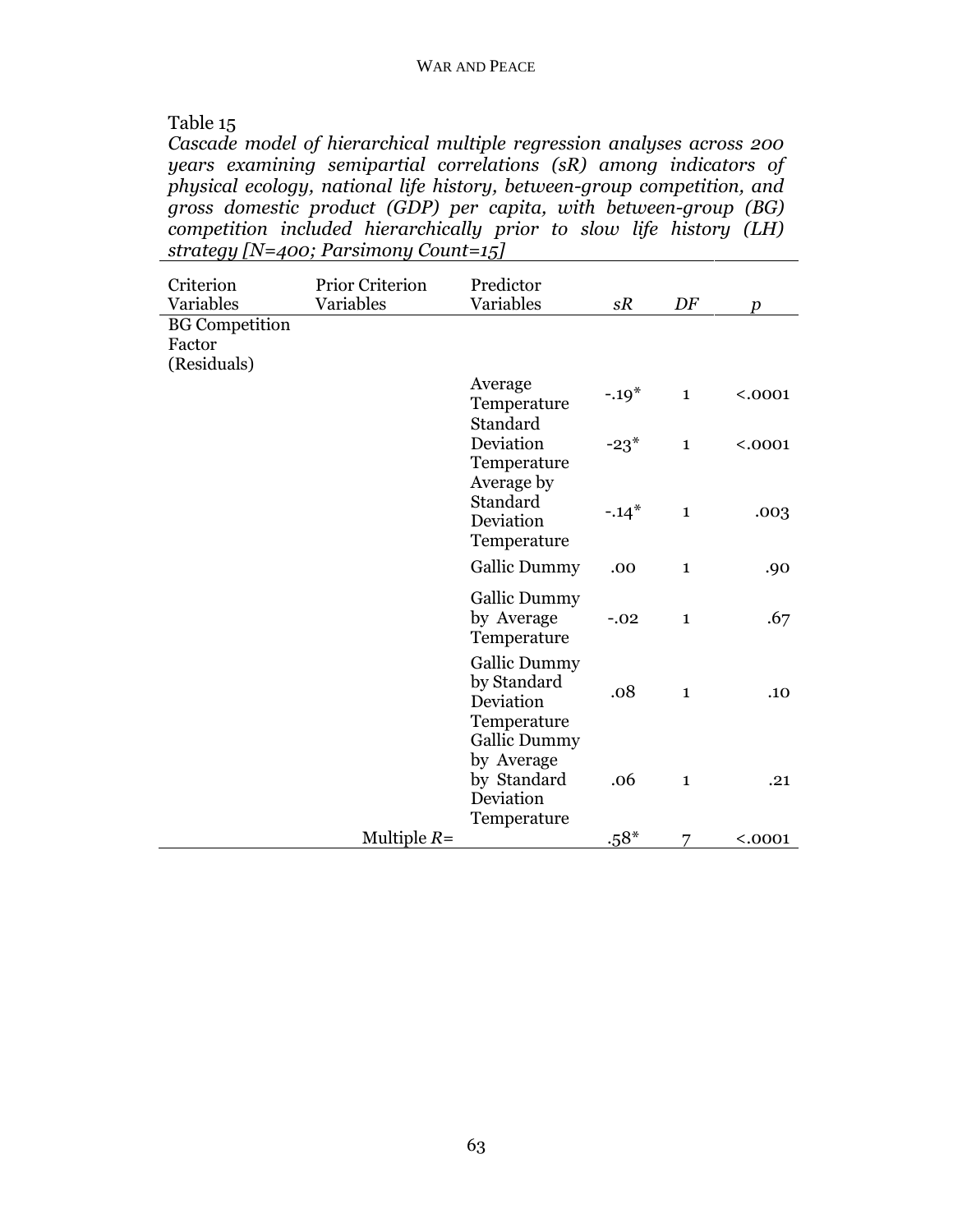# Table 15

*Cascade model of hierarchical multiple regression analyses across 200 years examining semipartial correlations (sR) among indicators of physical ecology, national life history, between-group competition, and gross domestic product (GDP) per capita, with between-group (BG) competition included hierarchically prior to slow life history (LH) strategy [N=400; Parsimony Count=15]* 

| Criterion<br>Variables                         | <b>Prior Criterion</b><br>Variables | Predictor<br>Variables                                                                | sR      | DF           | $\boldsymbol{p}$ |
|------------------------------------------------|-------------------------------------|---------------------------------------------------------------------------------------|---------|--------------|------------------|
| <b>BG</b> Competition<br>Factor<br>(Residuals) |                                     |                                                                                       |         |              |                  |
|                                                |                                     | Average<br>Temperature<br>Standard                                                    | $-.19*$ | $\mathbf{1}$ | < .0001          |
|                                                |                                     | Deviation<br>Temperature<br>Average by                                                | $-23*$  | $\mathbf{1}$ | < .0001          |
|                                                |                                     | Standard<br>Deviation<br>Temperature                                                  | $-.14*$ | $\mathbf{1}$ | .003             |
|                                                |                                     | Gallic Dummy                                                                          | .00     | $\mathbf{1}$ | .90              |
|                                                |                                     | <b>Gallic Dummy</b><br>by Average<br>Temperature                                      | $-.02$  | $\mathbf{1}$ | .67              |
|                                                |                                     | <b>Gallic Dummy</b><br>by Standard<br>Deviation<br>Temperature<br><b>Gallic Dummy</b> | .08     | $\mathbf{1}$ | .10              |
|                                                |                                     | by Average<br>by Standard<br>Deviation<br>Temperature                                 | .06     | $\mathbf{1}$ | .21              |
|                                                | Multiple $R=$                       |                                                                                       | $.58*$  | 7            | < .0001          |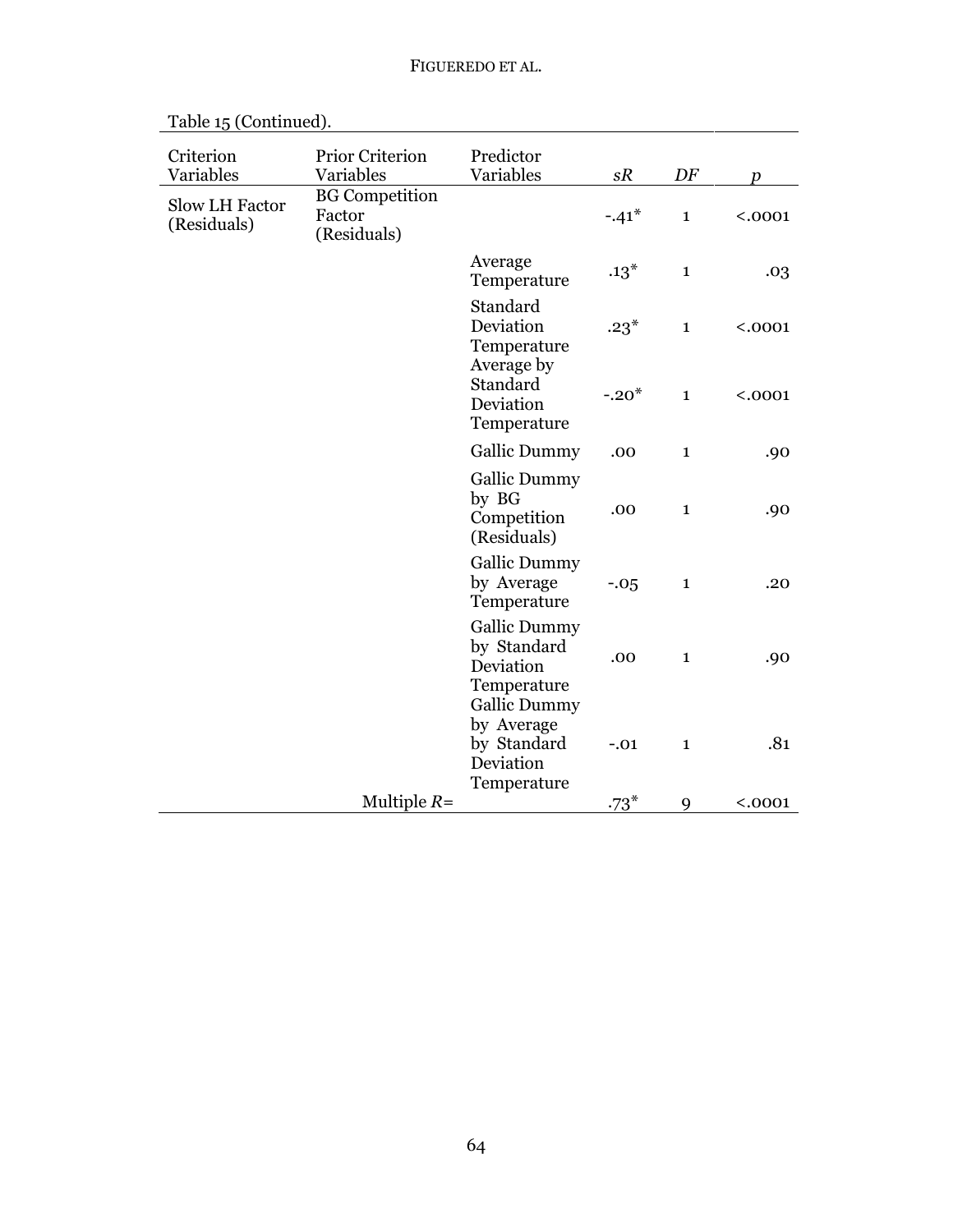| Criterion<br>Variables        | <b>Prior Criterion</b><br>Variables            | Predictor<br>Variables                                                                | sR      | DF           | $\boldsymbol{p}$ |
|-------------------------------|------------------------------------------------|---------------------------------------------------------------------------------------|---------|--------------|------------------|
| Slow LH Factor<br>(Residuals) | <b>BG</b> Competition<br>Factor<br>(Residuals) |                                                                                       | $-.41*$ | $\mathbf{1}$ | < .0001          |
|                               |                                                | Average<br>Temperature                                                                | $.13*$  | $\mathbf{1}$ | .03              |
|                               |                                                | Standard<br>Deviation<br>Temperature                                                  | $.23*$  | $\mathbf{1}$ | < .0001          |
|                               |                                                | Average by<br>Standard<br>Deviation<br>Temperature                                    | $-.20*$ | $\mathbf{1}$ | < .0001          |
|                               |                                                | <b>Gallic Dummy</b>                                                                   | .00     | $\mathbf{1}$ | .90              |
|                               |                                                | <b>Gallic Dummy</b><br>by BG<br>Competition<br>(Residuals)                            | .00     | $\mathbf{1}$ | .90              |
|                               |                                                | <b>Gallic Dummy</b><br>by Average<br>Temperature                                      | $-.05$  | $\mathbf{1}$ | .20              |
|                               |                                                | <b>Gallic Dummy</b><br>by Standard<br>Deviation<br>Temperature<br><b>Gallic Dummy</b> | .00     | $\mathbf{1}$ | .90              |
|                               |                                                | by Average<br>by Standard<br>Deviation<br>Temperature                                 | $-.01$  | $\mathbf{1}$ | .81              |
|                               | Multiple $R=$                                  |                                                                                       | $.73*$  | 9            | < .0001          |

Table 15 (Continued).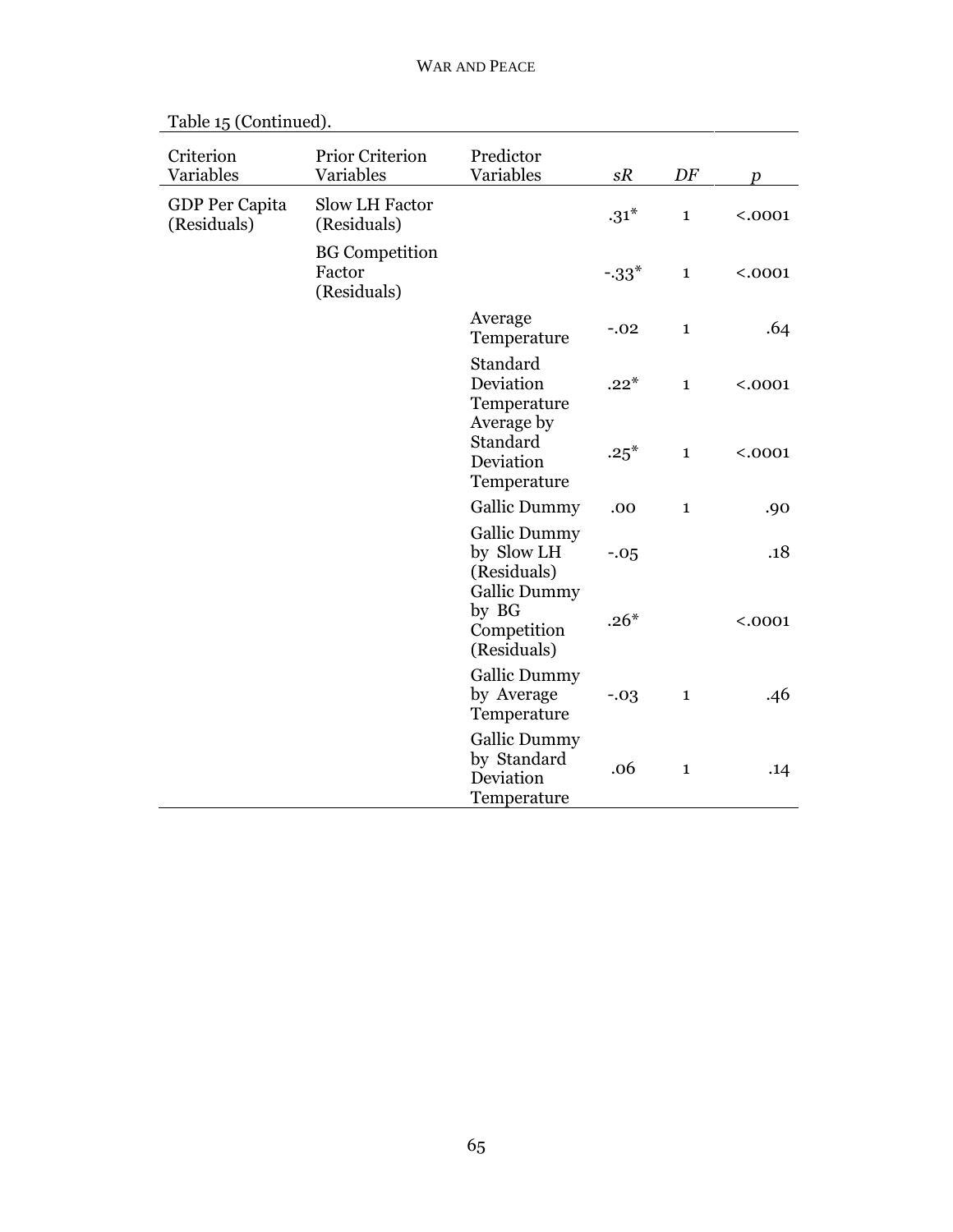| Criterion<br>Variables        | <b>Prior Criterion</b><br>Variables            | Predictor<br>Variables                                                  | sR     | DF           | $\boldsymbol{p}$ |
|-------------------------------|------------------------------------------------|-------------------------------------------------------------------------|--------|--------------|------------------|
| GDP Per Capita<br>(Residuals) | Slow LH Factor<br>(Residuals)                  |                                                                         | $.31*$ | $\mathbf{1}$ | < .0001          |
|                               | <b>BG</b> Competition<br>Factor<br>(Residuals) |                                                                         | $-33*$ | $\mathbf{1}$ | < .0001          |
|                               |                                                | Average<br>Temperature                                                  | $-.02$ | $\mathbf{1}$ | .64              |
|                               |                                                | Standard<br>Deviation<br>Temperature                                    | $.22*$ | $\mathbf{1}$ | < .0001          |
|                               |                                                | Average by<br>Standard<br>Deviation<br>Temperature                      | $.25*$ | $\mathbf{1}$ | < .0001          |
|                               |                                                | <b>Gallic Dummy</b>                                                     | .00    | $\mathbf{1}$ | .90              |
|                               |                                                | <b>Gallic Dummy</b><br>by Slow LH<br>(Residuals)<br><b>Gallic Dummy</b> | $-.05$ |              | .18              |
|                               |                                                | by BG<br>Competition<br>(Residuals)                                     | $.26*$ |              | < .0001          |
|                               |                                                | <b>Gallic Dummy</b><br>by Average<br>Temperature                        | $-.03$ | $\mathbf{1}$ | .46              |
|                               |                                                | <b>Gallic Dummy</b><br>by Standard<br>Deviation<br>Temperature          | .06    | $\mathbf{1}$ | .14              |

Table 15 (Continued).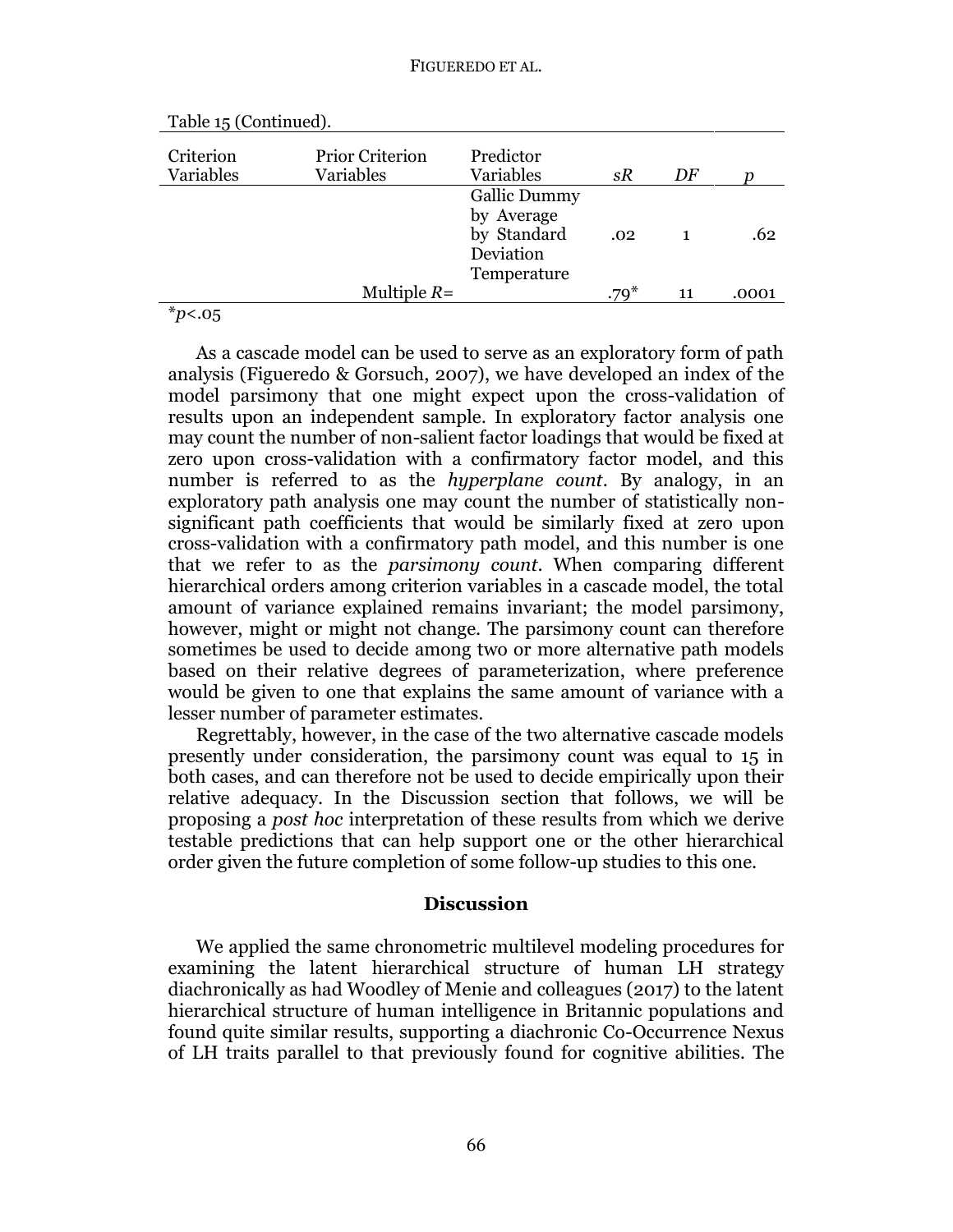| Criterion<br>Variables | <b>Prior Criterion</b><br>Variables | Predictor<br>Variables            | sR      | DF |       |
|------------------------|-------------------------------------|-----------------------------------|---------|----|-------|
|                        |                                     | <b>Gallic Dummy</b><br>by Average |         |    |       |
|                        |                                     | by Standard<br>Deviation          | .02     |    | .62   |
|                        | Multiple $R=$                       | Temperature                       | .70 $*$ | 11 | .0001 |
| $\ddot{\phantom{0}}$   |                                     |                                   |         |    |       |

| Table 15 (Continued). |  |  |
|-----------------------|--|--|
|-----------------------|--|--|

\**p*<.05

As a cascade model can be used to serve as an exploratory form of path analysis (Figueredo & Gorsuch, 2007), we have developed an index of the model parsimony that one might expect upon the cross-validation of results upon an independent sample. In exploratory factor analysis one may count the number of non-salient factor loadings that would be fixed at zero upon cross-validation with a confirmatory factor model, and this number is referred to as the *hyperplane count*. By analogy, in an exploratory path analysis one may count the number of statistically nonsignificant path coefficients that would be similarly fixed at zero upon cross-validation with a confirmatory path model, and this number is one that we refer to as the *parsimony count*. When comparing different hierarchical orders among criterion variables in a cascade model, the total amount of variance explained remains invariant; the model parsimony, however, might or might not change. The parsimony count can therefore sometimes be used to decide among two or more alternative path models based on their relative degrees of parameterization, where preference would be given to one that explains the same amount of variance with a lesser number of parameter estimates.

Regrettably, however, in the case of the two alternative cascade models presently under consideration, the parsimony count was equal to 15 in both cases, and can therefore not be used to decide empirically upon their relative adequacy. In the Discussion section that follows, we will be proposing a *post hoc* interpretation of these results from which we derive testable predictions that can help support one or the other hierarchical order given the future completion of some follow-up studies to this one.

#### **Discussion**

We applied the same chronometric multilevel modeling procedures for examining the latent hierarchical structure of human LH strategy diachronically as had Woodley of Menie and colleagues (2017) to the latent hierarchical structure of human intelligence in Britannic populations and found quite similar results, supporting a diachronic Co-Occurrence Nexus of LH traits parallel to that previously found for cognitive abilities. The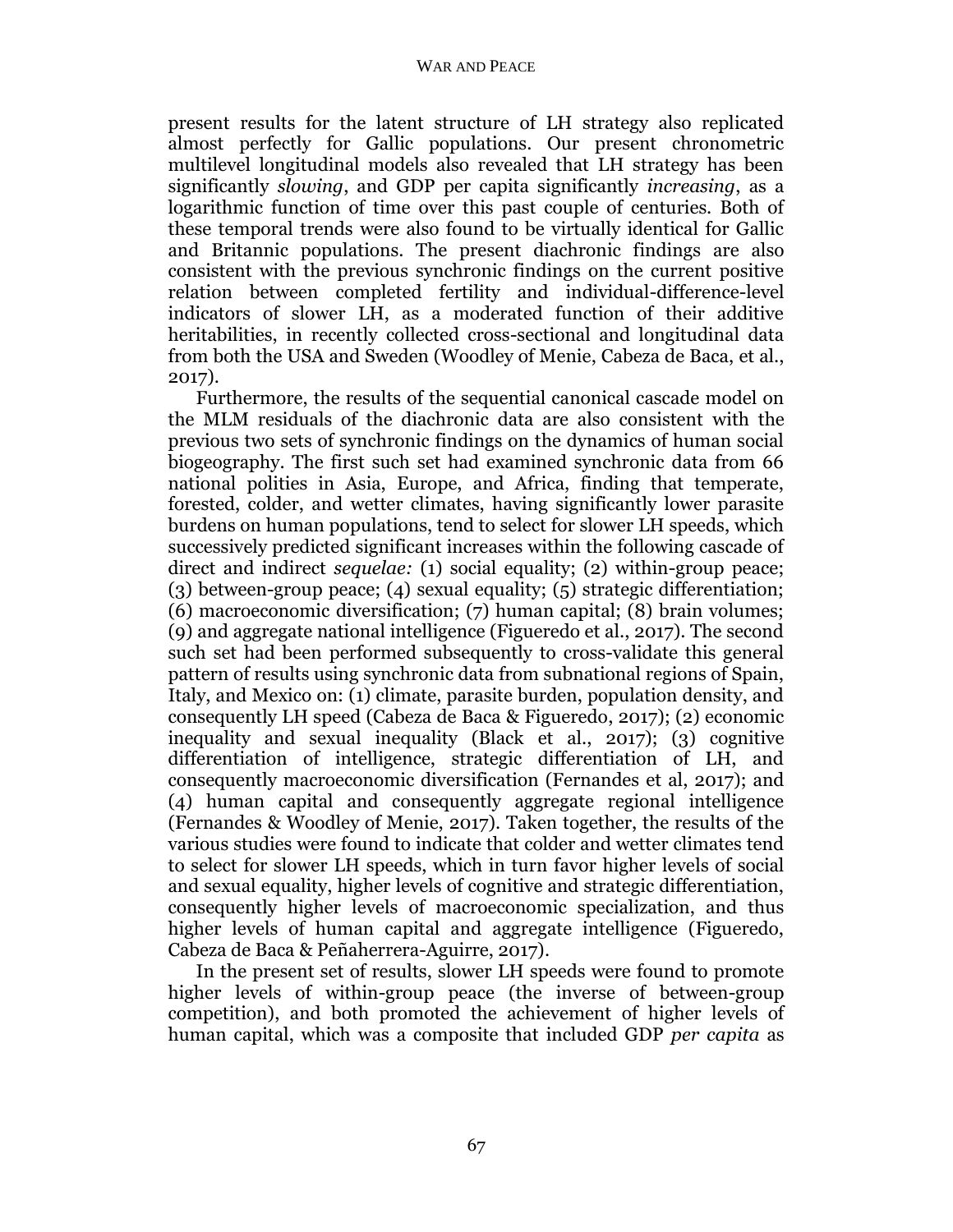present results for the latent structure of LH strategy also replicated almost perfectly for Gallic populations. Our present chronometric multilevel longitudinal models also revealed that LH strategy has been significantly *slowing*, and GDP per capita significantly *increasing*, as a logarithmic function of time over this past couple of centuries. Both of these temporal trends were also found to be virtually identical for Gallic and Britannic populations. The present diachronic findings are also consistent with the previous synchronic findings on the current positive relation between completed fertility and individual-difference-level indicators of slower LH, as a moderated function of their additive heritabilities, in recently collected cross-sectional and longitudinal data from both the USA and Sweden (Woodley of Menie, Cabeza de Baca, et al., 2017).

Furthermore, the results of the sequential canonical cascade model on the MLM residuals of the diachronic data are also consistent with the previous two sets of synchronic findings on the dynamics of human social biogeography. The first such set had examined synchronic data from 66 national polities in Asia, Europe, and Africa, finding that temperate, forested, colder, and wetter climates, having significantly lower parasite burdens on human populations, tend to select for slower LH speeds, which successively predicted significant increases within the following cascade of direct and indirect *sequelae:* (1) social equality; (2) within-group peace; (3) between-group peace; (4) sexual equality; (5) strategic differentiation; (6) macroeconomic diversification; (7) human capital; (8) brain volumes; (9) and aggregate national intelligence (Figueredo et al., 2017). The second such set had been performed subsequently to cross-validate this general pattern of results using synchronic data from subnational regions of Spain, Italy, and Mexico on: (1) climate, parasite burden, population density, and consequently LH speed (Cabeza de Baca & Figueredo, 2017); (2) economic inequality and sexual inequality (Black et al., 2017); (3) cognitive differentiation of intelligence, strategic differentiation of LH, and consequently macroeconomic diversification (Fernandes et al, 2017); and (4) human capital and consequently aggregate regional intelligence (Fernandes & Woodley of Menie, 2017). Taken together, the results of the various studies were found to indicate that colder and wetter climates tend to select for slower LH speeds, which in turn favor higher levels of social and sexual equality, higher levels of cognitive and strategic differentiation, consequently higher levels of macroeconomic specialization, and thus higher levels of human capital and aggregate intelligence (Figueredo, Cabeza de Baca & Peñaherrera-Aguirre, 2017).

In the present set of results, slower LH speeds were found to promote higher levels of within-group peace (the inverse of between-group competition), and both promoted the achievement of higher levels of human capital, which was a composite that included GDP *per capita* as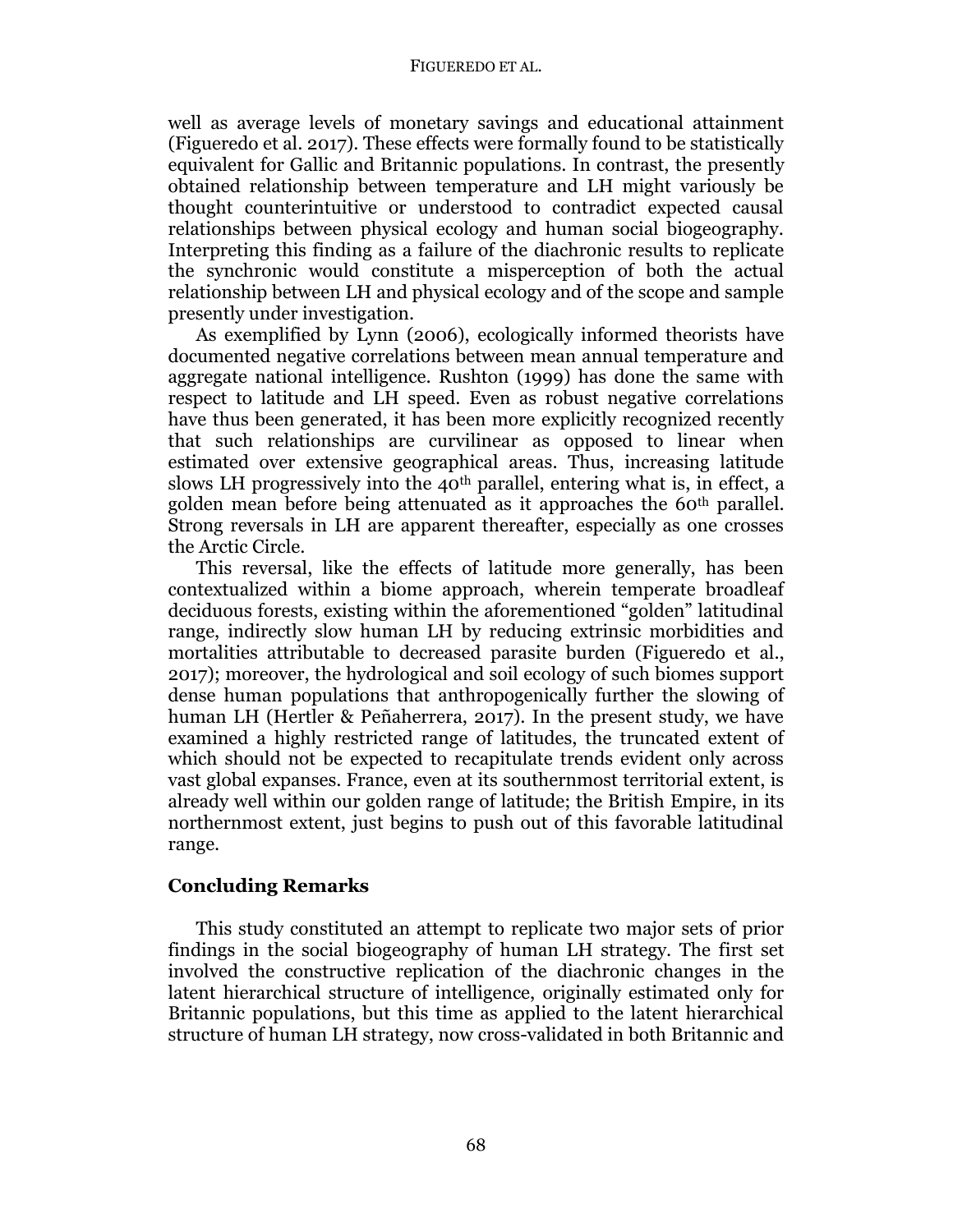#### FIGUEREDO ET AL.

well as average levels of monetary savings and educational attainment (Figueredo et al. 2017). These effects were formally found to be statistically equivalent for Gallic and Britannic populations. In contrast, the presently obtained relationship between temperature and LH might variously be thought counterintuitive or understood to contradict expected causal relationships between physical ecology and human social biogeography. Interpreting this finding as a failure of the diachronic results to replicate the synchronic would constitute a misperception of both the actual relationship between LH and physical ecology and of the scope and sample presently under investigation.

As exemplified by Lynn (2006), ecologically informed theorists have documented negative correlations between mean annual temperature and aggregate national intelligence. Rushton (1999) has done the same with respect to latitude and LH speed. Even as robust negative correlations have thus been generated, it has been more explicitly recognized recently that such relationships are curvilinear as opposed to linear when estimated over extensive geographical areas. Thus, increasing latitude slows LH progressively into the 40<sup>th</sup> parallel, entering what is, in effect, a golden mean before being attenuated as it approaches the 60th parallel. Strong reversals in LH are apparent thereafter, especially as one crosses the Arctic Circle.

This reversal, like the effects of latitude more generally, has been contextualized within a biome approach, wherein temperate broadleaf deciduous forests, existing within the aforementioned "golden" latitudinal range, indirectly slow human LH by reducing extrinsic morbidities and mortalities attributable to decreased parasite burden (Figueredo et al., 2017); moreover, the hydrological and soil ecology of such biomes support dense human populations that anthropogenically further the slowing of human LH (Hertler & Peñaherrera, 2017). In the present study, we have examined a highly restricted range of latitudes, the truncated extent of which should not be expected to recapitulate trends evident only across vast global expanses. France, even at its southernmost territorial extent, is already well within our golden range of latitude; the British Empire, in its northernmost extent, just begins to push out of this favorable latitudinal range.

## **Concluding Remarks**

This study constituted an attempt to replicate two major sets of prior findings in the social biogeography of human LH strategy. The first set involved the constructive replication of the diachronic changes in the latent hierarchical structure of intelligence, originally estimated only for Britannic populations, but this time as applied to the latent hierarchical structure of human LH strategy, now cross-validated in both Britannic and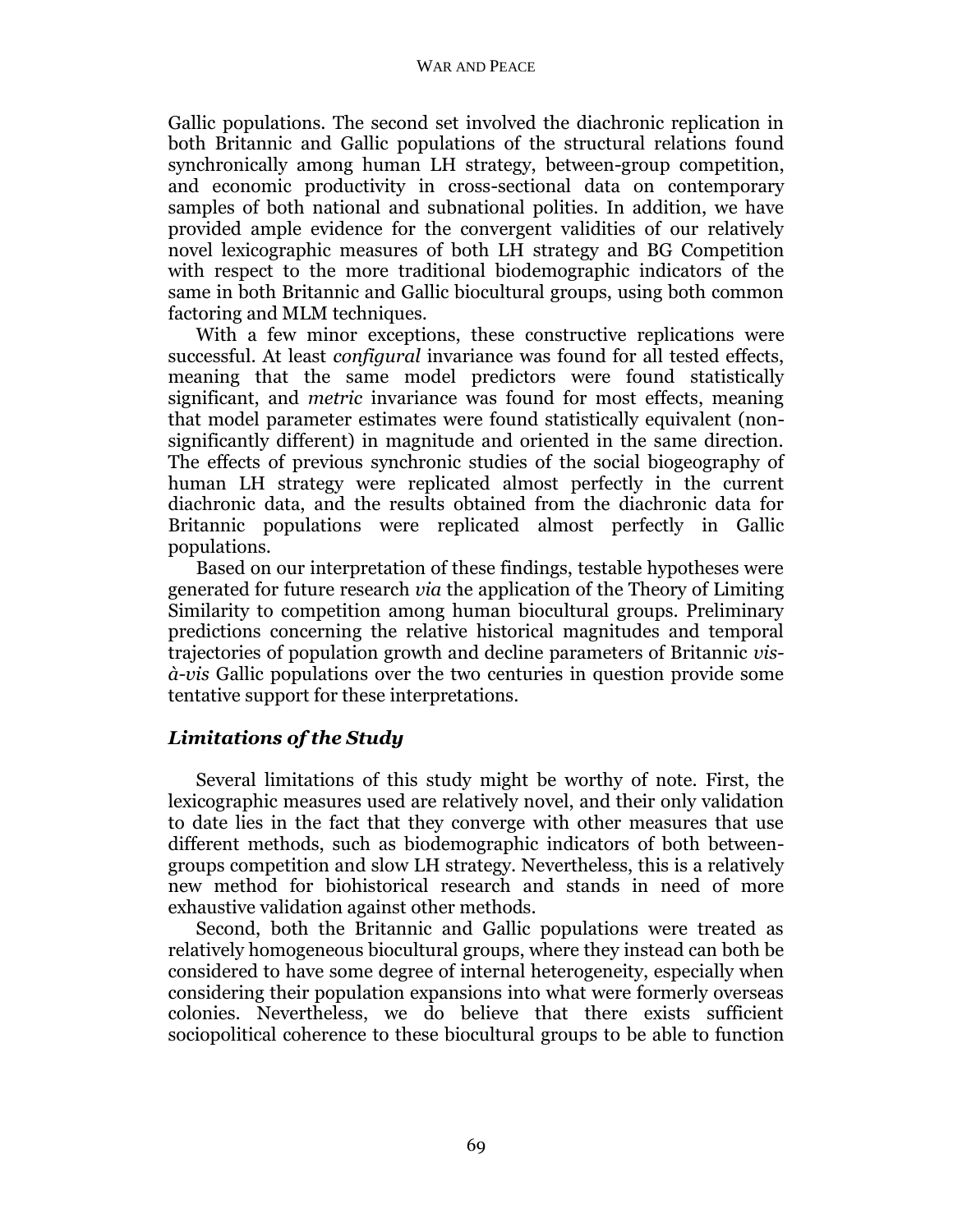#### WAR AND PEACE

Gallic populations. The second set involved the diachronic replication in both Britannic and Gallic populations of the structural relations found synchronically among human LH strategy, between-group competition, and economic productivity in cross-sectional data on contemporary samples of both national and subnational polities. In addition, we have provided ample evidence for the convergent validities of our relatively novel lexicographic measures of both LH strategy and BG Competition with respect to the more traditional biodemographic indicators of the same in both Britannic and Gallic biocultural groups, using both common factoring and MLM techniques.

With a few minor exceptions, these constructive replications were successful. At least *configural* invariance was found for all tested effects, meaning that the same model predictors were found statistically significant, and *metric* invariance was found for most effects, meaning that model parameter estimates were found statistically equivalent (nonsignificantly different) in magnitude and oriented in the same direction. The effects of previous synchronic studies of the social biogeography of human LH strategy were replicated almost perfectly in the current diachronic data, and the results obtained from the diachronic data for Britannic populations were replicated almost perfectly in Gallic populations.

Based on our interpretation of these findings, testable hypotheses were generated for future research *via* the application of the Theory of Limiting Similarity to competition among human biocultural groups. Preliminary predictions concerning the relative historical magnitudes and temporal trajectories of population growth and decline parameters of Britannic *visà-vis* Gallic populations over the two centuries in question provide some tentative support for these interpretations.

# *Limitations of the Study*

Several limitations of this study might be worthy of note. First, the lexicographic measures used are relatively novel, and their only validation to date lies in the fact that they converge with other measures that use different methods, such as biodemographic indicators of both betweengroups competition and slow LH strategy. Nevertheless, this is a relatively new method for biohistorical research and stands in need of more exhaustive validation against other methods.

Second, both the Britannic and Gallic populations were treated as relatively homogeneous biocultural groups, where they instead can both be considered to have some degree of internal heterogeneity, especially when considering their population expansions into what were formerly overseas colonies. Nevertheless, we do believe that there exists sufficient sociopolitical coherence to these biocultural groups to be able to function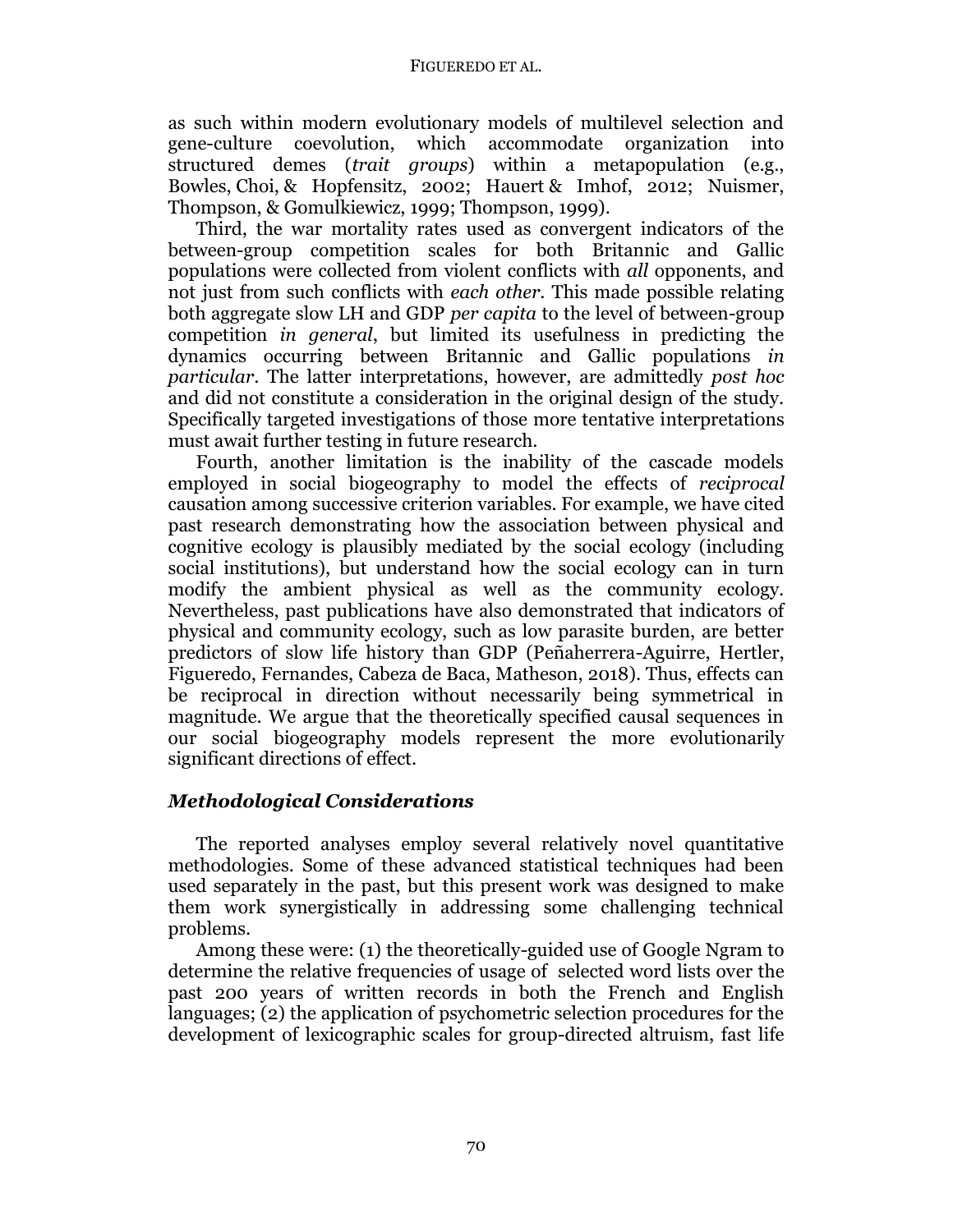as such within modern evolutionary models of multilevel selection and gene-culture coevolution, which accommodate organization into structured demes (*trait groups*) within a metapopulation (e.g., Bowles, Choi, & Hopfensitz, 2002; Hauert & Imhof, 2012; Nuismer, Thompson, & Gomulkiewicz, 1999; Thompson, 1999).

Third, the war mortality rates used as convergent indicators of the between-group competition scales for both Britannic and Gallic populations were collected from violent conflicts with *all* opponents, and not just from such conflicts with *each other*. This made possible relating both aggregate slow LH and GDP *per capita* to the level of between-group competition *in general*, but limited its usefulness in predicting the dynamics occurring between Britannic and Gallic populations *in particular*. The latter interpretations, however, are admittedly *post hoc* and did not constitute a consideration in the original design of the study. Specifically targeted investigations of those more tentative interpretations must await further testing in future research.

Fourth, another limitation is the inability of the cascade models employed in social biogeography to model the effects of *reciprocal* causation among successive criterion variables. For example, we have cited past research demonstrating how the association between physical and cognitive ecology is plausibly mediated by the social ecology (including social institutions), but understand how the social ecology can in turn modify the ambient physical as well as the community ecology. Nevertheless, past publications have also demonstrated that indicators of physical and community ecology, such as low parasite burden, are better predictors of slow life history than GDP (Peñaherrera-Aguirre, Hertler, Figueredo, Fernandes, Cabeza de Baca, Matheson, 2018). Thus, effects can be reciprocal in direction without necessarily being symmetrical in magnitude. We argue that the theoretically specified causal sequences in our social biogeography models represent the more evolutionarily significant directions of effect.

## *Methodological Considerations*

The reported analyses employ several relatively novel quantitative methodologies. Some of these advanced statistical techniques had been used separately in the past, but this present work was designed to make them work synergistically in addressing some challenging technical problems.

Among these were: (1) the theoretically-guided use of Google Ngram to determine the relative frequencies of usage of selected word lists over the past 200 years of written records in both the French and English languages; (2) the application of psychometric selection procedures for the development of lexicographic scales for group-directed altruism, fast life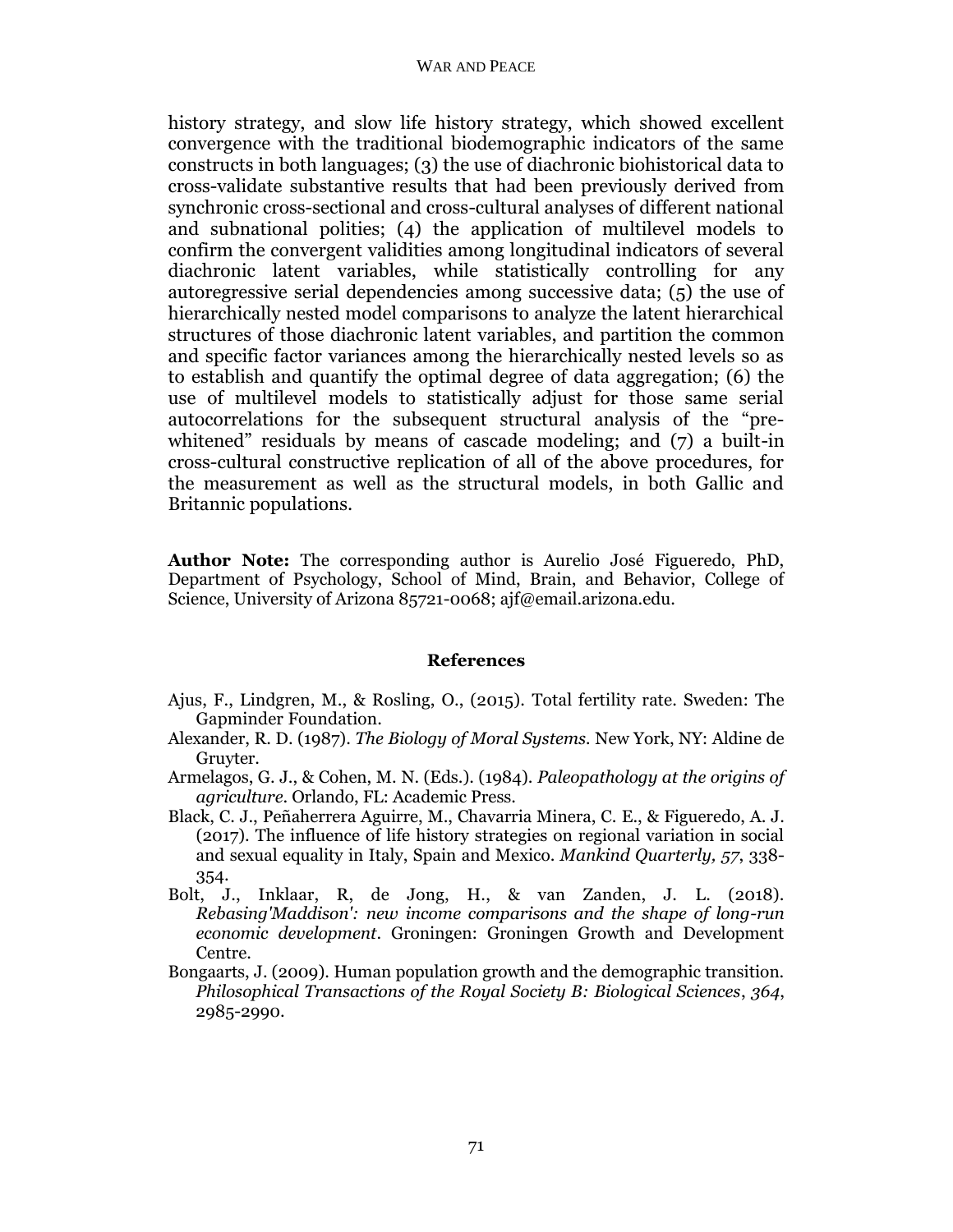history strategy, and slow life history strategy, which showed excellent convergence with the traditional biodemographic indicators of the same constructs in both languages; (3) the use of diachronic biohistorical data to cross-validate substantive results that had been previously derived from synchronic cross-sectional and cross-cultural analyses of different national and subnational polities; (4) the application of multilevel models to confirm the convergent validities among longitudinal indicators of several diachronic latent variables, while statistically controlling for any autoregressive serial dependencies among successive data; (5) the use of hierarchically nested model comparisons to analyze the latent hierarchical structures of those diachronic latent variables, and partition the common and specific factor variances among the hierarchically nested levels so as to establish and quantify the optimal degree of data aggregation; (6) the use of multilevel models to statistically adjust for those same serial autocorrelations for the subsequent structural analysis of the "prewhitened" residuals by means of cascade modeling; and (7) a built-in cross-cultural constructive replication of all of the above procedures, for the measurement as well as the structural models, in both Gallic and Britannic populations.

**Author Note:** The corresponding author is Aurelio José Figueredo, PhD, Department of Psychology, School of Mind, Brain, and Behavior, College of Science, University of Arizona 85721-0068; ajf@email.arizona.edu.

## **References**

- Ajus, F., Lindgren, M., & Rosling, O., (2015). Total fertility rate. Sweden: The Gapminder Foundation.
- Alexander, R. D. (1987). *The Biology of Moral Systems.* New York, NY: Aldine de Gruyter.
- Armelagos, G. J., & Cohen, M. N. (Eds.). (1984). *Paleopathology at the origins of agriculture*. Orlando, FL: Academic Press.
- Black, C. J., Peñaherrera Aguirre, M., Chavarria Minera, C. E., & Figueredo, A. J. (2017). The influence of life history strategies on regional variation in social and sexual equality in Italy, Spain and Mexico. *Mankind Quarterly, 57*, 338- 354.
- Bolt, J., Inklaar, R, de Jong, H., & van Zanden, J. L. (2018). *Rebasing'Maddison': new income comparisons and the shape of long-run economic development*. Groningen: Groningen Growth and Development Centre.
- Bongaarts, J. (2009). Human population growth and the demographic transition. *Philosophical Transactions of the Royal Society B: Biological Sciences*, *364*, 2985-2990.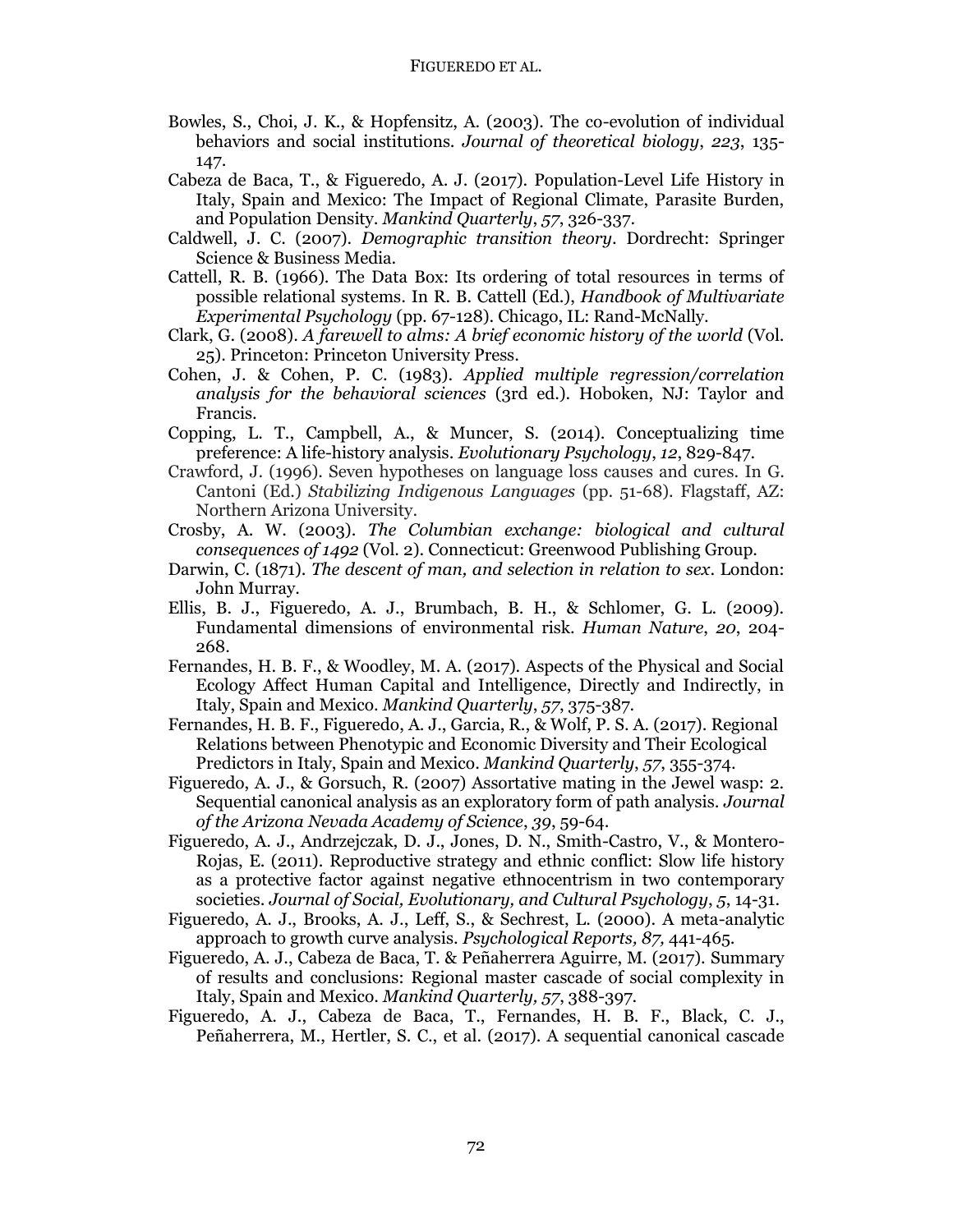- Bowles, S., Choi, J. K., & Hopfensitz, A. (2003). The co-evolution of individual behaviors and social institutions. *Journal of theoretical biology*, *223*, 135- 147.
- Cabeza de Baca, T., & Figueredo, A. J. (2017). Population-Level Life History in Italy, Spain and Mexico: The Impact of Regional Climate, Parasite Burden, and Population Density. *Mankind Quarterly*, *57*, 326-337.
- Caldwell, J. C. (2007). *Demographic transition theory*. Dordrecht: Springer Science & Business Media.
- Cattell, R. B. (1966). The Data Box: Its ordering of total resources in terms of possible relational systems*.* In R. B. Cattell (Ed.), *Handbook of Multivariate Experimental Psychology* (pp. 67-128). Chicago, IL: Rand-McNally.
- Clark, G. (2008). *A farewell to alms: A brief economic history of the world* (Vol. 25). Princeton: Princeton University Press.
- Cohen, J. & Cohen, P. C. (1983). *Applied multiple regression/correlation analysis for the behavioral sciences* (3rd ed.). Hoboken, NJ: Taylor and Francis.
- Copping, L. T., Campbell, A., & Muncer, S. (2014). Conceptualizing time preference: A life-history analysis. *Evolutionary Psychology*, *12*, 829-847.
- Crawford, J. (1996). Seven hypotheses on language loss causes and cures. In G. Cantoni (Ed.) *Stabilizing Indigenous Languages* (pp. 51-68). Flagstaff, AZ: Northern Arizona University.
- Crosby, A. W. (2003). *The Columbian exchange: biological and cultural consequences of 1492* (Vol. 2). Connecticut: Greenwood Publishing Group.
- Darwin, C. (1871). *The descent of man, and selection in relation to sex*. London: John Murray.
- Ellis, B. J., Figueredo, A. J., Brumbach, B. H., & Schlomer, G. L. (2009). Fundamental dimensions of environmental risk. *Human Nature*, *20*, 204- 268.
- Fernandes, H. B. F., & Woodley, M. A. (2017). Aspects of the Physical and Social Ecology Affect Human Capital and Intelligence, Directly and Indirectly, in Italy, Spain and Mexico. *Mankind Quarterly*, *57*, 375-387.
- Fernandes, H. B. F., Figueredo, A. J., Garcia, R., & Wolf, P. S. A. (2017). Regional Relations between Phenotypic and Economic Diversity and Their Ecological Predictors in Italy, Spain and Mexico. *Mankind Quarterly*, *57*, 355-374.
- Figueredo, A. J., & Gorsuch, R. (2007) Assortative mating in the Jewel wasp: 2. Sequential canonical analysis as an exploratory form of path analysis. *Journal of the Arizona Nevada Academy of Science*, *39*, 59-64.
- Figueredo, A. J., Andrzejczak, D. J., Jones, D. N., Smith-Castro, V., & Montero-Rojas, E. (2011). Reproductive strategy and ethnic conflict: Slow life history as a protective factor against negative ethnocentrism in two contemporary societies. *Journal of Social, Evolutionary, and Cultural Psychology*, *5*, 14-31.
- Figueredo, A. J., Brooks, A. J., Leff, S., & Sechrest, L. (2000). A meta-analytic approach to growth curve analysis. *Psychological Reports, 87,* 441-465.
- Figueredo, A. J., Cabeza de Baca, T. & Peñaherrera Aguirre, M. (2017). Summary of results and conclusions: Regional master cascade of social complexity in Italy, Spain and Mexico. *Mankind Quarterly, 57*, 388-397.
- Figueredo, A. J., Cabeza de Baca, T., Fernandes, H. B. F., Black, C. J., Peñaherrera, M., Hertler, S. C., et al. (2017). A sequential canonical cascade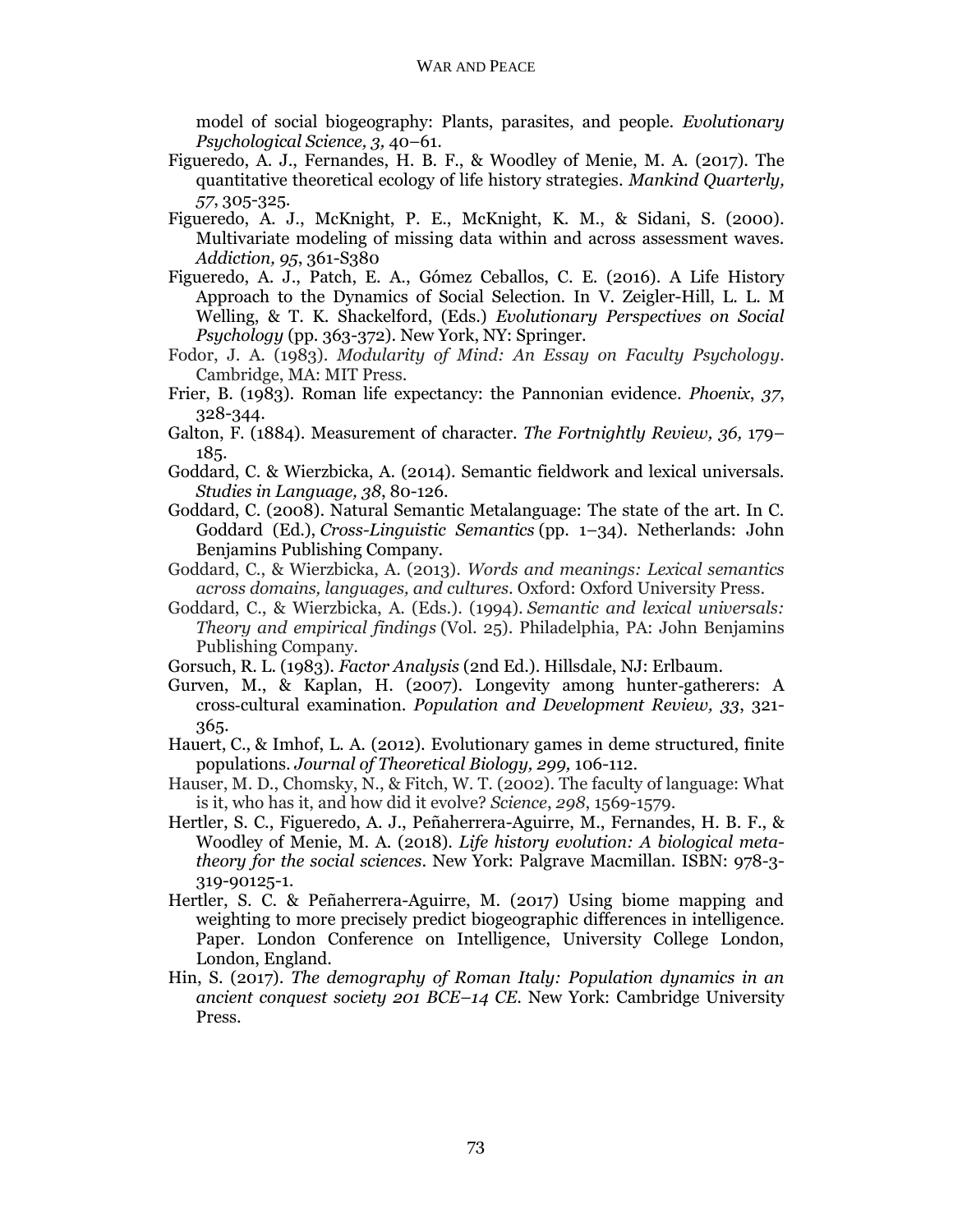model of social biogeography: Plants, parasites, and people. *Evolutionary Psychological Science, 3,* 40–61.

- Figueredo, A. J., Fernandes, H. B. F., & Woodley of Menie, M. A. (2017). The quantitative theoretical ecology of life history strategies. *Mankind Quarterly, 57*, 305-325.
- Figueredo, A. J., McKnight, P. E., McKnight, K. M., & Sidani, S. (2000). Multivariate modeling of missing data within and across assessment waves. *Addiction, 95*, 361-S380
- Figueredo, A. J., Patch, E. A., Gómez Ceballos, C. E. (2016). A Life History Approach to the Dynamics of Social Selection. In V. Zeigler-Hill, L. L. M Welling, & T. K. Shackelford, (Eds.) *Evolutionary Perspectives on Social Psychology* (pp. 363-372). New York, NY: Springer.
- Fodor, J. A. (1983). *Modularity of Mind: An Essay on Faculty Psychology.* Cambridge, MA: MIT Press.
- Frier, B. (1983). Roman life expectancy: the Pannonian evidence. *Phoenix*, *37*, 328-344.
- Galton, F. (1884). Measurement of character. *The Fortnightly Review, 36,* 179– 185.
- Goddard, C. & Wierzbicka, A. (2014). Semantic fieldwork and lexical universals. *Studies in Language, 38*, 80-126.
- Goddard, C. (2008). Natural Semantic Metalanguage: The state of the art. In C. Goddard (Ed.), *Cross-Linguistic Semantics* (pp. 1–34). Netherlands: John Benjamins Publishing Company.
- Goddard, C., & Wierzbicka, A. (2013). *Words and meanings: Lexical semantics across domains, languages, and cultures*. Oxford: Oxford University Press.
- Goddard, C., & Wierzbicka, A. (Eds.). (1994). *Semantic and lexical universals: Theory and empirical findings* (Vol. 25). Philadelphia, PA: John Benjamins Publishing Company.
- Gorsuch, R. L. (1983). *Factor Analysis* (2nd Ed.). Hillsdale, NJ: Erlbaum.
- Gurven, M., & Kaplan, H. (2007). Longevity among hunter‐gatherers: A cross‐cultural examination. *Population and Development Review, 33*, 321- 365.
- Hauert, C., & Imhof, L. A. (2012). Evolutionary games in deme structured, finite populations. *Journal of Theoretical Biology, 299,* 106-112.
- Hauser, M. D., Chomsky, N., & Fitch, W. T. (2002). The faculty of language: What is it, who has it, and how did it evolve? *Science*, *298*, 1569-1579.
- Hertler, S. C., Figueredo, A. J., Peñaherrera-Aguirre, M., Fernandes, H. B. F., & Woodley of Menie, M. A. (2018). *Life history evolution: A biological metatheory for the social sciences*. New York: Palgrave Macmillan. ISBN: 978-3- 319-90125-1.
- Hertler, S. C. & Peñaherrera-Aguirre, M. (2017) Using biome mapping and weighting to more precisely predict biogeographic differences in intelligence*.* Paper. London Conference on Intelligence, University College London, London, England.
- Hin, S. (2017). *The demography of Roman Italy: Population dynamics in an ancient conquest society 201 BCE–14 CE*. New York: Cambridge University Press.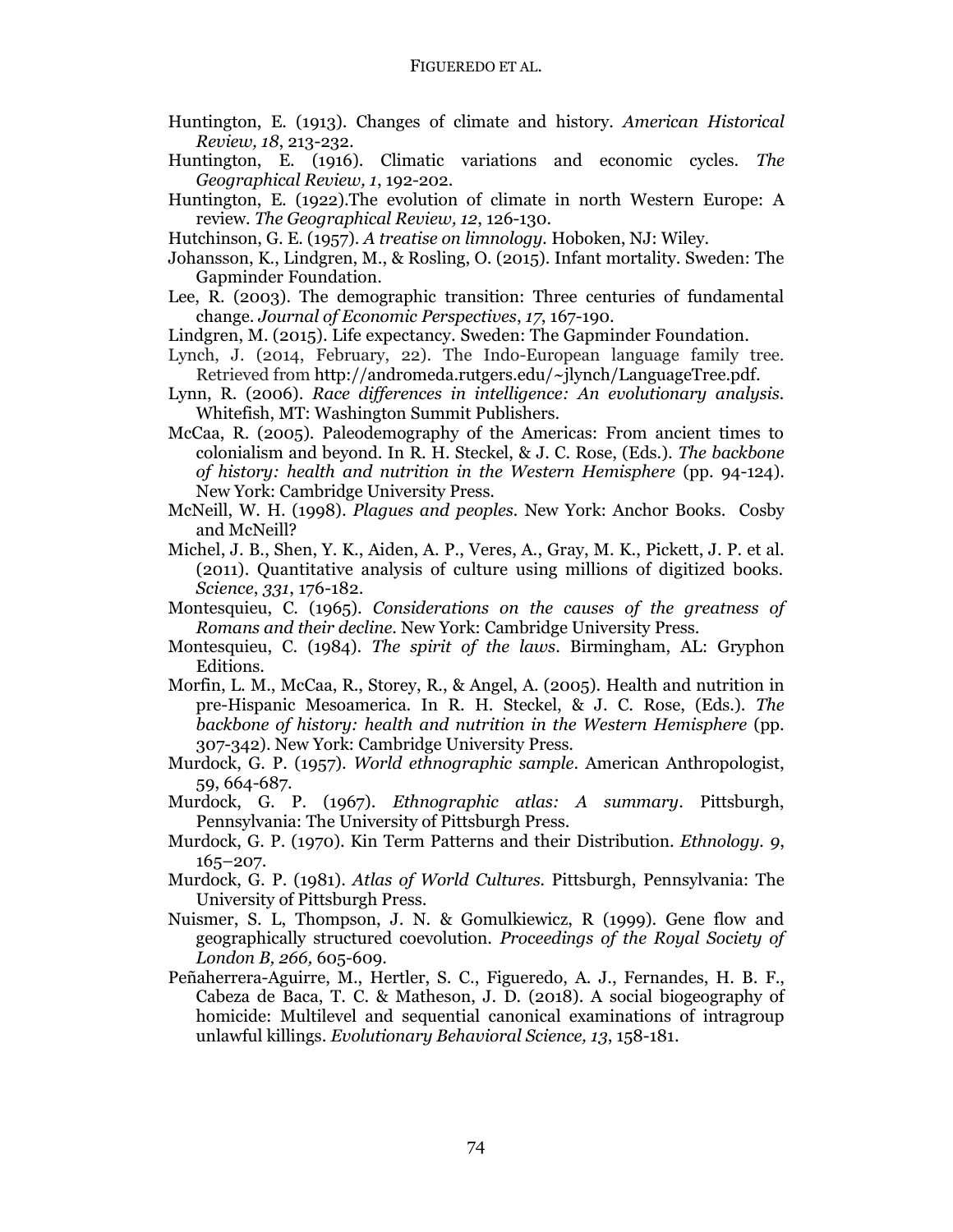- Huntington, E. (1913). Changes of climate and history. *American Historical Review, 18*, 213-232.
- Huntington, E. (1916). Climatic variations and economic cycles. *The Geographical Review, 1*, 192-202.
- Huntington, E. (1922).The evolution of climate in north Western Europe: A review. *The Geographical Review, 12*, 126-130.
- Hutchinson, G. E. (1957). *A treatise on limnology.* Hoboken, NJ: Wiley.
- Johansson, K., Lindgren, M., & Rosling, O. (2015). Infant mortality. Sweden: The Gapminder Foundation.
- Lee, R. (2003). The demographic transition: Three centuries of fundamental change. *Journal of Economic Perspectives*, *17*, 167-190.
- Lindgren, M. (2015). Life expectancy. Sweden: The Gapminder Foundation.
- Lynch, J. (2014, February, 22). The Indo-European language family tree. Retrieved from [http://andromeda.rutgers.edu/~jlynch/LanguageTree.pdf.](http://andromeda.rutgers.edu/~jlynch/LanguageTree.pdf)
- Lynn, R. (2006). *Race differences in intelligence: An evolutionary analysis.* Whitefish, MT: Washington Summit Publishers.
- McCaa, R. (2005). Paleodemography of the Americas: From ancient times to colonialism and beyond. In R. H. Steckel, & J. C. Rose, (Eds.). *The backbone of history: health and nutrition in the Western Hemisphere* (pp. 94-124). New York: Cambridge University Press.
- McNeill, W. H. (1998). *Plagues and peoples.* New York: Anchor Books. Cosby and McNeill?
- Michel, J. B., Shen, Y. K., Aiden, A. P., Veres, A., Gray, M. K., Pickett, J. P. et al. (2011). Quantitative analysis of culture using millions of digitized books. *Science*, *331*, 176-182.
- Montesquieu, C. (1965). *Considerations on the causes of the greatness of Romans and their decline*. New York: Cambridge University Press.
- Montesquieu, C. (1984). *The spirit of the laws*. Birmingham, AL: Gryphon Editions.
- Morfin, L. M., McCaa, R., Storey, R., & Angel, A. (2005). Health and nutrition in pre-Hispanic Mesoamerica. In R. H. Steckel, & J. C. Rose, (Eds.). *The backbone of history: health and nutrition in the Western Hemisphere* (pp. 307-342). New York: Cambridge University Press.
- Murdock, G. P. (1957). *World ethnographic sample*. American Anthropologist, 59, 664-687.
- Murdock, G. P. (1967). *Ethnographic atlas: A summary*. Pittsburgh, Pennsylvania: The University of Pittsburgh Press.
- Murdock, G. P. (1970). Kin Term Patterns and their Distribution. *Ethnology. 9*, 165–207.
- Murdock, G. P. (1981). *Atlas of World Cultures.* Pittsburgh, Pennsylvania: The University of Pittsburgh Press.
- Nuismer, S. L, Thompson, J. N. & Gomulkiewicz, R (1999). Gene flow and geographically structured coevolution. *Proceedings of the Royal Society of London B, 266,* 605-609.
- Peñaherrera-Aguirre, M., Hertler, S. C., Figueredo, A. J., Fernandes, H. B. F., Cabeza de Baca, T. C. & Matheson, J. D. (2018). A social biogeography of homicide: Multilevel and sequential canonical examinations of intragroup unlawful killings. *Evolutionary Behavioral Science, 13*, 158-181.